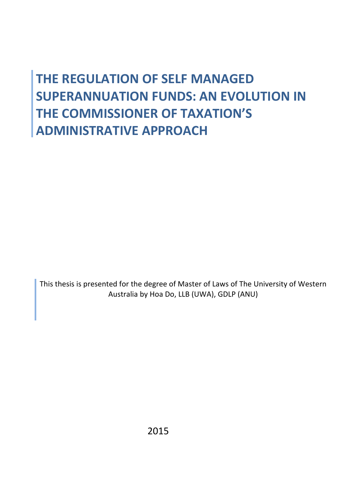# **THE REGULATION OF SELF MANAGED SUPERANNUATION FUNDS: AN EVOLUTION IN THE COMMISSIONER OF TAXATION'S ADMINISTRATIVE APPROACH**

This thesis is presented for the degree of Master of Laws of The University of Western Australia by Hoa Do, LLB (UWA), GDLP (ANU)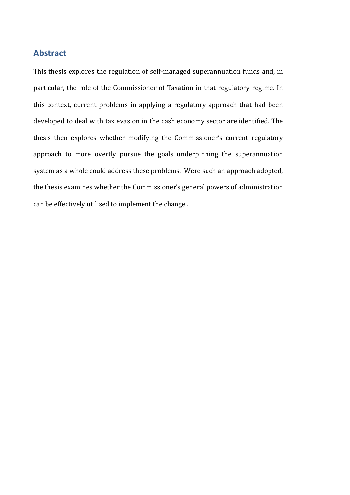#### **Abstract**

This thesis explores the regulation of self-managed superannuation funds and, in particular, the role of the Commissioner of Taxation in that regulatory regime. In this context, current problems in applying a regulatory approach that had been developed to deal with tax evasion in the cash economy sector are identified. The thesis then explores whether modifying the Commissioner's current regulatory approach to more overtly pursue the goals underpinning the superannuation system as a whole could address these problems. Were such an approach adopted, the thesis examines whether the Commissioner's general powers of administration can be effectively utilised to implement the change.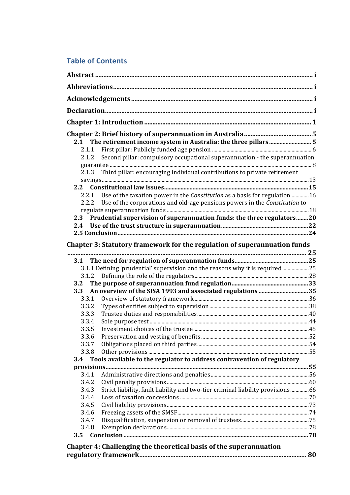## **Table of Contents**

| 2.1 The retirement income system in Australia: the three pillars 5                      |  |
|-----------------------------------------------------------------------------------------|--|
| 2.1.1                                                                                   |  |
| Second pillar: compulsory occupational superannuation - the superannuation<br>2.1.2     |  |
|                                                                                         |  |
| Third pillar: encouraging individual contributions to private retirement<br>2.1.3       |  |
|                                                                                         |  |
| 2.2                                                                                     |  |
| Use of the taxation power in the Constitution as a basis for regulation 16<br>2.2.1     |  |
| 2.2.2 Use of the corporations and old-age pensions powers in the Constitution to        |  |
|                                                                                         |  |
| Prudential supervision of superannuation funds: the three regulators20<br>2.3           |  |
| 2.4                                                                                     |  |
|                                                                                         |  |
| Chapter 3: Statutory framework for the regulation of superannuation funds               |  |
|                                                                                         |  |
| 3.1.1 Defining 'prudential' supervision and the reasons why it is required25            |  |
| 3.1.2                                                                                   |  |
| 3.2                                                                                     |  |
| An overview of the SISA 1993 and associated regulations 35<br>3.3                       |  |
| 3.3.1                                                                                   |  |
| 3.3.2                                                                                   |  |
| 3.3.3                                                                                   |  |
| 3.3.4                                                                                   |  |
| 3.3.5                                                                                   |  |
| 3.3.6                                                                                   |  |
| 3.3.7                                                                                   |  |
| 3.3.8                                                                                   |  |
| Tools available to the regulator to address contravention of regulatory<br>3.4          |  |
|                                                                                         |  |
| 3.4.1                                                                                   |  |
| 3.4.2                                                                                   |  |
| Strict liability, fault liability and two-tier criminal liability provisions66<br>3.4.3 |  |
| 3.4.4                                                                                   |  |
| 3.4.5                                                                                   |  |
| 3.4.6                                                                                   |  |
| 3.4.7                                                                                   |  |
| 3.4.8                                                                                   |  |
| 3.5                                                                                     |  |
| Chapter 4: Challenging the theoretical basis of the superannuation                      |  |
|                                                                                         |  |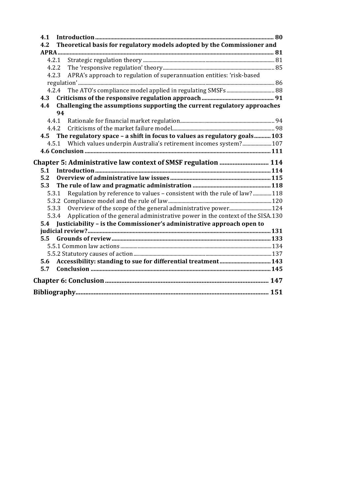| 4.1                                                                                     |  |
|-----------------------------------------------------------------------------------------|--|
| Theoretical basis for regulatory models adopted by the Commissioner and<br>4.2          |  |
|                                                                                         |  |
|                                                                                         |  |
| 4.2.2                                                                                   |  |
| APRA's approach to regulation of superannuation entities: 'risk-based<br>4.2.3          |  |
|                                                                                         |  |
| 4.2.4                                                                                   |  |
| 4.3                                                                                     |  |
| Challenging the assumptions supporting the current regulatory approaches<br>4.4         |  |
| 94                                                                                      |  |
| 4.4.1                                                                                   |  |
| 4.4.2                                                                                   |  |
| 4.5 The regulatory space - a shift in focus to values as regulatory goals103            |  |
| 4.5.1 Which values underpin Australia's retirement incomes system? 107                  |  |
|                                                                                         |  |
|                                                                                         |  |
| 5.1                                                                                     |  |
| 5.2                                                                                     |  |
| 5.3                                                                                     |  |
| 5.3.1 Regulation by reference to values - consistent with the rule of law? 118          |  |
|                                                                                         |  |
| 5.3.3                                                                                   |  |
| Application of the general administrative power in the context of the SISA.130<br>5.3.4 |  |
| Justiciability - is the Commissioner's administrative approach open to<br>5.4           |  |
|                                                                                         |  |
|                                                                                         |  |
|                                                                                         |  |
|                                                                                         |  |
| Accessibility: standing to sue for differential treatment 143<br>5.6                    |  |
| 5.7                                                                                     |  |
|                                                                                         |  |
|                                                                                         |  |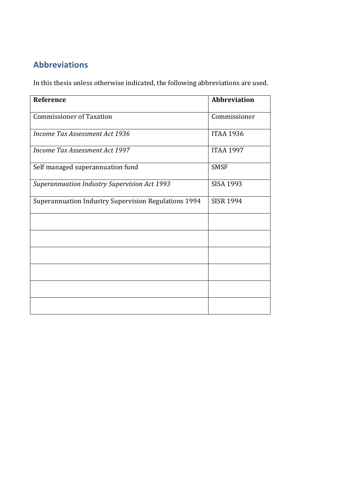## **Abbreviations**

In this thesis unless otherwise indicated, the following abbreviations are used.

| Reference                                            | <b>Abbreviation</b> |
|------------------------------------------------------|---------------------|
| <b>Commissioner of Taxation</b>                      | Commissioner        |
| Income Tax Assessment Act 1936                       | <b>ITAA 1936</b>    |
| Income Tax Assessment Act 1997                       | <b>ITAA 1997</b>    |
| Self managed superannuation fund                     | <b>SMSF</b>         |
| Superannuation Industry Supervision Act 1993         | <b>SISA 1993</b>    |
| Superannuation Industry Supervision Regulations 1994 | <b>SISR 1994</b>    |
|                                                      |                     |
|                                                      |                     |
|                                                      |                     |
|                                                      |                     |
|                                                      |                     |
|                                                      |                     |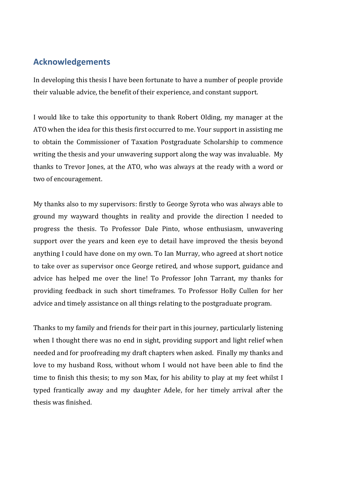### **Acknowledgements**

In developing this thesis I have been fortunate to have a number of people provide their valuable advice, the benefit of their experience, and constant support.

I would like to take this opportunity to thank Robert Olding, my manager at the ATO when the idea for this thesis first occurred to me. Your support in assisting me to obtain the Commissioner of Taxation Postgraduate Scholarship to commence writing the thesis and your unwavering support along the way was invaluable. My thanks to Trevor Jones, at the ATO, who was always at the ready with a word or two of encouragement.

My thanks also to my supervisors: firstly to George Syrota who was always able to ground my wayward thoughts in reality and provide the direction I needed to progress the thesis. To Professor Dale Pinto, whose enthusiasm, unwavering support over the years and keen eye to detail have improved the thesis beyond anything I could have done on my own. To Ian Murray, who agreed at short notice to take over as supervisor once George retired, and whose support, guidance and advice has helped me over the line! To Professor John Tarrant, my thanks for providing feedback in such short timeframes. To Professor Holly Cullen for her advice and timely assistance on all things relating to the postgraduate program.

Thanks to my family and friends for their part in this journey, particularly listening when I thought there was no end in sight, providing support and light relief when needed and for proofreading my draft chapters when asked. Finally my thanks and love to my husband Ross, without whom I would not have been able to find the time to finish this thesis; to my son Max, for his ability to play at my feet whilst I typed frantically away and my daughter Adele, for her timely arrival after the thesis was finished.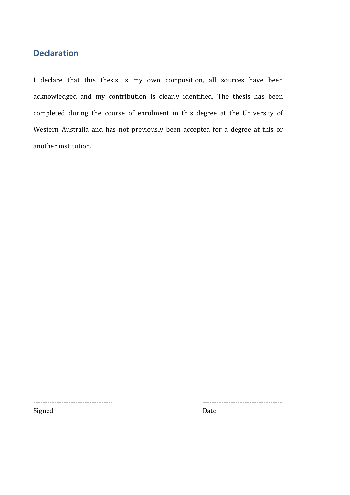## **Declaration**

I declare that this thesis is my own composition, all sources have been acknowledged and my contribution is clearly identified. The thesis has been completed during the course of enrolment in this degree at the University of Western Australia and has not previously been accepted for a degree at this or another institution.

---------------------------------- ----------------------------------

Signed Date Date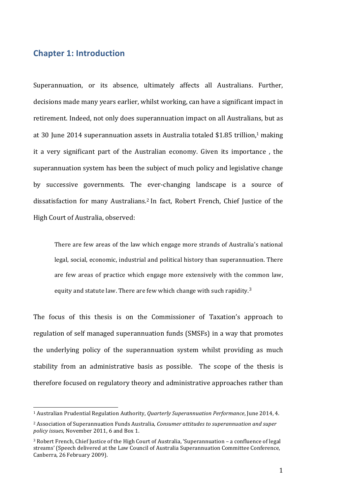#### **Chapter 1: Introduction**

 

Superannuation, or its absence, ultimately affects all Australians. Further, decisions made many years earlier, whilst working, can have a significant impact in retirement. Indeed, not only does superannuation impact on all Australians, but as at 30 June 2014 superannuation assets in Australia totaled \$1.85 trillion,<sup>1</sup> making it a very significant part of the Australian economy. Given its importance, the superannuation system has been the subject of much policy and legislative change by successive governments. The ever-changing landscape is a source of dissatisfaction for many Australians.<sup>2</sup> In fact, Robert French, Chief Justice of the High Court of Australia, observed:

There are few areas of the law which engage more strands of Australia's national legal, social, economic, industrial and political history than superannuation. There are few areas of practice which engage more extensively with the common law, equity and statute law. There are few which change with such rapidity.<sup>3</sup>

The focus of this thesis is on the Commissioner of Taxation's approach to regulation of self managed superannuation funds (SMSFs) in a way that promotes the underlying policy of the superannuation system whilst providing as much stability from an administrative basis as possible. The scope of the thesis is therefore focused on regulatory theory and administrative approaches rather than

<sup>&</sup>lt;sup>1</sup> Australian Prudential Regulation Authority, *Quarterly Superannuation Performance*, June 2014, 4.

<sup>&</sup>lt;sup>2</sup> Association of Superannuation Funds Australia, *Consumer attitudes to superannuation and super* policy issues, November 2011, 6 and Box 1.

<sup>&</sup>lt;sup>3</sup> Robert French, Chief Justice of the High Court of Australia, 'Superannuation – a confluence of legal streams' (Speech delivered at the Law Council of Australia Superannuation Committee Conference, Canberra, 26 February 2009).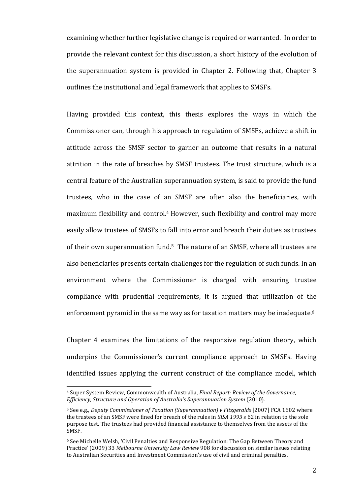examining whether further legislative change is required or warranted. In order to provide the relevant context for this discussion, a short history of the evolution of the superannuation system is provided in Chapter 2. Following that, Chapter  $3$ outlines the institutional and legal framework that applies to SMSFs.

Having provided this context, this thesis explores the ways in which the Commissioner can, through his approach to regulation of SMSFs, achieve a shift in attitude across the SMSF sector to garner an outcome that results in a natural attrition in the rate of breaches by SMSF trustees. The trust structure, which is a central feature of the Australian superannuation system, is said to provide the fund trustees, who in the case of an SMSF are often also the beneficiaries, with maximum flexibility and control.<sup>4</sup> However, such flexibility and control may more easily allow trustees of SMSFs to fall into error and breach their duties as trustees of their own superannuation fund.<sup>5</sup> The nature of an SMSF, where all trustees are also beneficiaries presents certain challenges for the regulation of such funds. In an environment where the Commissioner is charged with ensuring trustee compliance with prudential requirements, it is argued that utilization of the enforcement pyramid in the same way as for taxation matters may be inadequate.<sup>6</sup>

Chapter  $4$  examines the limitations of the responsive regulation theory, which underpins the Commissioner's current compliance approach to SMSFs. Having identified issues applying the current construct of the compliance model, which

<sup>&</sup>lt;sup>4</sup> Super System Review, Commonwealth of Australia, *Final Report: Review of the Governance*, *Efficiency, Structure and Operation of Australia's Superannuation System (2010).* 

<sup>&</sup>lt;sup>5</sup> See e.g., *Deputy Commissioner of Taxation (Superannuation) v* Fitzgeralds [2007] FCA 1602 where the trustees of an SMSF were fined for breach of the rules in *SISA 1993* s 62 in relation to the sole purpose test. The trustees had provided financial assistance to themselves from the assets of the SMSF.

 $6$  See Michelle Welsh, 'Civil Penalties and Responsive Regulation: The Gap Between Theory and Practice' (2009) 33 Melbourne University Law Review 908 for discussion on similar issues relating to Australian Securities and Investment Commission's use of civil and criminal penalties.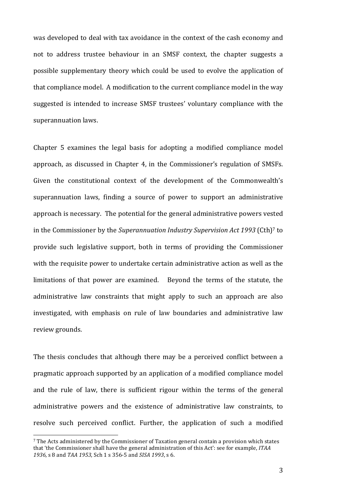was developed to deal with tax avoidance in the context of the cash economy and not to address trustee behaviour in an SMSF context, the chapter suggests a possible supplementary theory which could be used to evolve the application of that compliance model. A modification to the current compliance model in the way suggested is intended to increase SMSF trustees' voluntary compliance with the superannuation laws.

Chapter 5 examines the legal basis for adopting a modified compliance model approach, as discussed in Chapter 4, in the Commissioner's regulation of SMSFs. Given the constitutional context of the development of the Commonwealth's superannuation laws, finding a source of power to support an administrative approach is necessary. The potential for the general administrative powers vested in the Commissioner by the *Superannuation Industry Supervision Act 1993* (Cth)<sup>7</sup> to provide such legislative support, both in terms of providing the Commissioner with the requisite power to undertake certain administrative action as well as the limitations of that power are examined. Beyond the terms of the statute, the administrative law constraints that might apply to such an approach are also investigated, with emphasis on rule of law boundaries and administrative law review grounds.

The thesis concludes that although there may be a perceived conflict between a pragmatic approach supported by an application of a modified compliance model and the rule of law, there is sufficient rigour within the terms of the general administrative powers and the existence of administrative law constraints, to resolve such perceived conflict. Further, the application of such a modified

<sup>&</sup>lt;sup>7</sup> The Acts administered by the Commissioner of Taxation general contain a provision which states that 'the Commissioner shall have the general administration of this Act': see for example, *ITAA* 1936, s 8 and *TAA* 1953, Sch 1 s 356-5 and *SISA* 1993, s 6.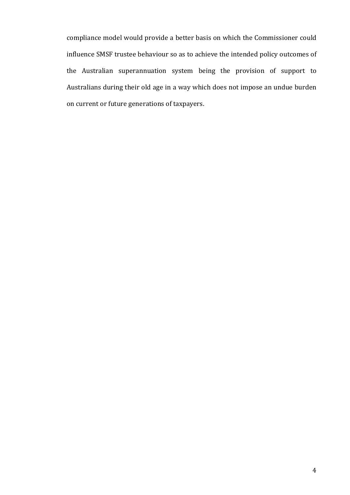compliance model would provide a better basis on which the Commissioner could influence SMSF trustee behaviour so as to achieve the intended policy outcomes of the Australian superannuation system being the provision of support to Australians during their old age in a way which does not impose an undue burden on current or future generations of taxpayers.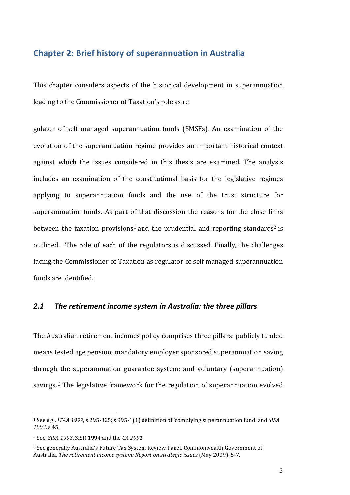#### **Chapter 2: Brief history of superannuation in Australia**

This chapter considers aspects of the historical development in superannuation leading to the Commissioner of Taxation's role as re

gulator of self managed superannuation funds (SMSFs). An examination of the evolution of the superannuation regime provides an important historical context against which the issues considered in this thesis are examined. The analysis includes an examination of the constitutional basis for the legislative regimes applying to superannuation funds and the use of the trust structure for superannuation funds. As part of that discussion the reasons for the close links between the taxation provisions<sup>1</sup> and the prudential and reporting standards<sup>2</sup> is outlined. The role of each of the regulators is discussed. Finally, the challenges facing the Commissioner of Taxation as regulator of self managed superannuation funds are identified.

#### 2.1 The retirement income system in Australia: the three pillars

The Australian retirement incomes policy comprises three pillars: publicly funded means tested age pension; mandatory employer sponsored superannuation saving through the superannuation guarantee system; and voluntary (superannuation) savings.<sup>3</sup> The legislative framework for the regulation of superannuation evolved

<u> 1989 - Johann Stein, marwolaethau a bh</u>

<sup>&</sup>lt;sup>1</sup> See e.g., *ITAA* 1997, s 295-325; s 995-1(1) definition of 'complying superannuation fund' and *SISA* 1993, s 45.

<sup>2</sup> See, *SISA 1993*, SISR 1994 and the *CA 2001*.

<sup>&</sup>lt;sup>3</sup> See generally Australia's Future Tax System Review Panel, Commonwealth Government of Australia, *The retirement income system: Report on strategic issues* (May 2009), 5-7.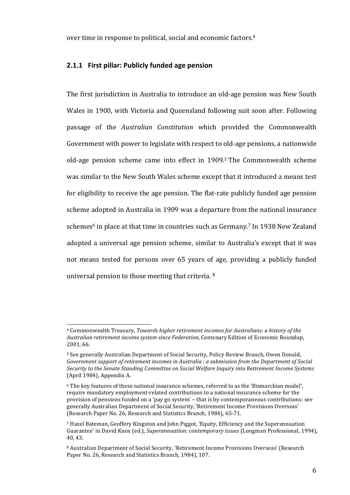over time in response to political, social and economic factors.<sup>4</sup>

#### **2.1.1 First pillar: Publicly funded age pension**

The first jurisdiction in Australia to introduce an old-age pension was New South Wales in 1900, with Victoria and Queensland following suit soon after. Following passage of the *Australian Constitution* which provided the Commonwealth Government with power to legislate with respect to old-age pensions, a nationwide old-age pension scheme came into effect in  $1909<sup>5</sup>$  The Commonwealth scheme was similar to the New South Wales scheme except that it introduced a means test for eligibility to receive the age pension. The flat-rate publicly funded age pension scheme adopted in Australia in 1909 was a departure from the national insurance schemes<sup>6</sup> in place at that time in countries such as Germany.<sup>7</sup> In 1938 New Zealand adopted a universal age pension scheme, similar to Australia's except that it was not means tested for persons over 65 years of age, providing a publicly funded universal pension to those meeting that criteria.  $8$ 

<sup>&</sup>lt;sup>4</sup> Commonwealth Treasury, *Towards higher retirement incomes for Australians: a history of the* Australian retirement income system since Federation, Centenary Edition of Economic Roundup, 2001, 66.

<sup>&</sup>lt;sup>5</sup> See generally Australian Department of Social Security, Policy Review Branch, Owen Donald, Government support of retirement incomes in Australia : a submission from the Department of Social Security to the Senate Standing Committee on Social Welfare Inquiry into Retirement Income Systems (April 1984), Appendix A.

 $6$  The key features of these national insurance schemes, referred to as the 'Bismarckian model', require mandatory employment-related contributions to a national insurance scheme for the provision of pensions funded on a 'pay go system' – that is by contemporaneous contributions: see generally Australian Department of Social Security, 'Retirement Income Provisions Overseas' (Research Paper No. 26, Research and Statistics Branch, 1984), 65-71.

 $7$  Hazel Bateman, Geoffery Kingston and John Piggot, 'Equity, Efficiency and the Superannuation Guarantee' in David Knox (ed.), *Superannuation: contemporary issues* (Longman Professional, 1994), 40, 43.

<sup>&</sup>lt;sup>8</sup> Australian Department of Social Security, 'Retirement Income Provisions Overseas' (Research Paper No. 26, Research and Statistics Branch, 1984), 107.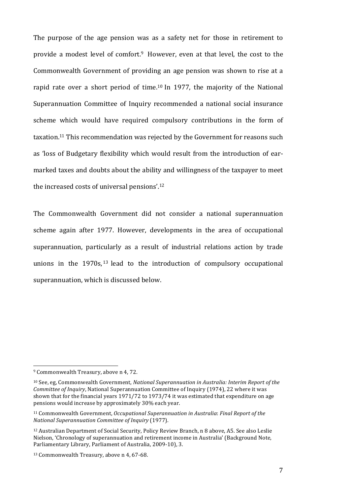The purpose of the age pension was as a safety net for those in retirement to provide a modest level of comfort.<sup>9</sup> However, even at that level, the cost to the Commonwealth Government of providing an age pension was shown to rise at a rapid rate over a short period of time.<sup>10</sup> In 1977, the majority of the National Superannuation Committee of Inquiry recommended a national social insurance scheme which would have required compulsory contributions in the form of taxation.<sup>11</sup> This recommendation was rejected by the Government for reasons such as 'loss of Budgetary flexibility which would result from the introduction of earmarked taxes and doubts about the ability and willingness of the taxpayer to meet the increased costs of universal pensions'. $12$ 

The Commonwealth Government did not consider a national superannuation scheme again after 1977. However, developments in the area of occupational superannuation, particularly as a result of industrial relations action by trade unions in the  $1970s$ ,  $13$  lead to the introduction of compulsory occupational superannuation, which is discussed below.

 $9$  Commonwealth Treasury, above n 4, 72.

<sup>&</sup>lt;sup>10</sup> See, eg, Commonwealth Government, *National Superannuation in Australia: Interim Report of the Committee of Inquiry*, National Superannuation Committee of Inquiry (1974), 22 where it was shown that for the financial years 1971/72 to 1973/74 it was estimated that expenditure on age pensions would increase by approximately 30% each year.

<sup>&</sup>lt;sup>11</sup> Commonwealth Government, *Occupational Superannuation in Australia: Final Report of the National Superannuation Committee of Inquiry* (1977). 

<sup>&</sup>lt;sup>12</sup> Australian Department of Social Security, Policy Review Branch, n 8 above, A5. See also Leslie Nielson, 'Chronology of superannuation and retirement income in Australia' (Background Note, Parliamentary Library, Parliament of Australia, 2009-10), 3.

<sup>&</sup>lt;sup>13</sup> Commonwealth Treasury, above n 4, 67-68.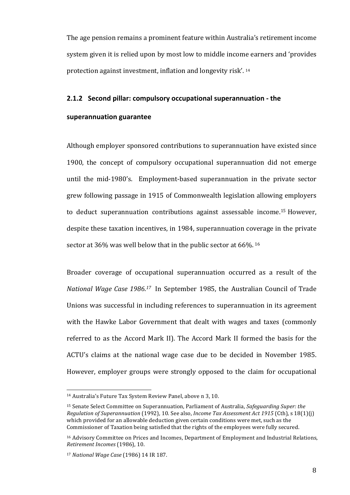The age pension remains a prominent feature within Australia's retirement income system given it is relied upon by most low to middle income earners and 'provides protection against investment, inflation and longevity risk'. <sup>14</sup>

#### **2.1.2** Second pillar: compulsory occupational superannuation - the

#### **superannuation guarantee**

Although employer sponsored contributions to superannuation have existed since 1900, the concept of compulsory occupational superannuation did not emerge until the mid-1980's. Employment-based superannuation in the private sector grew following passage in 1915 of Commonwealth legislation allowing employers to deduct superannuation contributions against assessable income.<sup>15</sup> However, despite these taxation incentives, in 1984, superannuation coverage in the private sector at  $36\%$  was well below that in the public sector at  $66\%$ . <sup>16</sup>

Broader coverage of occupational superannuation occurred as a result of the *National Wage Case 1986.<sup>17</sup>* In September 1985, the Australian Council of Trade Unions was successful in including references to superannuation in its agreement with the Hawke Labor Government that dealt with wages and taxes (commonly referred to as the Accord Mark II). The Accord Mark II formed the basis for the ACTU's claims at the national wage case due to be decided in November 1985. However, employer groups were strongly opposed to the claim for occupational

<sup>&</sup>lt;sup>14</sup> Australia's Future Tax System Review Panel, above n 3, 10.

<sup>&</sup>lt;sup>15</sup> Senate Select Committee on Superannuation, Parliament of Australia, *Safeguarding Super: the Regulation of Superannuation* (1992), 10. See also, *Income Tax Assessment Act 1915* (Cth), s 18(1)(j) which provided for an allowable deduction given certain conditions were met, such as the Commissioner of Taxation being satisfied that the rights of the employees were fully secured.

<sup>&</sup>lt;sup>16</sup> Advisory Committee on Prices and Incomes, Department of Employment and Industrial Relations, *Retirement Incomes* (1986), 10.

<sup>17</sup> *National Wage Case* (1986) 14 IR 187.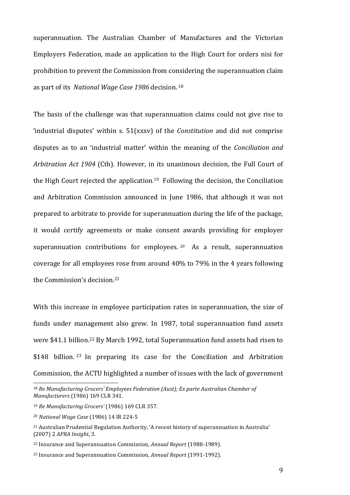superannuation. The Australian Chamber of Manufactures and the Victorian Employers Federation, made an application to the High Court for orders nisi for prohibition to prevent the Commission from considering the superannuation claim as part of its *National Wage Case 1986* decision. <sup>18</sup>

The basis of the challenge was that superannuation claims could not give rise to 'industrial disputes' within s. 51(xxxv) of the *Constitution* and did not comprise disputes as to an 'industrial matter' within the meaning of the *Conciliation and Arbitration Act 1904* (Cth). However, in its unanimous decision, the Full Court of the High Court rejected the application.<sup>19</sup> Following the decision, the Conciliation and Arbitration Commission announced in June 1986, that although it was not prepared to arbitrate to provide for superannuation during the life of the package, it would certify agreements or make consent awards providing for employer superannuation contributions for employees.  $20$  As a result, superannuation coverage for all employees rose from around 40% to 79% in the 4 years following the Commission's decision.<sup>21</sup>

With this increase in employee participation rates in superannuation, the size of funds under management also grew. In 1987, total superannuation fund assets were \$41.1 billion.<sup>22</sup> By March 1992, total Superannuation fund assets had risen to  $$148$  billion. <sup>23</sup> In preparing its case for the Conciliation and Arbitration Commission, the ACTU highlighted a number of issues with the lack of government

<sup>&</sup>lt;sup>18</sup> Re Manufacturing Grocers' Employees Federation (Aust); Ex parte Australian Chamber of *Manufacturers* (1986) 169 CLR 341.

<sup>19</sup> *Re Manufacturing Grocers'* (1986) 169 CLR 357.

<sup>20</sup> *National Wage Case* (1986) 14 IR 224-5

<sup>&</sup>lt;sup>21</sup> Australian Prudential Regulation Authority, 'A recent history of superannuation in Australia' (2007) 2 *APRA Insight*, 3. 

<sup>&</sup>lt;sup>22</sup> Insurance and Superannuation Commission, *Annual Report* (1988-1989).

<sup>&</sup>lt;sup>23</sup> Insurance and Superannuation Commission, *Annual Report* (1991-1992).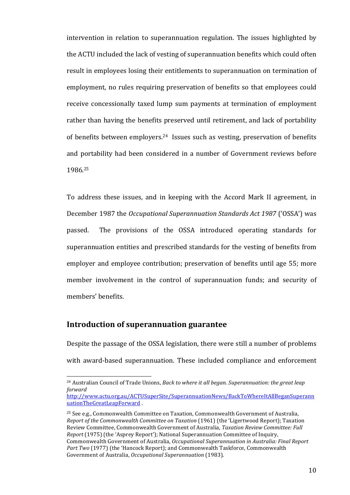intervention in relation to superannuation regulation. The issues highlighted by the ACTU included the lack of vesting of superannuation benefits which could often result in employees losing their entitlements to superannuation on termination of employment, no rules requiring preservation of benefits so that employees could receive concessionally taxed lump sum payments at termination of employment rather than having the benefits preserved until retirement, and lack of portability of benefits between employers.<sup>24</sup> Issues such as vesting, preservation of benefits and portability had been considered in a number of Government reviews before 1986.25

To address these issues, and in keeping with the Accord Mark II agreement, in December 1987 the *Occupational Superannuation Standards Act 1987* ('OSSA') was passed. The provisions of the OSSA introduced operating standards for superannuation entities and prescribed standards for the vesting of benefits from employer and employee contribution; preservation of benefits until age 55; more member involvement in the control of superannuation funds; and security of members' benefits. 

#### **Introduction of superannuation guarantee**

 

Despite the passage of the OSSA legislation, there were still a number of problems with award-based superannuation. These included compliance and enforcement

<sup>&</sup>lt;sup>24</sup> Australian Council of Trade Unions, *Back to where it all began. Superannuation: the great leap forward* 

http://www.actu.org.au/ACTUSuperSite/SuperannuationNews/BackToWhereItAllBeganSuperann uationTheGreatLeapForward

 $25$  See e.g., Commonwealth Committee on Taxation, Commonwealth Government of Australia, *Report of the Commonwealth Committee on Taxation* (1961) (the 'Ligertwood Report); Taxation Review Committee, Commonwealth Government of Australia, *Taxation Review Committee: Full Report* (1975) (the 'Asprey Report'); National Superannuation Committee of Inquiry, Commonwealth Government of Australia, *Occupational Superannuation in Australia: Final Report* Part Two (1977) (the 'Hancock Report); and Commonwealth Taskforce, Commonwealth Government of Australia, Occupational Superannuation (1983).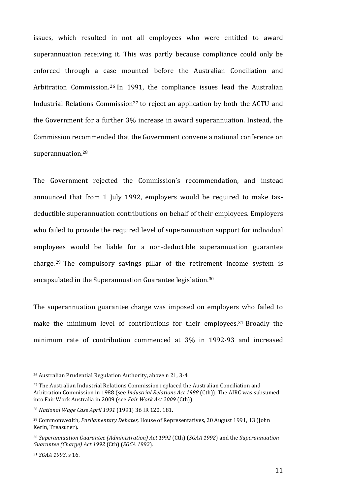issues, which resulted in not all employees who were entitled to award superannuation receiving it. This was partly because compliance could only be enforced through a case mounted before the Australian Conciliation and Arbitration Commission.<sup>26</sup> In 1991, the compliance issues lead the Australian Industrial Relations Commission<sup>27</sup> to reject an application by both the ACTU and the Government for a further 3% increase in award superannuation. Instead, the Commission recommended that the Government convene a national conference on superannuation.28

The Government rejected the Commission's recommendation, and instead announced that from 1 July 1992, employers would be required to make taxdeductible superannuation contributions on behalf of their employees. Employers who failed to provide the required level of superannuation support for individual employees would be liable for a non-deductible superannuation guarantee charge.<sup>29</sup> The compulsory savings pillar of the retirement income system is encapsulated in the Superannuation Guarantee legislation.<sup>30</sup>

The superannuation guarantee charge was imposed on employers who failed to make the minimum level of contributions for their employees.<sup>31</sup> Broadly the minimum rate of contribution commenced at 3% in 1992-93 and increased

<sup>&</sup>lt;sup>26</sup> Australian Prudential Regulation Authority, above n 21, 3-4.

<sup>&</sup>lt;sup>27</sup> The Australian Industrial Relations Commission replaced the Australian Conciliation and Arbitration Commission in 1988 (see *Industrial Relations Act 1988* (Cth)). The AIRC was subsumed into Fair Work Australia in 2009 (see *Fair Work Act 2009* (Cth)).

<sup>&</sup>lt;sup>28</sup> National Wage Case April 1991 (1991) 36 IR 120, 181.

<sup>&</sup>lt;sup>29</sup> Commonwealth, *Parliamentary Debates*, House of Representatives, 20 August 1991, 13 (John Kerin, Treasurer).

<sup>&</sup>lt;sup>30</sup> Superannuation Guarantee (Administration) Act 1992 (Cth) (*SGAA 1992*) and the *Superannuation Guarantee (Charge) Act 1992* (Cth) (*SGCA 1992*).

<sup>31</sup> *SGAA* 1993, s 16.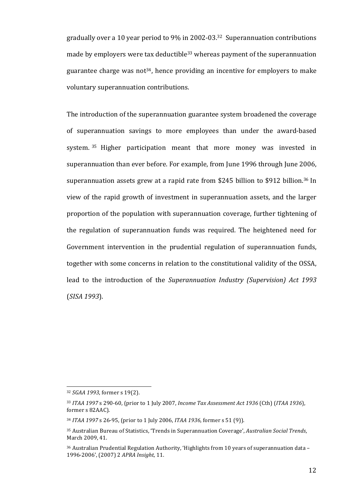gradually over a 10 year period to  $9\%$  in 2002-03.<sup>32</sup> Superannuation contributions made by employers were tax deductible<sup>33</sup> whereas payment of the superannuation guarantee charge was not<sup>34</sup>, hence providing an incentive for employers to make voluntary superannuation contributions.

The introduction of the superannuation guarantee system broadened the coverage of superannuation savings to more employees than under the award-based system. 35 Higher participation meant that more money was invested in superannuation than ever before. For example, from June 1996 through June 2006, superannuation assets grew at a rapid rate from \$245 billion to \$912 billion.<sup>36</sup> In view of the rapid growth of investment in superannuation assets, and the larger proportion of the population with superannuation coverage, further tightening of the regulation of superannuation funds was required. The heightened need for Government intervention in the prudential regulation of superannuation funds, together with some concerns in relation to the constitutional validity of the OSSA, lead to the introduction of the *Superannuation Industry (Supervision) Act 1993* (*SISA 1993*). 

<sup>32</sup> *SGAA* 1993, former s 19(2).

<sup>33</sup> *ITAA* 1997 s 290-60, (prior to 1 July 2007, *Income Tax Assessment Act 1936* (Cth) (*ITAA 1936*), former s 82AAC).

<sup>&</sup>lt;sup>34</sup> *ITAA* 1997 s 26-95, (prior to 1 July 2006, *ITAA* 1936, former s 51 (9)).

<sup>&</sup>lt;sup>35</sup> Australian Bureau of Statistics, 'Trends in Superannuation Coverage', *Australian Social Trends*, March 2009, 41.

 $36$  Australian Prudential Regulation Authority, 'Highlights from 10 years of superannuation data – 1996-2006', (2007) 2 APRA Insight, 11.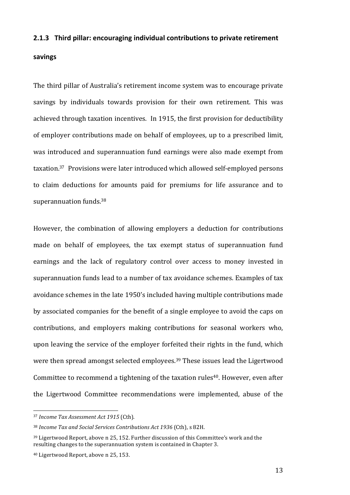#### **2.1.3** Third pillar: encouraging individual contributions to private retirement

#### **savings**

The third pillar of Australia's retirement income system was to encourage private savings by individuals towards provision for their own retirement. This was achieved through taxation incentives. In 1915, the first provision for deductibility of employer contributions made on behalf of employees, up to a prescribed limit, was introduced and superannuation fund earnings were also made exempt from taxation.<sup>37</sup> Provisions were later introduced which allowed self-employed persons to claim deductions for amounts paid for premiums for life assurance and to superannuation funds.<sup>38</sup>

However, the combination of allowing employers a deduction for contributions made on behalf of employees, the tax exempt status of superannuation fund earnings and the lack of regulatory control over access to money invested in superannuation funds lead to a number of tax avoidance schemes. Examples of tax avoidance schemes in the late 1950's included having multiple contributions made by associated companies for the benefit of a single employee to avoid the caps on contributions, and employers making contributions for seasonal workers who, upon leaving the service of the employer forfeited their rights in the fund, which were then spread amongst selected employees.<sup>39</sup> These issues lead the Ligertwood Committee to recommend a tightening of the taxation rules<sup>40</sup>. However, even after the Ligertwood Committee recommendations were implemented, abuse of the

<u> 1989 - Johann Stein, marwolaethau a bh</u>

<sup>&</sup>lt;sup>37</sup> *Income Tax Assessment Act 1915* (Cth).

<sup>&</sup>lt;sup>38</sup> Income Tax and Social Services Contributions Act 1936 (Cth), s 82H.

 $39$  Ligertwood Report, above n 25, 152. Further discussion of this Committee's work and the resulting changes to the superannuation system is contained in Chapter 3.

<sup>&</sup>lt;sup>40</sup> Ligertwood Report, above n 25, 153.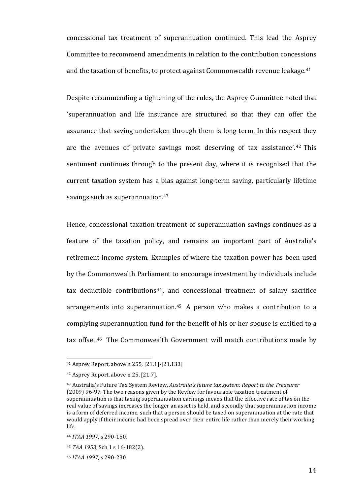concessional tax treatment of superannuation continued. This lead the Asprey Committee to recommend amendments in relation to the contribution concessions and the taxation of benefits, to protect against Commonwealth revenue leakage.<sup>41</sup>

Despite recommending a tightening of the rules, the Asprey Committee noted that 'superannuation and life insurance are structured so that they can offer the assurance that saving undertaken through them is long term. In this respect they are the avenues of private savings most deserving of tax assistance'.<sup>42</sup> This sentiment continues through to the present day, where it is recognised that the current taxation system has a bias against long-term saving, particularly lifetime savings such as superannuation.<sup>43</sup>

Hence, concessional taxation treatment of superannuation savings continues as a feature of the taxation policy, and remains an important part of Australia's retirement income system. Examples of where the taxation power has been used by the Commonwealth Parliament to encourage investment by individuals include tax deductible contributions<sup>44</sup>, and concessional treatment of salary sacrifice arrangements into superannuation.<sup>45</sup> A person who makes a contribution to a complying superannuation fund for the benefit of his or her spouse is entitled to a tax offset.<sup>46</sup> The Commonwealth Government will match contributions made by

 $41$  Asprey Report, above n 255, [21.1]-[21.133]

 $42$  Asprey Report, above n 25, [21.7].

<sup>&</sup>lt;sup>43</sup> Australia's Future Tax System Review, Australia's future tax system: Report to the Treasurer (2009) 96-97. The two reasons given by the Review for favourable taxation treatment of superannuation is that taxing superannuation earnings means that the effective rate of tax on the real value of savings increases the longer an asset is held, and secondly that superannuation income is a form of deferred income, such that a person should be taxed on superannuation at the rate that would apply if their income had been spread over their entire life rather than merely their working life.

<sup>44</sup> *ITAA 1997*, s 290-150.

<sup>45</sup> *TAA* 1953, Sch 1 s 16-182(2).

<sup>46</sup> *ITAA 1997*, s 290-230.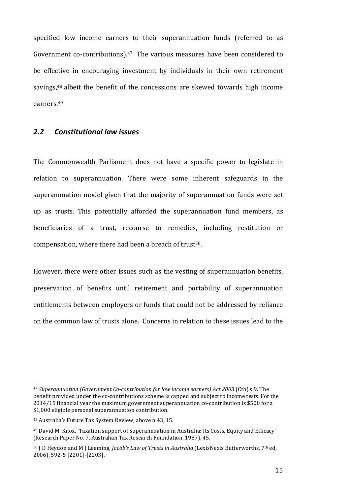specified low income earners to their superannuation funds (referred to as Government co-contributions). $47$  The various measures have been considered to be effective in encouraging investment by individuals in their own retirement savings, $48$  albeit the benefit of the concessions are skewed towards high income earners.49

#### *2.2 Constitutional law issues*

The Commonwealth Parliament does not have a specific power to legislate in relation to superannuation. There were some inherent safeguards in the superannuation model given that the majority of superannuation funds were set up as trusts. This potentially afforded the superannuation fund members, as beneficiaries of a trust, recourse to remedies, including restitution or compensation, where there had been a breach of trust<sup>50</sup>.

However, there were other issues such as the vesting of superannuation benefits, preservation of benefits until retirement and portability of superannuation entitlements between employers or funds that could not be addressed by reliance on the common law of trusts alone. Concerns in relation to these issues lead to the

<sup>&</sup>lt;sup>47</sup> Superannuation (Government Co-contribution for low income earners) Act 2003 (Cth) s 9. The benefit provided under the co-contributions scheme is capped and subject to income tests. For the  $2014/15$  financial year the maximum government superannuation co-contribution is \$500 for a  $$1,000$  eligible personal superannuation contribution.

<sup>48</sup> Australia's Future Tax System Review, above n 43, 15.

<sup>&</sup>lt;sup>49</sup> David M. Knox, 'Taxation support of Superannuation in Australia: Its Costs, Equity and Efficacy' (Research Paper No. 7, Australian Tax Research Foundation, 1987), 45.

<sup>&</sup>lt;sup>50</sup> J D Heydon and M J Leeming, *Jacob's Law of Trusts in Australia* (LexisNexis Butterworths, 7<sup>th</sup> ed, 2006), 592-5 [2201]-[2203].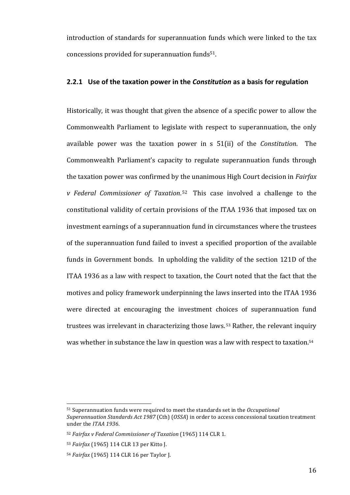introduction of standards for superannuation funds which were linked to the tax concessions provided for superannuation funds<sup>51</sup>.

#### **2.2.1** Use of the taxation power in the *Constitution* as a basis for regulation

Historically, it was thought that given the absence of a specific power to allow the Commonwealth Parliament to legislate with respect to superannuation, the only available power was the taxation power in s 51(ii) of the *Constitution*. The Commonwealth Parliament's capacity to regulate superannuation funds through the taxation power was confirmed by the unanimous High Court decision in *Fairfax v* Federal Commissioner of Taxation.<sup>52</sup> This case involved a challenge to the constitutional validity of certain provisions of the ITAA 1936 that imposed tax on investment earnings of a superannuation fund in circumstances where the trustees of the superannuation fund failed to invest a specified proportion of the available funds in Government bonds. In upholding the validity of the section 121D of the ITAA 1936 as a law with respect to taxation, the Court noted that the fact that the motives and policy framework underpinning the laws inserted into the ITAA 1936 were directed at encouraging the investment choices of superannuation fund trustees was irrelevant in characterizing those laws.<sup>53</sup> Rather, the relevant inquiry was whether in substance the law in question was a law with respect to taxation.<sup>54</sup>

<sup>&</sup>lt;sup>51</sup> Superannuation funds were required to meet the standards set in the *Occupational Superannuation Standards Act 1987* (Cth) (*OSSA*) in order to access concessional taxation treatment under the *ITAA* 1936.

<sup>&</sup>lt;sup>52</sup> Fairfax v Federal Commissioner of Taxation (1965) 114 CLR 1.

<sup>53</sup> *Fairfax* (1965) 114 CLR 13 per Kitto J.

<sup>54</sup> *Fairfax* (1965) 114 CLR 16 per Taylor J.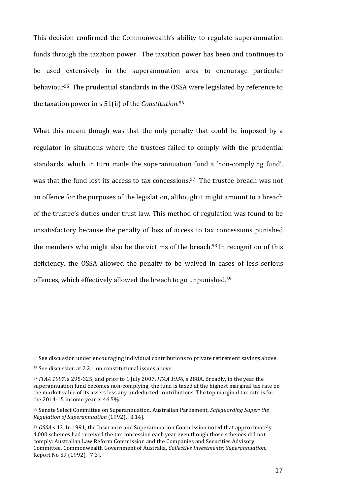This decision confirmed the Commonwealth's ability to regulate superannuation funds through the taxation power. The taxation power has been and continues to be used extensively in the superannuation area to encourage particular behaviour<sup>55</sup>. The prudential standards in the OSSA were legislated by reference to the taxation power in s 51(ii) of the *Constitution*.<sup>56</sup>

What this meant though was that the only penalty that could be imposed by a regulator in situations where the trustees failed to comply with the prudential standards, which in turn made the superannuation fund a 'non-complying fund', was that the fund lost its access to tax concessions.<sup>57</sup> The trustee breach was not an offence for the purposes of the legislation, although it might amount to a breach of the trustee's duties under trust law. This method of regulation was found to be unsatisfactory because the penalty of loss of access to tax concessions punished the members who might also be the victims of the breach.<sup>58</sup> In recognition of this deficiency, the OSSA allowed the penalty to be waived in cases of less serious offences, which effectively allowed the breach to go unpunished.<sup>59</sup>

<sup>55</sup> See discussion under encouraging individual contributions to private retirement savings above.

<sup>56</sup> See discussion at 2.2.1 on constitutional issues above.

<sup>57</sup> *ITAA* 1997, s 295-325, and prior to 1 July 2007, *ITAA* 1936, s 288A. Broadly, in the year the superannuation fund becomes non-complying, the fund is taxed at the highest marginal tax rate on the market value of its assets less any undeducted contributions. The top marginal tax rate is for the  $2014-15$  income year is  $46.5\%$ .

<sup>58</sup> Senate Select Committee on Superannuation, Australian Parliament, Safeguarding Super: the *Regulation of Superannuation* (1992), [3.14].

<sup>&</sup>lt;sup>59</sup> *OSSA* s 13. In 1991, the Insurance and Superannuation Commission noted that approximately 4,000 schemes had received the tax concession each year even though those schemes did not comply: Australian Law Reform Commission and the Companies and Securities Advisory Committee, Commonwealth Government of Australia, *Collective Investments: Superannuation*, Report No 59 (1992), [7.3].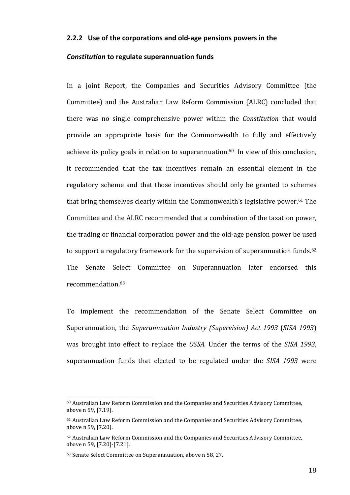#### **2.2.2** Use of the corporations and old-age pensions powers in the

#### *Constitution* to regulate superannuation funds

In a joint Report, the Companies and Securities Advisory Committee (the Committee) and the Australian Law Reform Commission (ALRC) concluded that there was no single comprehensive power within the *Constitution* that would provide an appropriate basis for the Commonwealth to fully and effectively achieve its policy goals in relation to superannuation. $60$  In view of this conclusion, it recommended that the tax incentives remain an essential element in the regulatory scheme and that those incentives should only be granted to schemes that bring themselves clearly within the Commonwealth's legislative power.<sup>61</sup> The Committee and the ALRC recommended that a combination of the taxation power, the trading or financial corporation power and the old-age pension power be used to support a regulatory framework for the supervision of superannuation funds.<sup>62</sup> The Senate Select Committee on Superannuation later endorsed this recommendation.63

To implement the recommendation of the Senate Select Committee on Superannuation, the *Superannuation Industry (Supervision) Act 1993 (SISA 1993)* was brought into effect to replace the *OSSA*. Under the terms of the *SISA* 1993, superannuation funds that elected to be regulated under the *SISA* 1993 were

 $60$  Australian Law Reform Commission and the Companies and Securities Advisory Committee, above n 59, [7.19].

<sup>&</sup>lt;sup>61</sup> Australian Law Reform Commission and the Companies and Securities Advisory Committee, above n 59, [7.20].

 $62$  Australian Law Reform Commission and the Companies and Securities Advisory Committee, above n 59, [7.20]-[7.21].

<sup>63</sup> Senate Select Committee on Superannuation, above n 58, 27.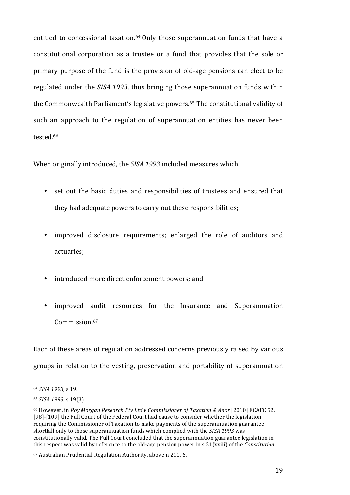entitled to concessional taxation.<sup>64</sup> Only those superannuation funds that have a constitutional corporation as a trustee or a fund that provides that the sole or primary purpose of the fund is the provision of old-age pensions can elect to be regulated under the *SISA 1993*, thus bringing those superannuation funds within the Commonwealth Parliament's legislative powers.<sup>65</sup> The constitutional validity of such an approach to the regulation of superannuation entities has never been tested. 66

When originally introduced, the *SISA 1993* included measures which:

- set out the basic duties and responsibilities of trustees and ensured that they had adequate powers to carry out these responsibilities;
- improved disclosure requirements; enlarged the role of auditors and actuaries;
- introduced more direct enforcement powers; and
- improved audit resources for the Insurance and Superannuation Commission. 67

Each of these areas of regulation addressed concerns previously raised by various groups in relation to the vesting, preservation and portability of superannuation

<sup>64</sup> *SISA 1993*, s 19.

<sup>65</sup> *SISA 1993*, s 19(3).

<sup>&</sup>lt;sup>66</sup> However, in *Roy Morgan Research Pty Ltd v Commissioner of Taxation & Anor* [2010] FCAFC 52, [98]-[109] the Full Court of the Federal Court had cause to consider whether the legislation requiring the Commissioner of Taxation to make payments of the superannuation guarantee shortfall only to those superannuation funds which complied with the *SISA 1993* was constitutionally valid. The Full Court concluded that the superannuation guarantee legislation in this respect was valid by reference to the old-age pension power in  $s$  51(xxiii) of the *Constitution*.

<sup>67</sup> Australian Prudential Regulation Authority, above n 211, 6.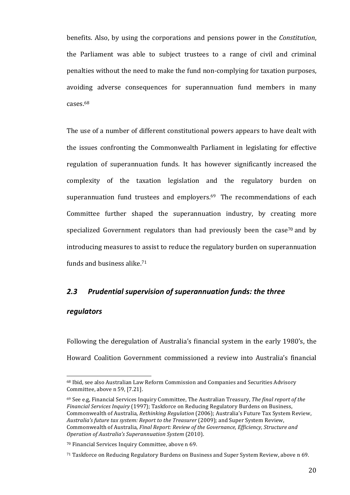benefits. Also, by using the corporations and pensions power in the *Constitution*, the Parliament was able to subject trustees to a range of civil and criminal penalties without the need to make the fund non-complying for taxation purposes, avoiding adverse consequences for superannuation fund members in many cases. 68

The use of a number of different constitutional powers appears to have dealt with the issues confronting the Commonwealth Parliament in legislating for effective regulation of superannuation funds. It has however significantly increased the complexity of the taxation legislation and the regulatory burden on superannuation fund trustees and employers. $69$  The recommendations of each Committee further shaped the superannuation industry, by creating more specialized Government regulators than had previously been the case<sup>70</sup> and by introducing measures to assist to reduce the regulatory burden on superannuation funds and business alike.<sup>71</sup>

#### 2.3 Prudential supervision of superannuation funds: the three

#### *regulators*

Following the deregulation of Australia's financial system in the early 1980's, the Howard Coalition Government commissioned a review into Australia's financial

<sup>68</sup> Ibid, see also Australian Law Reform Commission and Companies and Securities Advisory Committee, above n 59, [7.21].

<sup>&</sup>lt;sup>69</sup> See e.g, Financial Services Inquiry Committee, The Australian Treasury, *The final report of the Financial Services Inquiry* (1997); Taskforce on Reducing Regulatory Burdens on Business, Commonwealth of Australia, *Rethinking Regulation* (2006); Australia's Future Tax System Review, Australia's future tax system: Report to the Treasurer (2009); and Super System Review, Commonwealth of Australia, *Final Report: Review of the Governance, Efficiency, Structure and Operation of Australia's Superannuation System* (2010). 

<sup>&</sup>lt;sup>70</sup> Financial Services Inquiry Committee, above n 69.

<sup>71</sup> Taskforce on Reducing Regulatory Burdens on Business and Super System Review, above n 69.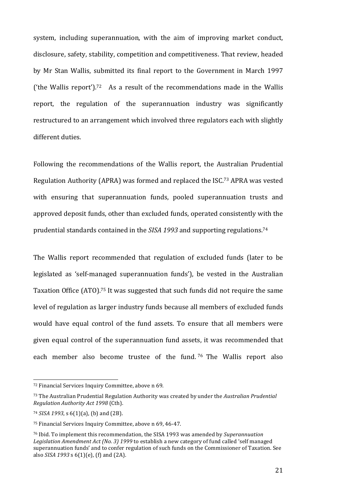system, including superannuation, with the aim of improving market conduct, disclosure, safety, stability, competition and competitiveness. That review, headed by Mr Stan Wallis, submitted its final report to the Government in March 1997 ('the Wallis report').<sup>72</sup> As a result of the recommendations made in the Wallis report, the regulation of the superannuation industry was significantly restructured to an arrangement which involved three regulators each with slightly different duties.

Following the recommendations of the Wallis report, the Australian Prudential Regulation Authority (APRA) was formed and replaced the ISC.<sup>73</sup> APRA was vested with ensuring that superannuation funds, pooled superannuation trusts and approved deposit funds, other than excluded funds, operated consistently with the prudential standards contained in the SISA 1993 and supporting regulations.<sup>74</sup>

The Wallis report recommended that regulation of excluded funds (later to be legislated as 'self-managed superannuation funds'), be vested in the Australian Taxation Office (ATO).<sup>75</sup> It was suggested that such funds did not require the same level of regulation as larger industry funds because all members of excluded funds would have equal control of the fund assets. To ensure that all members were given equal control of the superannuation fund assets, it was recommended that each member also become trustee of the fund. 76 The Wallis report also

<sup>72</sup> Financial Services Inquiry Committee, above n 69.

<sup>73</sup> The Australian Prudential Regulation Authority was created by under the *Australian Prudential Regulation Authority Act 1998* (Cth). 

<sup>74</sup> *SISA 1993*, s 6(1)(a), (b) and (2B).

<sup>&</sup>lt;sup>75</sup> Financial Services Inquiry Committee, above n 69, 46-47.

<sup>&</sup>lt;sup>76</sup> Ibid. To implement this recommendation, the SISA 1993 was amended by *Superannuation Legislation Amendment Act (No. 3) 1999* to establish a new category of fund called 'self managed superannuation funds' and to confer regulation of such funds on the Commissioner of Taxation. See also *SISA* 1993 s  $6(1)(e)$ , (f) and (2A).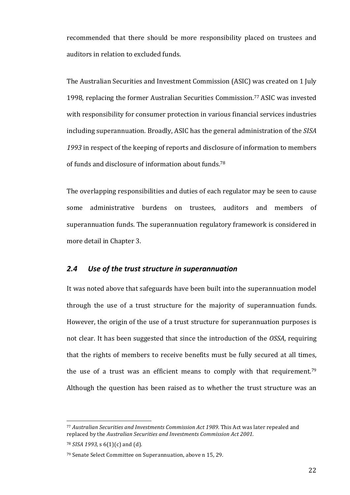recommended that there should be more responsibility placed on trustees and auditors in relation to excluded funds.

The Australian Securities and Investment Commission (ASIC) was created on 1 July 1998, replacing the former Australian Securities Commission.<sup>77</sup> ASIC was invested with responsibility for consumer protection in various financial services industries including superannuation. Broadly, ASIC has the general administration of the *SISA* 1993 in respect of the keeping of reports and disclosure of information to members of funds and disclosure of information about funds.<sup>78</sup>

The overlapping responsibilities and duties of each regulator may be seen to cause some administrative burdens on trustees, auditors and members of superannuation funds. The superannuation regulatory framework is considered in more detail in Chapter 3.

#### 2.4 Use of the trust structure in superannuation

It was noted above that safeguards have been built into the superannuation model through the use of a trust structure for the majority of superannuation funds. However, the origin of the use of a trust structure for superannuation purposes is not clear. It has been suggested that since the introduction of the *OSSA*, requiring that the rights of members to receive benefits must be fully secured at all times, the use of a trust was an efficient means to comply with that requirement.<sup>79</sup> Although the question has been raised as to whether the trust structure was an

<sup>77</sup> Australian Securities and Investments Commission Act 1989. This Act was later repealed and replaced by the Australian Securities and Investments Commission Act 2001.

<sup>78</sup> *SISA* 1993, *s* 6(1)(*c*) and (d).

<sup>79</sup> Senate Select Committee on Superannuation, above n 15, 29.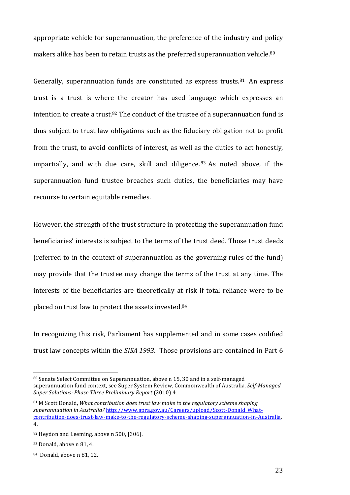appropriate vehicle for superannuation, the preference of the industry and policy makers alike has been to retain trusts as the preferred superannuation vehicle.<sup>80</sup>

Generally, superannuation funds are constituted as express trusts. $81$  An express trust is a trust is where the creator has used language which expresses an intention to create a trust.<sup>82</sup> The conduct of the trustee of a superannuation fund is thus subject to trust law obligations such as the fiduciary obligation not to profit from the trust, to avoid conflicts of interest, as well as the duties to act honestly, impartially, and with due care, skill and diligence.  $83$  As noted above, if the superannuation fund trustee breaches such duties, the beneficiaries may have recourse to certain equitable remedies.

However, the strength of the trust structure in protecting the superannuation fund beneficiaries' interests is subject to the terms of the trust deed. Those trust deeds (referred to in the context of superannuation as the governing rules of the fund) may provide that the trustee may change the terms of the trust at any time. The interests of the beneficiaries are theoretically at risk if total reliance were to be placed on trust law to protect the assets invested.<sup>84</sup>

In recognizing this risk, Parliament has supplemented and in some cases codified trust law concepts within the *SISA 1993*. Those provisions are contained in Part 6

<sup>80</sup> Senate Select Committee on Superannuation, above n 15, 30 and in a self-managed superannuation fund context, see Super System Review, Commonwealth of Australia, Self-Managed *Super Solutions: Phase Three Preliminary Report* (2010) 4.

<sup>&</sup>lt;sup>81</sup> M Scott Donald, *What contribution does trust law make to the regulatory scheme shaping superannuation* in Australia? http://www.apra.gov.au/Careers/upload/Scott-Donald\_Whatcontribution-does-trust-law-make-to-the-regulatory-scheme-shaping-superannuation-in-Australia, 4.

<sup>82</sup> Heydon and Leeming, above n 500, [306].

<sup>83</sup> Donald, above n 81, 4.

<sup>84</sup> Donald, above n 81, 12.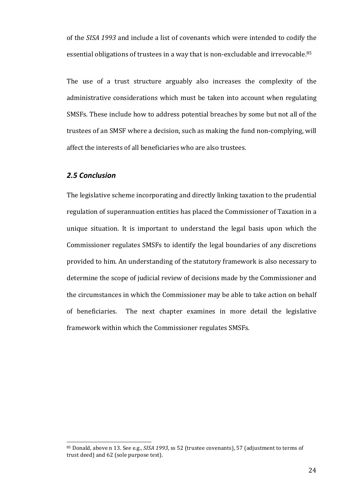of the *SISA 1993* and include a list of covenants which were intended to codify the essential obligations of trustees in a way that is non-excludable and irrevocable.<sup>85</sup>

The use of a trust structure arguably also increases the complexity of the administrative considerations which must be taken into account when regulating SMSFs. These include how to address potential breaches by some but not all of the trustees of an SMSF where a decision, such as making the fund non-complying, will affect the interests of all beneficiaries who are also trustees.

#### *2.5 Conclusion*

 

The legislative scheme incorporating and directly linking taxation to the prudential regulation of superannuation entities has placed the Commissioner of Taxation in a unique situation. It is important to understand the legal basis upon which the Commissioner regulates SMSFs to identify the legal boundaries of any discretions provided to him. An understanding of the statutory framework is also necessary to determine the scope of judicial review of decisions made by the Commissioner and the circumstances in which the Commissioner may be able to take action on behalf of beneficiaries. The next chapter examines in more detail the legislative framework within which the Commissioner regulates SMSFs.

<sup>85</sup> Donald, above n 13. See e.g., *SISA 1993*, ss 52 (trustee covenants), 57 (adjustment to terms of trust deed) and 62 (sole purpose test).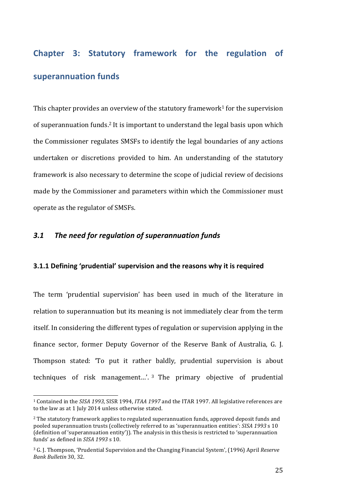# **Chapter 3: Statutory framework for the regulation of superannuation funds**

This chapter provides an overview of the statutory framework<sup>1</sup> for the supervision of superannuation funds.<sup>2</sup> It is important to understand the legal basis upon which the Commissioner regulates SMSFs to identify the legal boundaries of any actions undertaken or discretions provided to him. An understanding of the statutory framework is also necessary to determine the scope of judicial review of decisions made by the Commissioner and parameters within which the Commissioner must operate as the regulator of SMSFs.

## 3.1 The need for regulation of superannuation funds

 

#### **3.1.1** Defining 'prudential' supervision and the reasons why it is required

The term 'prudential supervision' has been used in much of the literature in relation to superannuation but its meaning is not immediately clear from the term itself. In considering the different types of regulation or supervision applying in the finance sector, former Deputy Governor of the Reserve Bank of Australia, G. J. Thompson stated: 'To put it rather baldly, prudential supervision is about techniques of risk management...'.  $3$  The primary objective of prudential

<sup>&</sup>lt;sup>1</sup> Contained in the *SISA* 1993, SISR 1994, *ITAA* 1997 and the ITAR 1997. All legislative references are to the law as at 1 July 2014 unless otherwise stated.

<sup>&</sup>lt;sup>2</sup> The statutory framework applies to regulated superannuation funds, approved deposit funds and pooled superannuation trusts (collectively referred to as 'superannuation entities': *SISA* 1993 s 10 (definition of 'superannuation entity')). The analysis in this thesis is restricted to 'superannuation funds' as defined in *SISA* 1993 s 10.

<sup>&</sup>lt;sup>3</sup> G. J. Thompson, 'Prudential Supervision and the Changing Financial System', (1996) April *Reserve Bank Bulletin* 30, 32.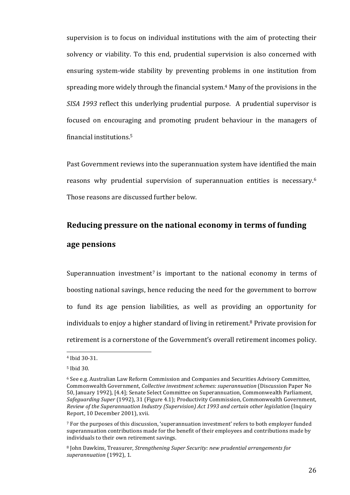supervision is to focus on individual institutions with the aim of protecting their solvency or viability. To this end, prudential supervision is also concerned with ensuring system-wide stability by preventing problems in one institution from spreading more widely through the financial system.<sup>4</sup> Many of the provisions in the *SISA* 1993 reflect this underlying prudential purpose. A prudential supervisor is focused on encouraging and promoting prudent behaviour in the managers of financial institutions. 5 

Past Government reviews into the superannuation system have identified the main reasons why prudential supervision of superannuation entities is necessary.<sup>6</sup> Those reasons are discussed further below.

## Reducing pressure on the national economy in terms of funding **age pensions**

Superannuation investment<sup>7</sup> is important to the national economy in terms of boosting national savings, hence reducing the need for the government to borrow to fund its age pension liabilities, as well as providing an opportunity for individuals to enjoy a higher standard of living in retirement.<sup>8</sup> Private provision for retirement is a cornerstone of the Government's overall retirement incomes policy.

<sup>4</sup> Ibid 30-31.

<sup>5</sup> Ibid 30.

 $6$  See e.g. Australian Law Reform Commission and Companies and Securities Advisory Committee, Commonwealth Government, *Collective investment schemes: superannuation* (Discussion Paper No 50, January 1992), [4.4]; Senate Select Committee on Superannuation, Commonwealth Parliament, *Safeguarding Super* (1992), 31 (Figure 4.1); Productivity Commission, Commonwealth Government, *Review of the Superannuation Industry (Supervision) Act 1993 and certain other legislation* (Inquiry Report, 10 December 2001), xvii.

<sup>&</sup>lt;sup>7</sup> For the purposes of this discussion, 'superannuation investment' refers to both employer funded superannuation contributions made for the benefit of their employees and contributions made by individuals to their own retirement savings.

<sup>&</sup>lt;sup>8</sup> John Dawkins, Treasurer, *Strengthening Super Security: new prudential arrangements for* superannuation (1992), 1.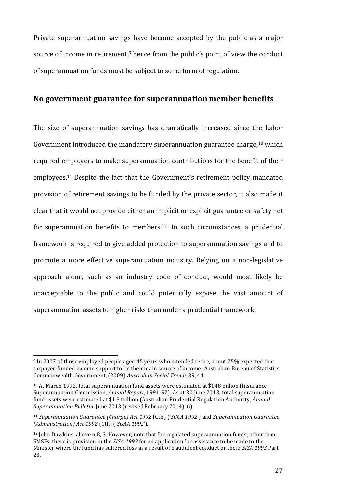Private superannuation savings have become accepted by the public as a major source of income in retirement,<sup>9</sup> hence from the public's point of view the conduct of superannuation funds must be subject to some form of regulation.

## **No government guarantee for superannuation member benefits**

The size of superannuation savings has dramatically increased since the Labor Government introduced the mandatory superannuation guarantee charge,<sup>10</sup> which required employers to make superannuation contributions for the benefit of their employees.<sup>11</sup> Despite the fact that the Government's retirement policy mandated provision of retirement savings to be funded by the private sector, it also made it clear that it would not provide either an implicit or explicit guarantee or safety net for superannuation benefits to members.<sup>12</sup> In such circumstances, a prudential framework is required to give added protection to superannuation savings and to promote a more effective superannuation industry. Relying on a non-legislative approach alone, such as an industry code of conduct, would most likely be unacceptable to the public and could potentially expose the vast amount of superannuation assets to higher risks than under a prudential framework.

<sup>&</sup>lt;sup>9</sup> In 2007 of those employed people aged 45 years who intended retire, about 25% expected that taxpayer-funded income support to be their main source of income: Australian Bureau of Statistics, Commonwealth Government, (2009) *Australian Social Trends* 39, 44.

 $10$  At March 1992, total superannuation fund assets were estimated at \$148 billion (Insurance Superannuation Commission, *Annual Report*, 1991-92). As at 30 June 2013, total superannuation fund assets were estimated at \$1.8 trillion (Australian Prudential Regulation Authority, *Annual Superannuation Bulletin, June 2013 (revised February 2014), 6).* 

<sup>&</sup>lt;sup>11</sup> Superannuation Guarantee (Charge) Act 1992 (Cth) ('SGCA 1992') and Superannuation Guarantee *(Administration) Act 1992* (Cth) ('*SGAA 1992*').

 $12$  John Dawkins, above n 8, 3. However, note that for regulated superannuation funds, other than SMSFs, there is provision in the *SISA 1993* for an application for assistance to be made to the Minister where the fund has suffered loss as a result of fraudulent conduct or theft: *SISA 1993* Part 23.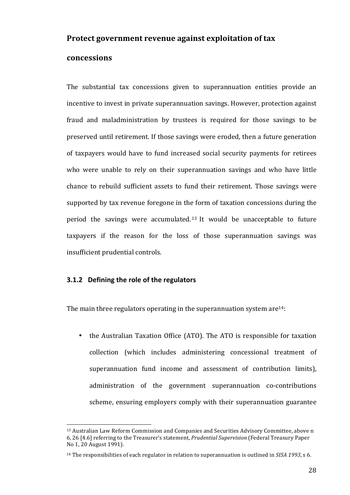## **Protect government revenue against exploitation of tax**

## **concessions**

The substantial tax concessions given to superannuation entities provide an incentive to invest in private superannuation savings. However, protection against fraud and maladministration by trustees is required for those savings to be preserved until retirement. If those savings were eroded, then a future generation of taxpayers would have to fund increased social security payments for retirees who were unable to rely on their superannuation savings and who have little chance to rebuild sufficient assets to fund their retirement. Those savings were supported by tax revenue foregone in the form of taxation concessions during the period the savings were accumulated.<sup>13</sup> It would be unacceptable to future taxpayers if the reason for the loss of those superannuation savings was insufficient prudential controls.

## **3.1.2** Defining the role of the regulators

 

The main three regulators operating in the superannuation system are<sup>14</sup>:

• the Australian Taxation Office (ATO). The ATO is responsible for taxation collection (which includes administering concessional treatment of superannuation fund income and assessment of contribution limits), administration of the government superannuation co-contributions scheme, ensuring employers comply with their superannuation guarantee

<sup>&</sup>lt;sup>13</sup> Australian Law Reform Commission and Companies and Securities Advisory Committee, above n 6, 26 [4.6] referring to the Treasurer's statement, *Prudential Supervision* (Federal Treasury Paper No 1, 20 August 1991).

<sup>&</sup>lt;sup>14</sup> The responsibilities of each regulator in relation to superannuation is outlined in *SISA 1993*, s 6.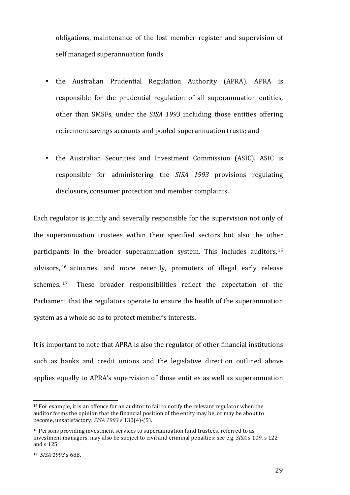obligations, maintenance of the lost member register and supervision of self managed superannuation funds

- the Australian Prudential Regulation Authority (APRA). APRA is responsible for the prudential regulation of all superannuation entities, other than SMSFs, under the *SISA 1993* including those entities offering retirement savings accounts and pooled superannuation trusts; and
- the Australian Securities and Investment Commission (ASIC). ASIC is responsible for administering the *SISA* 1993 provisions regulating disclosure, consumer protection and member complaints.

Each regulator is jointly and severally responsible for the supervision not only of the superannuation trustees within their specified sectors but also the other participants in the broader superannuation system. This includes auditors,  $15$ advisors, <sup>16</sup> actuaries, and more recently, promoters of illegal early release schemes. <sup>17</sup> These broader responsibilities reflect the expectation of the Parliament that the regulators operate to ensure the health of the superannuation system as a whole so as to protect member's interests.

It is important to note that APRA is also the regulator of other financial institutions such as banks and credit unions and the legislative direction outlined above applies equally to APRA's supervision of those entities as well as superannuation

<sup>&</sup>lt;sup>15</sup> For example, it is an offence for an auditor to fail to notify the relevant regulator when the auditor forms the opinion that the financial position of the entity may be, or may be about to become, unsatisfactory: *SISA* 1993 s 130(4)-(5).

 $16$  Persons providing investment services to superannuation fund trustees, referred to as investment managers, may also be subject to civil and criminal penalties: see e.g. *SISA* s 109, s 122 and s 125.

<sup>17</sup> *SISA 1993* s 68B.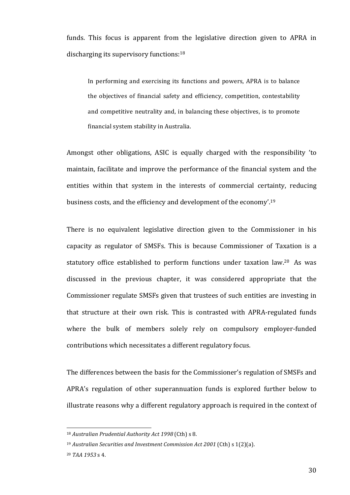funds. This focus is apparent from the legislative direction given to APRA in discharging its supervisory functions: $18$ 

In performing and exercising its functions and powers, APRA is to balance the objectives of financial safety and efficiency, competition, contestability and competitive neutrality and, in balancing these objectives, is to promote financial system stability in Australia.

Amongst other obligations, ASIC is equally charged with the responsibility 'to maintain, facilitate and improve the performance of the financial system and the entities within that system in the interests of commercial certainty, reducing business costs, and the efficiency and development of the economy'.<sup>19</sup>

There is no equivalent legislative direction given to the Commissioner in his capacity as regulator of SMSFs. This is because Commissioner of Taxation is a statutory office established to perform functions under taxation law.<sup>20</sup> As was discussed in the previous chapter, it was considered appropriate that the Commissioner regulate SMSFs given that trustees of such entities are investing in that structure at their own risk. This is contrasted with APRA-regulated funds where the bulk of members solely rely on compulsory employer-funded contributions which necessitates a different regulatory focus.

The differences between the basis for the Commissioner's regulation of SMSFs and APRA's regulation of other superannuation funds is explored further below to illustrate reasons why a different regulatory approach is required in the context of

<sup>18</sup> Australian Prudential Authority Act 1998 (Cth) s 8.

<sup>&</sup>lt;sup>19</sup> Australian Securities and Investment Commission Act 2001 (Cth) s 1(2)(a).

<sup>20</sup> *TAA 1953* s 4.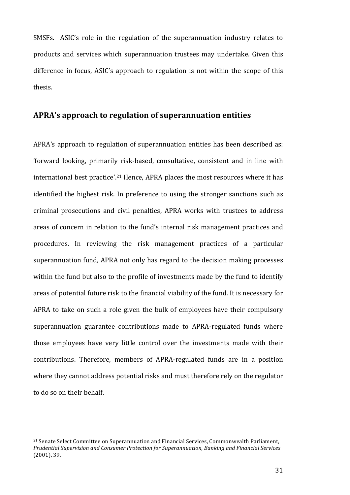SMSFs. ASIC's role in the regulation of the superannuation industry relates to products and services which superannuation trustees may undertake. Given this difference in focus, ASIC's approach to regulation is not within the scope of this thesis. 

## APRA's approach to regulation of superannuation entities

APRA's approach to regulation of superannuation entities has been described as: 'forward looking, primarily risk-based, consultative, consistent and in line with international best practice'.<sup>21</sup> Hence, APRA places the most resources where it has identified the highest risk. In preference to using the stronger sanctions such as criminal prosecutions and civil penalties, APRA works with trustees to address areas of concern in relation to the fund's internal risk management practices and procedures. In reviewing the risk management practices of a particular superannuation fund, APRA not only has regard to the decision making processes within the fund but also to the profile of investments made by the fund to identify areas of potential future risk to the financial viability of the fund. It is necessary for APRA to take on such a role given the bulk of employees have their compulsory superannuation guarantee contributions made to APRA-regulated funds where those employees have very little control over the investments made with their contributions. Therefore, members of APRA-regulated funds are in a position where they cannot address potential risks and must therefore rely on the regulator to do so on their behalf.

<sup>&</sup>lt;sup>21</sup> Senate Select Committee on Superannuation and Financial Services, Commonwealth Parliament, *Prudential Supervision and Consumer Protection for Superannuation, Banking and Financial Services*  $(2001)$ , 39.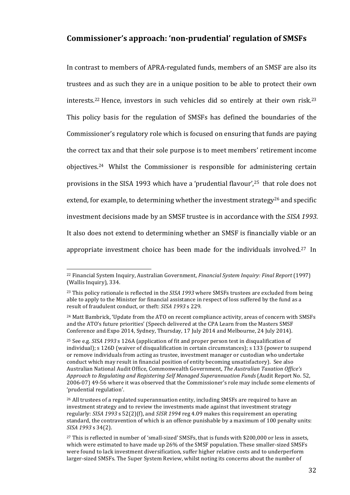## **Commissioner's approach: 'non-prudential' regulation of SMSFs**

In contrast to members of APRA-regulated funds, members of an SMSF are also its trustees and as such they are in a unique position to be able to protect their own interests.<sup>22</sup> Hence, investors in such vehicles did so entirely at their own risk.<sup>23</sup> This policy basis for the regulation of SMSFs has defined the boundaries of the Commissioner's regulatory role which is focused on ensuring that funds are paying the correct tax and that their sole purpose is to meet members' retirement income objectives.<sup>24</sup> Whilst the Commissioner is responsible for administering certain provisions in the SISA 1993 which have a 'prudential flavour',<sup>25</sup> that role does not extend, for example, to determining whether the investment strategy<sup>26</sup> and specific investment decisions made by an SMSF trustee is in accordance with the SISA 1993. It also does not extend to determining whether an SMSF is financially viable or an appropriate investment choice has been made for the individuals involved.<sup>27</sup> In

<sup>&</sup>lt;sup>22</sup> Financial System Inquiry, Australian Government, *Financial System Inquiry: Final Report* (1997) (Wallis Inquiry), 334.

 $23$  This policy rationale is reflected in the *SISA 1993* where SMSFs trustees are excluded from being able to apply to the Minister for financial assistance in respect of loss suffered by the fund as a result of fraudulent conduct, or theft: *SISA 1993* s 229.

<sup>&</sup>lt;sup>24</sup> Matt Bambrick, 'Update from the ATO on recent compliance activity, areas of concern with SMSFs and the ATO's future priorities' (Speech delivered at the CPA Learn from the Masters SMSF Conference and Expo 2014, Sydney, Thursday, 17 July 2014 and Melbourne, 24 July 2014).

 $25$  See e.g. *SISA* 1993 s 126A (application of fit and proper person test in disqualification of individual); s 126D (waiver of disqualification in certain circumstances); s 133 (power to suspend or remove individuals from acting as trustee, investment manager or custodian who undertake conduct which may result in financial position of entity becoming unsatisfactory). See also Australian National Audit Office, Commonwealth Government, *The Australian Taxation Office's* Approach to Regulating and Registering Self Managed Superannuation Funds (Audit Report No. 52, 2006-07) 49-56 where it was observed that the Commissioner's role may include some elements of 'prudential regulation'.

 $26$  All trustees of a regulated superannuation entity, including SMSFs are required to have an investment strategy and to review the investments made against that investment strategy regularly: *SISA* 1993 s 52(2)(f), and *SISR* 1994 reg 4.09 makes this requirement an operating standard, the contravention of which is an offence punishable by a maximum of 100 penalty units: *SISA 1993* s 34(2). 

 $27$  This is reflected in number of 'small-sized' SMSFs, that is funds with \$200,000 or less in assets, which were estimated to have made up 26% of the SMSF population. These smaller-sized SMSFs were found to lack investment diversification, suffer higher relative costs and to underperform larger-sized SMSFs. The Super System Review, whilst noting its concerns about the number of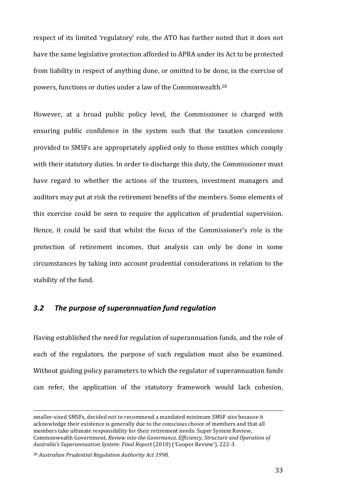respect of its limited 'regulatory' role, the ATO has further noted that it does not have the same legislative protection afforded to APRA under its Act to be protected from liability in respect of anything done, or omitted to be done, in the exercise of powers, functions or duties under a law of the Commonwealth. $^{28}$ 

However, at a broad public policy level, the Commissioner is charged with ensuring public confidence in the system such that the taxation concessions provided to SMSFs are appropriately applied only to those entities which comply with their statutory duties. In order to discharge this duty, the Commissioner must have regard to whether the actions of the trustees, investment managers and auditors may put at risk the retirement benefits of the members. Some elements of this exercise could be seen to require the application of prudential supervision. Hence, it could be said that whilst the focus of the Commissioner's role is the protection of retirement incomes, that analysis can only be done in some circumstances by taking into account prudential considerations in relation to the viability of the fund.

### *3.2 The purpose of superannuation fund regulation*

Having established the need for regulation of superannuation funds, and the role of each of the regulators, the purpose of such regulation must also be examined. Without guiding policy parameters to which the regulator of superannuation funds can refer, the application of the statutory framework would lack cohesion,

<u> 1989 - Johann Stoff, deutscher Stoffen und der Stoffen und der Stoffen und der Stoffen und der Stoffen und d</u>

smaller-sized SMSFs, decided not to recommend a mandated minimum SMSF size because it acknowledge their existence is generally due to the conscious choice of members and that all members take ultimate responsibility for their retirement needs: Super System Review, Commonwealth Government, *Review into the Governance, Efficiency, Structure and Operation of Australia's Superannuation System*: *Final Report* (2010) ('Cooper Review'), 222-3.

<sup>&</sup>lt;sup>28</sup> Australian Prudential Regulation Authority Act 1998.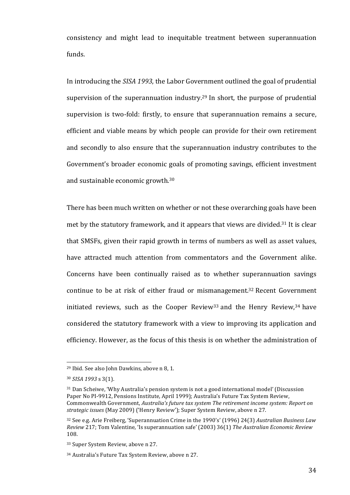consistency and might lead to inequitable treatment between superannuation funds. 

In introducing the *SISA 1993*, the Labor Government outlined the goal of prudential supervision of the superannuation industry.<sup>29</sup> In short, the purpose of prudential supervision is two-fold: firstly, to ensure that superannuation remains a secure, efficient and viable means by which people can provide for their own retirement and secondly to also ensure that the superannuation industry contributes to the Government's broader economic goals of promoting savings, efficient investment and sustainable economic growth.<sup>30</sup>

There has been much written on whether or not these overarching goals have been met by the statutory framework, and it appears that views are divided.<sup>31</sup> It is clear that SMSFs, given their rapid growth in terms of numbers as well as asset values, have attracted much attention from commentators and the Government alike. Concerns have been continually raised as to whether superannuation savings continue to be at risk of either fraud or mismanagement.<sup>32</sup> Recent Government initiated reviews, such as the Cooper Review<sup>33</sup> and the Henry Review,  $34$  have considered the statutory framework with a view to improving its application and efficiency. However, as the focus of this thesis is on whether the administration of

 $29$  Ibid. See also John Dawkins, above n 8, 1.

<sup>30</sup> *SISA 1993* s 3(1).

<sup>31</sup> Dan Scheiwe, 'Why Australia's pension system is not a good international model' (Discussion Paper No PI-9912, Pensions Institute, April 1999); Australia's Future Tax System Review, Commonwealth Government, *Australia's future tax system The retirement income system: Report on* strategic issues (May 2009) ('Henry Review'); Super System Review, above n 27.

<sup>&</sup>lt;sup>32</sup> See e.g. Arie Freiberg, 'Superannuation Crime in the 1990's' (1996) 24(3) Australian Business Law *Review* 217; Tom Valentine, 'Is superannuation safe' (2003) 36(1) *The Australian Economic Review* 108. 

<sup>&</sup>lt;sup>33</sup> Super System Review, above n 27.

<sup>&</sup>lt;sup>34</sup> Australia's Future Tax System Review, above n 27.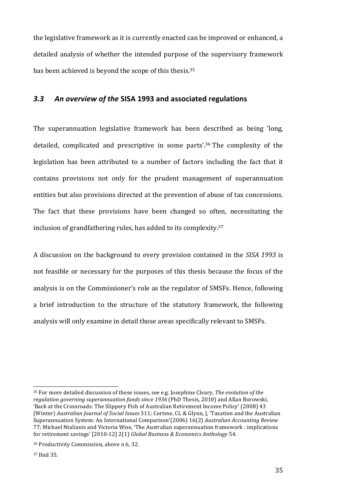the legislative framework as it is currently enacted can be improved or enhanced, a detailed analysis of whether the intended purpose of the supervisory framework has been achieved is beyond the scope of this thesis.<sup>35</sup>

## *3.3 An overview of the* **SISA 1993 and associated regulations**

The superannuation legislative framework has been described as being 'long, detailed, complicated and prescriptive in some parts'.<sup>36</sup> The complexity of the legislation has been attributed to a number of factors including the fact that it contains provisions not only for the prudent management of superannuation entities but also provisions directed at the prevention of abuse of tax concessions. The fact that these provisions have been changed so often, necessitating the inclusion of grandfathering rules, has added to its complexity.<sup>37</sup>

A discussion on the background to every provision contained in the *SISA 1993* is not feasible or necessary for the purposes of this thesis because the focus of the analysis is on the Commissioner's role as the regulator of SMSFs. Hence, following a brief introduction to the structure of the statutory framework, the following analysis will only examine in detail those areas specifically relevant to SMSFs.

<sup>&</sup>lt;sup>35</sup> For more detailed discussion of these issues, see e.g. Josephine Cleary, *The evolution of the regulation governing superannuation funds since 1936* (PhD Thesis, 2010) and Allan Borowski, 'Back at the Crossroads: The Slippery Fish of Australian Retirement Income Policy' (2008) 43 (Winter) Australian Journal of Social Issues 311; Cortese, CL & Glynn, J, 'Taxation and the Australian Superannuation System: An International Comparison'(2006) 16(2) *Australian Accounting Review* 77; Michael Ntalianis and Victoria Wise, 'The Australian superannuation framework : implications for retirement savings' [2010-12] 2(1) *Global Business & Economics Anthology* 54.

<sup>&</sup>lt;sup>36</sup> Productivity Commission, above n 6, 32.

<sup>37</sup> Ibid 35.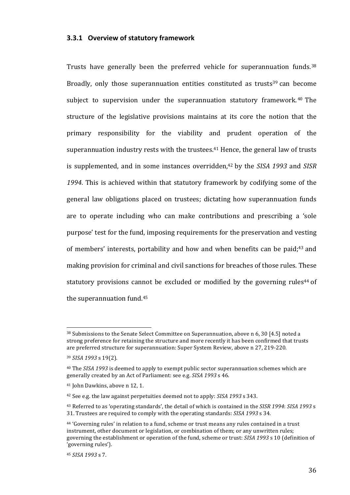#### **3.3.1 Overview of statutory framework**

Trusts have generally been the preferred vehicle for superannuation funds.<sup>38</sup> Broadly, only those superannuation entities constituted as trusts<sup>39</sup> can become subject to supervision under the superannuation statutory framework.<sup>40</sup> The structure of the legislative provisions maintains at its core the notion that the primary responsibility for the viability and prudent operation of the superannuation industry rests with the trustees.<sup>41</sup> Hence, the general law of trusts is supplemented, and in some instances overridden.<sup>42</sup> by the *SISA* 1993 and *SISR* 1994. This is achieved within that statutory framework by codifying some of the general law obligations placed on trustees; dictating how superannuation funds are to operate including who can make contributions and prescribing a 'sole purpose' test for the fund, imposing requirements for the preservation and vesting of members' interests, portability and how and when benefits can be paid;<sup>43</sup> and making provision for criminal and civil sanctions for breaches of those rules. These statutory provisions cannot be excluded or modified by the governing rules<sup>44</sup> of the superannuation fund. $45$ 

 $38$  Submissions to the Senate Select Committee on Superannuation, above n 6, 30 [4.5] noted a strong preference for retaining the structure and more recently it has been confirmed that trusts are preferred structure for superannuation: Super System Review, above n 27, 219-220.

<sup>39</sup> *SISA 1993* s 19(2).

<sup>&</sup>lt;sup>40</sup> The *SISA* 1993 is deemed to apply to exempt public sector superannuation schemes which are generally created by an Act of Parliament: see e.g. *SISA 1993* s 46.

<sup>&</sup>lt;sup>41</sup> John Dawkins, above n 12, 1.

<sup>&</sup>lt;sup>42</sup> See e.g. the law against perpetuities deemed not to apply: *SISA 1993* s 343.

<sup>&</sup>lt;sup>43</sup> Referred to as 'operating standards', the detail of which is contained in the *SISR 1994*: *SISA 1993* s 31. Trustees are required to comply with the operating standards: *SISA 1993* s 34.

<sup>&</sup>lt;sup>44</sup> 'Governing rules' in relation to a fund, scheme or trust means any rules contained in a trust instrument, other document or legislation, or combination of them; or any unwritten rules; governing the establishment or operation of the fund, scheme or trust: *SISA 1993* s 10 (definition of 'governing rules').

<sup>45</sup> *SISA 1993* s 7.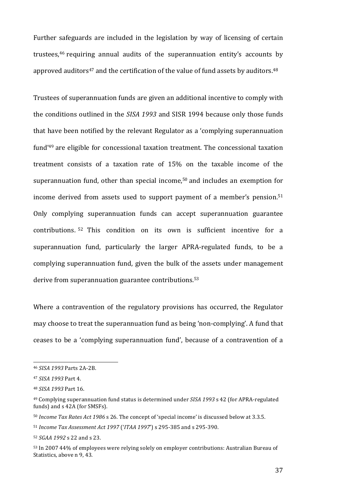Further safeguards are included in the legislation by way of licensing of certain trustees,<sup>46</sup> requiring annual audits of the superannuation entity's accounts by approved auditors<sup>47</sup> and the certification of the value of fund assets by auditors.<sup>48</sup>

Trustees of superannuation funds are given an additional incentive to comply with the conditions outlined in the *SISA 1993* and SISR 1994 because only those funds that have been notified by the relevant Regulator as a 'complying superannuation fund'<sup>49</sup> are eligible for concessional taxation treatment. The concessional taxation treatment consists of a taxation rate of  $15%$  on the taxable income of the superannuation fund, other than special income, $50$  and includes an exemption for income derived from assets used to support payment of a member's pension.<sup>51</sup> Only complying superannuation funds can accept superannuation guarantee contributions. <sup>52</sup> This condition on its own is sufficient incentive for a superannuation fund, particularly the larger APRA-regulated funds, to be a complying superannuation fund, given the bulk of the assets under management derive from superannuation guarantee contributions.<sup>53</sup>

Where a contravention of the regulatory provisions has occurred, the Regulator may choose to treat the superannuation fund as being 'non-complying'. A fund that ceases to be a 'complying superannuation fund', because of a contravention of a

<sup>46</sup> *SISA 1993* Parts 2A-2B.

<sup>47</sup> *SISA 1993* Part 4.

<sup>48</sup> *SISA 1993* Part 16.

<sup>&</sup>lt;sup>49</sup> Complying superannuation fund status is determined under *SISA 1993* s 42 (for APRA-regulated funds) and s 42A (for SMSFs).

<sup>50</sup> *Income Tax Rates Act 1986* s 26. The concept of 'special income' is discussed below at 3.3.5.

<sup>51</sup> *Income Tax Assessment Act 1997* ('*ITAA 1997*') s 295-385 and s 295-390.

<sup>52</sup> *SGAA* 1992 s 22 and s 23.

<sup>53</sup> In 2007 44% of employees were relying solely on employer contributions: Australian Bureau of Statistics, above n 9, 43.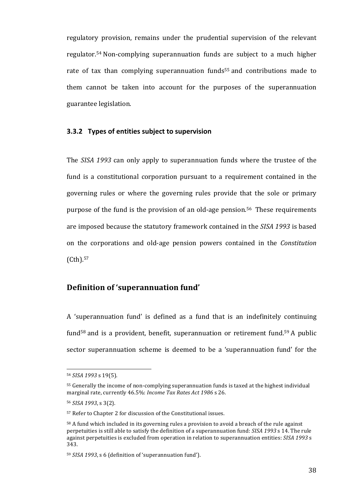regulatory provision, remains under the prudential supervision of the relevant regulator.<sup>54</sup> Non-complying superannuation funds are subject to a much higher rate of tax than complying superannuation funds<sup>55</sup> and contributions made to them cannot be taken into account for the purposes of the superannuation guarantee legislation. 

#### **3.3.2** Types of entities subject to supervision

The *SISA* 1993 can only apply to superannuation funds where the trustee of the fund is a constitutional corporation pursuant to a requirement contained in the governing rules or where the governing rules provide that the sole or primary purpose of the fund is the provision of an old-age pension.<sup>56</sup> These requirements are imposed because the statutory framework contained in the *SISA 1993* is based on the corporations and old-age pension powers contained in the *Constitution* (Cth). 57

## **Definition of 'superannuation fund'**

A 'superannuation fund' is defined as a fund that is an indefinitely continuing fund<sup>58</sup> and is a provident, benefit, superannuation or retirement fund.<sup>59</sup> A public sector superannuation scheme is deemed to be a 'superannuation fund' for the

<sup>54</sup> *SISA 1993* s 19(5).

<sup>&</sup>lt;sup>55</sup> Generally the income of non-complying superannuation funds is taxed at the highest individual marginal rate, currently 46.5%: *Income Tax Rates Act 1986* s 26.

<sup>56</sup> *SISA 1993*, s 3(2).

<sup>&</sup>lt;sup>57</sup> Refer to Chapter 2 for discussion of the Constitutional issues.

 $58$  A fund which included in its governing rules a provision to avoid a breach of the rule against perpetuities is still able to satisfy the definition of a superannuation fund: *SISA* 1993 s 14. The rule against perpetuities is excluded from operation in relation to superannuation entities: *SISA 1993* s 343.

<sup>&</sup>lt;sup>59</sup> *SISA 1993*, s 6 (definition of 'superannuation fund').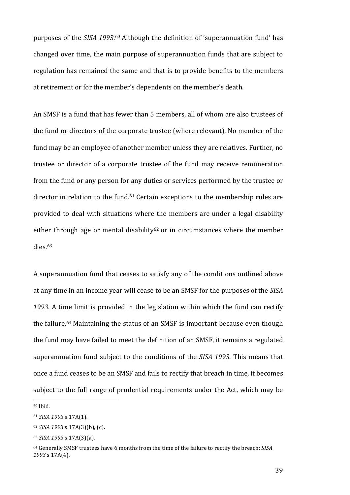purposes of the *SISA 1993*.<sup>60</sup> Although the definition of 'superannuation fund' has changed over time, the main purpose of superannuation funds that are subject to regulation has remained the same and that is to provide benefits to the members at retirement or for the member's dependents on the member's death.

An SMSF is a fund that has fewer than 5 members, all of whom are also trustees of the fund or directors of the corporate trustee (where relevant). No member of the fund may be an employee of another member unless they are relatives. Further, no trustee or director of a corporate trustee of the fund may receive remuneration from the fund or any person for any duties or services performed by the trustee or director in relation to the fund. $61$  Certain exceptions to the membership rules are provided to deal with situations where the members are under a legal disability either through age or mental disability<sup>62</sup> or in circumstances where the member dies.63

A superannuation fund that ceases to satisfy any of the conditions outlined above at any time in an income year will cease to be an SMSF for the purposes of the *SISA* 1993. A time limit is provided in the legislation within which the fund can rectify the failure.<sup>64</sup> Maintaining the status of an SMSF is important because even though the fund may have failed to meet the definition of an SMSF, it remains a regulated superannuation fund subject to the conditions of the *SISA 1993*. This means that once a fund ceases to be an SMSF and fails to rectify that breach in time, it becomes subject to the full range of prudential requirements under the Act, which may be

<sup>60</sup> Ibid.

<sup>61</sup> *SISA 1993* s 17A(1)*.* 

<sup>62</sup> *SISA 1993* s 17A(3)(b), (c).

<sup>63</sup> *SISA 1993* s 17A(3)(a).

<sup>&</sup>lt;sup>64</sup> Generally SMSF trustees have 6 months from the time of the failure to rectify the breach: *SISA 1993* s 17A(4).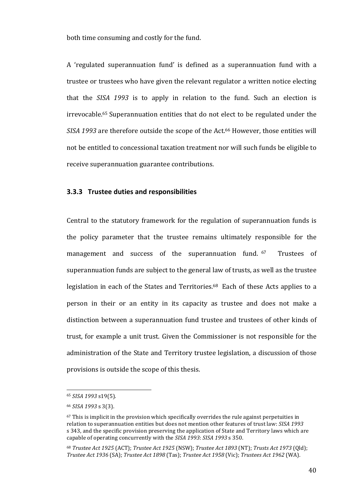both time consuming and costly for the fund.

A 'regulated superannuation fund' is defined as a superannuation fund with a trustee or trustees who have given the relevant regulator a written notice electing that the *SISA* 1993 is to apply in relation to the fund. Such an election is irrevocable.<sup>65</sup> Superannuation entities that do not elect to be regulated under the SISA 1993 are therefore outside the scope of the Act.<sup>66</sup> However, those entities will not be entitled to concessional taxation treatment nor will such funds be eligible to receive superannuation guarantee contributions.

#### **3.3.3 Trustee duties and responsibilities**

Central to the statutory framework for the regulation of superannuation funds is the policy parameter that the trustee remains ultimately responsible for the management and success of the superannuation fund. <sup>67</sup> Trustees of superannuation funds are subject to the general law of trusts, as well as the trustee legislation in each of the States and Territories.<sup>68</sup> Each of these Acts applies to a person in their or an entity in its capacity as trustee and does not make a distinction between a superannuation fund trustee and trustees of other kinds of trust, for example a unit trust. Given the Commissioner is not responsible for the administration of the State and Territory trustee legislation, a discussion of those provisions is outside the scope of this thesis.

<sup>65</sup> *SISA 1993* s19(5).

<sup>66</sup> *SISA 1993* s 3(3).

 $67$  This is implicit in the provision which specifically overrides the rule against perpetuities in relation to superannuation entities but does not mention other features of trust law: *SISA 1993* s 343, and the specific provision preserving the application of State and Territory laws which are capable of operating concurrently with the *SISA 1993*: *SISA 1993* s 350.

<sup>68</sup> *Trustee Act 1925* (ACT); *Trustee Act 1925* (NSW); *Trustee Act 1893* (NT); *Trusts Act 1973* (Qld); *Trustee Act 1936* (SA); *Trustee Act 1898* (Tas); *Trustee Act 1958* (Vic); *Trustees Act 1962* (WA).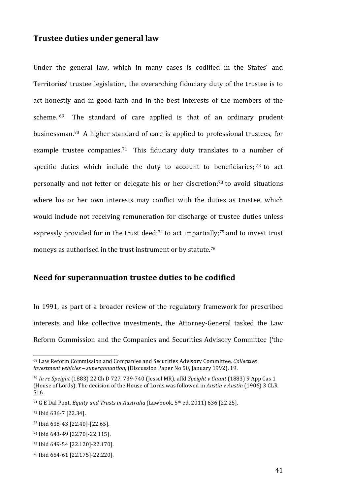## **Trustee duties under general law**

Under the general law, which in many cases is codified in the States' and Territories' trustee legislation, the overarching fiduciary duty of the trustee is to act honestly and in good faith and in the best interests of the members of the scheme.  $69$  The standard of care applied is that of an ordinary prudent businessman.<sup>70</sup> A higher standard of care is applied to professional trustees, for example trustee companies.<sup>71</sup> This fiduciary duty translates to a number of specific duties which include the duty to account to beneficiaries;  $72$  to act personally and not fetter or delegate his or her discretion;<sup>73</sup> to avoid situations where his or her own interests may conflict with the duties as trustee, which would include not receiving remuneration for discharge of trustee duties unless expressly provided for in the trust deed;<sup>74</sup> to act impartially;<sup>75</sup> and to invest trust moneys as authorised in the trust instrument or by statute.<sup>76</sup>

## Need for superannuation trustee duties to be codified

In 1991, as part of a broader review of the regulatory framework for prescribed interests and like collective investments, the Attorney-General tasked the Law Reform Commission and the Companies and Securities Advisory Committee ('the

<sup>&</sup>lt;sup>69</sup> Law Reform Commission and Companies and Securities Advisory Committee, *Collective investment vehicles - superannuation*, (Discussion Paper No 50, January 1992), 19.

<sup>&</sup>lt;sup>70</sup> In re Speight (1883) 22 Ch D 727, 739-740 (Jessel MR), affd Speight v Gaunt (1883) 9 App Cas 1 (House of Lords). The decision of the House of Lords was followed in *Austin v Austin* (1906) 3 CLR 516.

<sup>&</sup>lt;sup>71</sup> G E Dal Pont, *Equity and Trusts in Australia* (Lawbook, 5<sup>th</sup> ed, 2011) 636 [22.25].

<sup>72</sup> Ibid 636-7 [22.34].

<sup>73</sup> Ibid 638-43 [22.40]-[22.65].

<sup>74</sup> Ibid 643-49 [22.70]-22.115].

<sup>75</sup> Ibid 649-54 [22.120]-22.170].

<sup>76</sup> Ibid 654-61 [22.175]-22.220].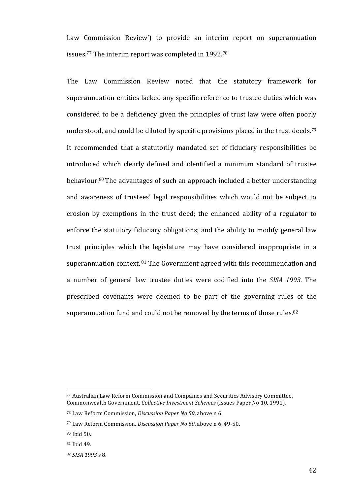Law Commission Review') to provide an interim report on superannuation issues.<sup>77</sup> The interim report was completed in 1992.<sup>78</sup>

The Law Commission Review noted that the statutory framework for superannuation entities lacked any specific reference to trustee duties which was considered to be a deficiency given the principles of trust law were often poorly understood, and could be diluted by specific provisions placed in the trust deeds.<sup>79</sup> It recommended that a statutorily mandated set of fiduciary responsibilities be introduced which clearly defined and identified a minimum standard of trustee behaviour.<sup>80</sup> The advantages of such an approach included a better understanding and awareness of trustees' legal responsibilities which would not be subject to erosion by exemptions in the trust deed; the enhanced ability of a regulator to enforce the statutory fiduciary obligations; and the ability to modify general law trust principles which the legislature may have considered inappropriate in a superannuation context.  $81$  The Government agreed with this recommendation and a number of general law trustee duties were codified into the *SISA 1993*. The prescribed covenants were deemed to be part of the governing rules of the superannuation fund and could not be removed by the terms of those rules.<sup>82</sup>

<sup>77</sup> Australian Law Reform Commission and Companies and Securities Advisory Committee, Commonwealth Government, *Collective Investment Schemes* (Issues Paper No 10, 1991).

<sup>&</sup>lt;sup>78</sup> Law Reform Commission, *Discussion Paper No* 50, above n 6.

<sup>&</sup>lt;sup>79</sup> Law Reform Commission, *Discussion Paper No 50*, above n 6, 49-50.

<sup>80</sup> Ibid 50.

<sup>&</sup>lt;sup>81</sup> Ibid 49.

<sup>82</sup> *SISA 1993* s 8.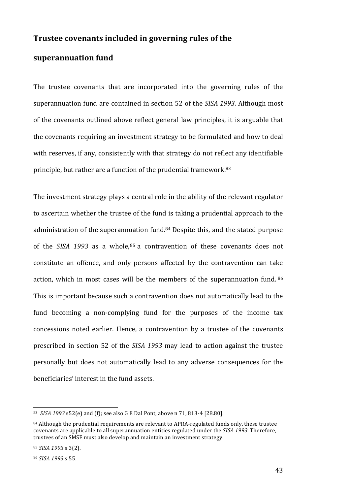## **Trustee covenants included in governing rules of the**

## superannuation fund

The trustee covenants that are incorporated into the governing rules of the superannuation fund are contained in section 52 of the *SISA 1993*. Although most of the covenants outlined above reflect general law principles, it is arguable that the covenants requiring an investment strategy to be formulated and how to deal with reserves, if any, consistently with that strategy do not reflect any identifiable principle, but rather are a function of the prudential framework.<sup>83</sup>

The investment strategy plays a central role in the ability of the relevant regulator to ascertain whether the trustee of the fund is taking a prudential approach to the administration of the superannuation fund.<sup>84</sup> Despite this, and the stated purpose of the *SISA* 1993 as a whole,<sup>85</sup> a contravention of these covenants does not constitute an offence, and only persons affected by the contravention can take action, which in most cases will be the members of the superannuation fund. 86 This is important because such a contravention does not automatically lead to the fund becoming a non-complying fund for the purposes of the income tax concessions noted earlier. Hence, a contravention by a trustee of the covenants prescribed in section 52 of the *SISA 1993* may lead to action against the trustee personally but does not automatically lead to any adverse consequences for the beneficiaries' interest in the fund assets.

<sup>83</sup> *SISA* 1993 s52(e) and (f); see also G E Dal Pont, above n 71, 813-4 [28.80].

 $84$  Although the prudential requirements are relevant to APRA-regulated funds only, these trustee covenants are applicable to all superannuation entities regulated under the *SISA 1993*. Therefore, trustees of an SMSF must also develop and maintain an investment strategy.

<sup>85</sup> *SISA 1993* s 3(2).

<sup>86</sup> *SISA 1993* s 55.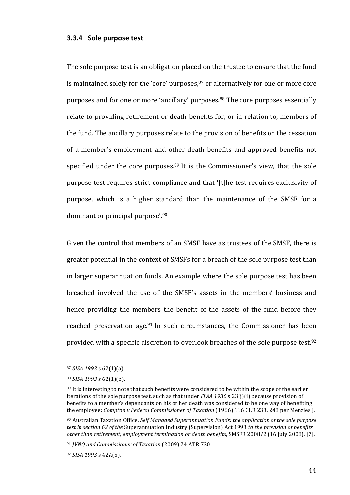#### **3.3.4 Sole purpose test**

The sole purpose test is an obligation placed on the trustee to ensure that the fund is maintained solely for the 'core' purposes, $87$  or alternatively for one or more core purposes and for one or more 'ancillary' purposes.<sup>88</sup> The core purposes essentially relate to providing retirement or death benefits for, or in relation to, members of the fund. The ancillary purposes relate to the provision of benefits on the cessation of a member's employment and other death benefits and approved benefits not specified under the core purposes.<sup>89</sup> It is the Commissioner's view, that the sole purpose test requires strict compliance and that '[t]he test requires exclusivity of purpose, which is a higher standard than the maintenance of the SMSF for a dominant or principal purpose'.<sup>90</sup>

Given the control that members of an SMSF have as trustees of the SMSF, there is greater potential in the context of SMSFs for a breach of the sole purpose test than in larger superannuation funds. An example where the sole purpose test has been breached involved the use of the SMSF's assets in the members' business and hence providing the members the benefit of the assets of the fund before they reached preservation age.<sup>91</sup> In such circumstances, the Commissioner has been provided with a specific discretion to overlook breaches of the sole purpose test.<sup>92</sup>

<sup>87</sup> *SISA 1993* s 62(1)(a).

<sup>88</sup> *SISA 1993* s 62(1)(b).

<sup>89</sup> It is interesting to note that such benefits were considered to be within the scope of the earlier iterations of the sole purpose test, such as that under *ITAA* 1936 s 23(j)(i) because provision of benefits to a member's dependants on his or her death was considered to be one way of benefiting the employee: *Compton v Federal Commissioner of Taxation* (1966) 116 CLR 233, 248 per Menzies J.

<sup>90</sup> Australian Taxation Office, Self Managed Superannuation Funds: the application of the sole purpose *test in section 62 of the Superannuation Industry (Supervision) Act 1993 to the provision of benefits other than retirement, employment termination or death benefits*, SMSFR 2008/2 (16 July 2008), [7].

<sup>&</sup>lt;sup>91</sup> *JVNQ* and Commissioner of Taxation (2009) 74 ATR 730.

<sup>92</sup> *SISA 1993* s 42A(5).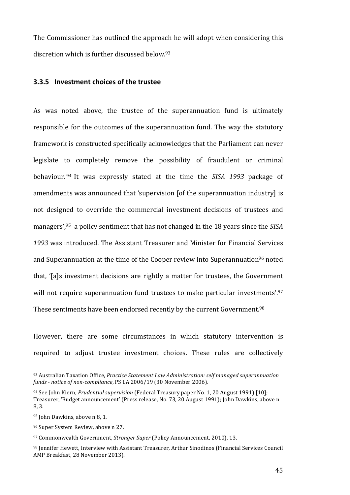The Commissioner has outlined the approach he will adopt when considering this discretion which is further discussed below.<sup>93</sup>

## **3.3.5** Investment choices of the trustee

As was noted above, the trustee of the superannuation fund is ultimately responsible for the outcomes of the superannuation fund. The way the statutory framework is constructed specifically acknowledges that the Parliament can never legislate to completely remove the possibility of fraudulent or criminal behaviour.<sup>94</sup> It was expressly stated at the time the *SISA 1993* package of amendments was announced that 'supervision [of the superannuation industry] is not designed to override the commercial investment decisions of trustees and managers',<sup>95</sup> a policy sentiment that has not changed in the 18 years since the SISA 1993 was introduced. The Assistant Treasurer and Minister for Financial Services and Superannuation at the time of the Cooper review into Superannuation<sup>96</sup> noted that, '[a]s investment decisions are rightly a matter for trustees, the Government will not require superannuation fund trustees to make particular investments'.<sup>97</sup> These sentiments have been endorsed recently by the current Government.<sup>98</sup>

However, there are some circumstances in which statutory intervention is required to adjust trustee investment choices. These rules are collectively

<sup>93</sup> Australian Taxation Office, *Practice Statement Law Administration:* self managed superannuation funds - notice of non-compliance, PS LA 2006/19 (30 November 2006).

<sup>&</sup>lt;sup>94</sup> See John Kiern, *Prudential supervision* (Federal Treasury paper No. 1, 20 August 1991) [10]; Treasurer, 'Budget announcement' (Press release, No. 73, 20 August 1991); John Dawkins, above n 8, 3.

<sup>95</sup> John Dawkins, above n 8, 1.

<sup>&</sup>lt;sup>96</sup> Super System Review, above n 27.

<sup>&</sup>lt;sup>97</sup> Commonwealth Government, *Stronger Super* (Policy Announcement, 2010), 13.

<sup>98</sup> Jennifer Hewett, Interview with Assistant Treasurer, Arthur Sinodinos (Financial Services Council AMP Breakfast, 28 November 2013).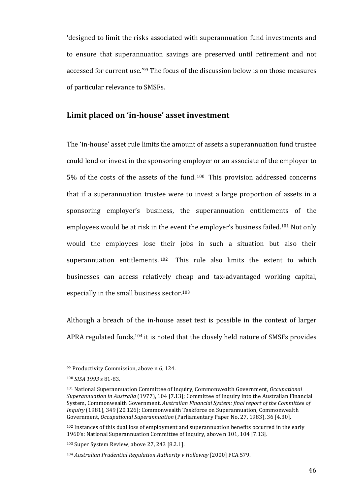'designed to limit the risks associated with superannuation fund investments and to ensure that superannuation savings are preserved until retirement and not accessed for current use.'<sup>99</sup> The focus of the discussion below is on those measures of particular relevance to SMSFs.

## Limit placed on 'in-house' asset investment

The 'in-house' asset rule limits the amount of assets a superannuation fund trustee could lend or invest in the sponsoring employer or an associate of the employer to 5% of the costs of the assets of the fund.  $100$  This provision addressed concerns that if a superannuation trustee were to invest a large proportion of assets in a sponsoring employer's business, the superannuation entitlements of the employees would be at risk in the event the employer's business failed.<sup>101</sup> Not only would the employees lose their jobs in such a situation but also their superannuation entitlements.  $102$  This rule also limits the extent to which businesses can access relatively cheap and tax-advantaged working capital, especially in the small business sector.<sup>103</sup>

Although a breach of the in-house asset test is possible in the context of larger APRA regulated funds, $104$  it is noted that the closely held nature of SMSFs provides

<sup>99</sup> Productivity Commission, above n 6, 124.

<sup>100</sup> *SISA 1993* s 81-83.

<sup>&</sup>lt;sup>101</sup> National Superannuation Committee of Inquiry, Commonwealth Government, *Occupational Superannuation in Australia* (1977), 104 [7.13]; Committee of Inquiry into the Australian Financial System, Commonwealth Government, *Australian Financial System: final report of the Committee of Inquiry* (1981), 349 [20.126]; Commonwealth Taskforce on Superannuation, Commonwealth Government, *Occupational Superannuation* (Parliamentary Paper No. 27, 1983), 36 [4.30].

 $102$  Instances of this dual loss of employment and superannuation benefits occurred in the early 1960's: National Superannuation Committee of Inquiry, above n 101, 104 [7.13].

 $103$  Super System Review, above 27, 243 [8.2.1].

<sup>&</sup>lt;sup>104</sup> Australian Prudential Regulation Authority v Holloway [2000] FCA 579.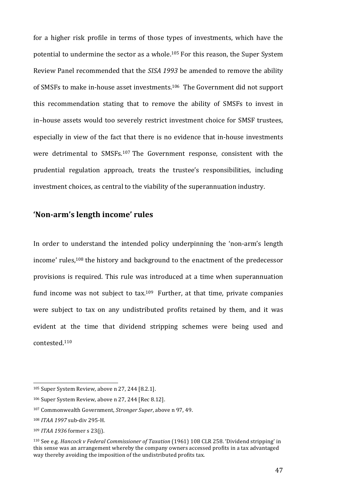for a higher risk profile in terms of those types of investments, which have the potential to undermine the sector as a whole.<sup>105</sup> For this reason, the Super System Review Panel recommended that the *SISA 1993* be amended to remove the ability of SMSFs to make in-house asset investments.<sup>106</sup> The Government did not support this recommendation stating that to remove the ability of SMSFs to invest in in–house assets would too severely restrict investment choice for SMSF trustees, especially in view of the fact that there is no evidence that in-house investments were detrimental to SMSFs.<sup>107</sup> The Government response, consistent with the prudential regulation approach, treats the trustee's responsibilities, including investment choices, as central to the viability of the superannuation industry.

## 'Non-arm's length income' rules

In order to understand the intended policy underpinning the 'non-arm's length income' rules,<sup>108</sup> the history and background to the enactment of the predecessor provisions is required. This rule was introduced at a time when superannuation fund income was not subject to tax.<sup>109</sup> Further, at that time, private companies were subject to tax on any undistributed profits retained by them, and it was evident at the time that dividend stripping schemes were being used and contested. 110

<sup>108</sup> *ITAA 1997* sub-div 295-H.

<sup>&</sup>lt;sup>105</sup> Super System Review, above n 27, 244 [8.2.1].

 $106$  Super System Review, above n 27, 244 [Rec 8.12].

<sup>&</sup>lt;sup>107</sup> Commonwealth Government, *Stronger Super*, above n 97, 49.

<sup>&</sup>lt;sup>109</sup> *ITAA* 1936 former s 23(j).

<sup>&</sup>lt;sup>110</sup> See e.g. *Hancock v Federal Commissioner of Taxation* (1961) 108 CLR 258. 'Dividend stripping' in this sense was an arrangement whereby the company owners accessed profits in a tax advantaged way thereby avoiding the imposition of the undistributed profits tax.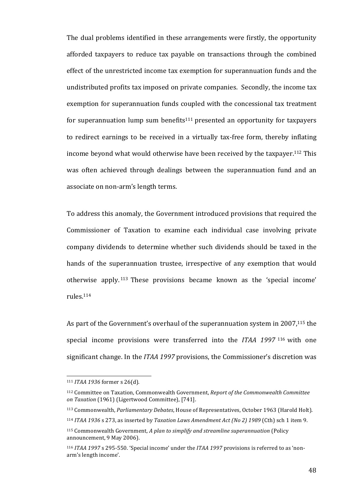The dual problems identified in these arrangements were firstly, the opportunity afforded taxpayers to reduce tax payable on transactions through the combined effect of the unrestricted income tax exemption for superannuation funds and the undistributed profits tax imposed on private companies. Secondly, the income tax exemption for superannuation funds coupled with the concessional tax treatment for superannuation lump sum benefits<sup>111</sup> presented an opportunity for taxpayers to redirect earnings to be received in a virtually tax-free form, thereby inflating income beyond what would otherwise have been received by the taxpayer.<sup>112</sup> This was often achieved through dealings between the superannuation fund and an associate on non-arm's length terms.

To address this anomaly, the Government introduced provisions that required the Commissioner of Taxation to examine each individual case involving private company dividends to determine whether such dividends should be taxed in the hands of the superannuation trustee, irrespective of any exemption that would otherwise apply.<sup>113</sup> These provisions became known as the 'special income' rules.114 

As part of the Government's overhaul of the superannuation system in 2007,<sup>115</sup> the special income provisions were transferred into the *ITAA* 1997<sup>116</sup> with one significant change. In the *ITAA 1997* provisions, the Commissioner's discretion was

<sup>111</sup> *ITAA* 1936 former s 26(d).

<sup>&</sup>lt;sup>112</sup> Committee on Taxation, Commonwealth Government, *Report of the Commonwealth Committee* on Taxation (1961) (Ligertwood Committee), [741].

<sup>113</sup> Commonwealth, *Parliamentary Debates*, House of Representatives, October 1963 (Harold Holt).

<sup>&</sup>lt;sup>114</sup> *ITAA* 1936 s 273, as inserted by *Taxation Laws Amendment Act (No 2)* 1989 (Cth) sch 1 item 9.

<sup>115</sup> Commonwealth Government, *A plan to simplify and streamline superannuation* (Policy announcement, 9 May 2006).

<sup>&</sup>lt;sup>116</sup> *ITAA* 1997 s 295-550. 'Special income' under the *ITAA* 1997 provisions is referred to as 'nonarm's length income'.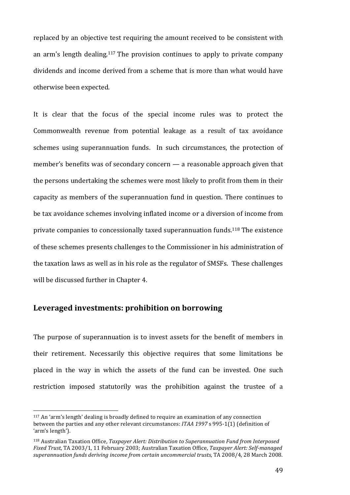replaced by an objective test requiring the amount received to be consistent with an arm's length dealing.<sup>117</sup> The provision continues to apply to private company dividends and income derived from a scheme that is more than what would have otherwise been expected.

It is clear that the focus of the special income rules was to protect the Commonwealth revenue from potential leakage as a result of tax avoidance schemes using superannuation funds. In such circumstances, the protection of member's benefits was of secondary concern  $-$  a reasonable approach given that the persons undertaking the schemes were most likely to profit from them in their capacity as members of the superannuation fund in question. There continues to be tax avoidance schemes involving inflated income or a diversion of income from private companies to concessionally taxed superannuation funds.<sup>118</sup> The existence of these schemes presents challenges to the Commissioner in his administration of the taxation laws as well as in his role as the regulator of SMSFs. These challenges will be discussed further in Chapter 4.

## Leveraged investments: prohibition on borrowing

 

The purpose of superannuation is to invest assets for the benefit of members in their retirement. Necessarily this objective requires that some limitations be placed in the way in which the assets of the fund can be invested. One such restriction imposed statutorily was the prohibition against the trustee of a

 $117$  An 'arm's length' dealing is broadly defined to require an examination of any connection between the parties and any other relevant circumstances: *ITAA* 1997 s 995-1(1) (definition of 'arm's length').

<sup>&</sup>lt;sup>118</sup> Australian Taxation Office, *Taxpayer Alert: Distribution to Superannuation Fund from Interposed Fixed Trust*, TA 2003/1, 11 February 2003; Australian Taxation Office, *Taxpayer Alert: Self-managed* superannuation funds deriving income from certain uncommercial trusts, TA 2008/4, 28 March 2008.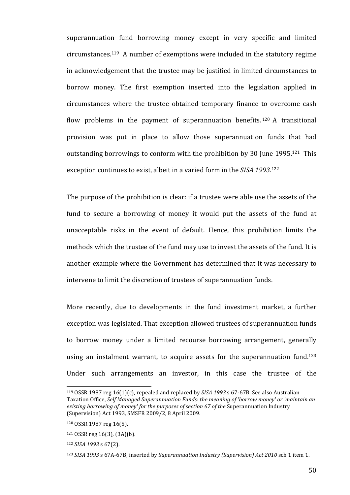superannuation fund borrowing money except in very specific and limited  $circ$  circumstances.<sup>119</sup> A number of exemptions were included in the statutory regime in acknowledgement that the trustee may be justified in limited circumstances to borrow money. The first exemption inserted into the legislation applied in circumstances where the trustee obtained temporary finance to overcome cash flow problems in the payment of superannuation benefits.  $120$  A transitional provision was put in place to allow those superannuation funds that had outstanding borrowings to conform with the prohibition by 30 June 1995.<sup>121</sup> This exception continues to exist, albeit in a varied form in the SISA 1993.<sup>122</sup>

The purpose of the prohibition is clear: if a trustee were able use the assets of the fund to secure a borrowing of money it would put the assets of the fund at unacceptable risks in the event of default. Hence, this prohibition limits the methods which the trustee of the fund may use to invest the assets of the fund. It is another example where the Government has determined that it was necessary to intervene to limit the discretion of trustees of superannuation funds.

More recently, due to developments in the fund investment market, a further exception was legislated. That exception allowed trustees of superannuation funds to borrow money under a limited recourse borrowing arrangement, generally using an instalment warrant, to acquire assets for the superannuation fund.<sup>123</sup> Under such arrangements an investor, in this case the trustee of the

<sup>&</sup>lt;sup>119</sup> OSSR 1987 reg 16(1)(c), repealed and replaced by *SISA 1993* s 67-67B. See also Australian Taxation Office, Self Managed Superannuation Funds: the meaning of 'borrow money' or 'maintain an *existing borrowing of money' for the purposes of section 67 of the Superannuation Industry* (Supervision) Act 1993, SMSFR 2009/2, 8 April 2009.

<sup>120</sup> OSSR 1987 reg 16(5).

 $121$  OSSR reg 16(3), (3A)(b).

<sup>122</sup> *SISA* 1993 *s* 67(2).

<sup>&</sup>lt;sup>123</sup> *SISA* 1993 s 67A-67B, inserted by *Superannuation Industry (Supervision) Act 2010* sch 1 item 1.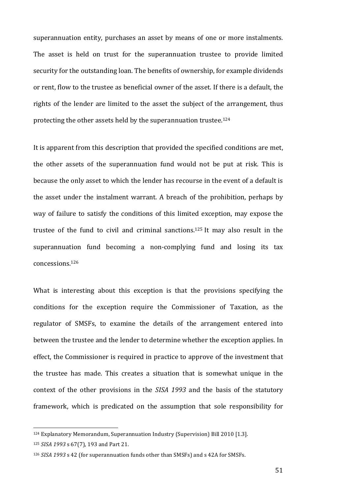superannuation entity, purchases an asset by means of one or more instalments. The asset is held on trust for the superannuation trustee to provide limited security for the outstanding loan. The benefits of ownership, for example dividends or rent, flow to the trustee as beneficial owner of the asset. If there is a default, the rights of the lender are limited to the asset the subject of the arrangement, thus protecting the other assets held by the superannuation trustee.<sup>124</sup>

It is apparent from this description that provided the specified conditions are met, the other assets of the superannuation fund would not be put at risk. This is because the only asset to which the lender has recourse in the event of a default is the asset under the instalment warrant. A breach of the prohibition, perhaps by way of failure to satisfy the conditions of this limited exception, may expose the trustee of the fund to civil and criminal sanctions.<sup>125</sup> It may also result in the superannuation fund becoming a non-complying fund and losing its tax concessions.126

What is interesting about this exception is that the provisions specifying the conditions for the exception require the Commissioner of Taxation, as the regulator of SMSFs, to examine the details of the arrangement entered into between the trustee and the lender to determine whether the exception applies. In effect, the Commissioner is required in practice to approve of the investment that the trustee has made. This creates a situation that is somewhat unique in the context of the other provisions in the *SISA 1993* and the basis of the statutory framework, which is predicated on the assumption that sole responsibility for

<sup>&</sup>lt;sup>124</sup> Explanatory Memorandum, Superannuation Industry (Supervision) Bill 2010 [1.3].

<sup>125</sup> *SISA* 1993 s 67(7), 193 and Part 21.

<sup>&</sup>lt;sup>126</sup> *SISA* 1993 s 42 (for superannuation funds other than SMSFs) and s 42A for SMSFs.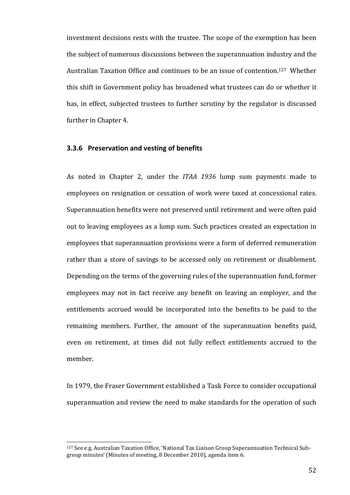investment decisions rests with the trustee. The scope of the exemption has been the subject of numerous discussions between the superannuation industry and the Australian Taxation Office and continues to be an issue of contention.<sup>127</sup> Whether this shift in Government policy has broadened what trustees can do or whether it has, in effect, subjected trustees to further scrutiny by the regulator is discussed further in Chapter 4.

#### **3.3.6 Preservation and vesting of benefits**

As noted in Chapter 2, under the *ITAA 1936* lump sum payments made to employees on resignation or cessation of work were taxed at concessional rates. Superannuation benefits were not preserved until retirement and were often paid out to leaving employees as a lump sum. Such practices created an expectation in employees that superannuation provisions were a form of deferred remuneration rather than a store of savings to be accessed only on retirement or disablement. Depending on the terms of the governing rules of the superannuation fund, former employees may not in fact receive any benefit on leaving an employer, and the entitlements accrued would be incorporated into the benefits to be paid to the remaining members. Further, the amount of the superannuation benefits paid, even on retirement, at times did not fully reflect entitlements accrued to the member. 

In 1979, the Fraser Government established a Task Force to consider occupational superannuation and review the need to make standards for the operation of such

<sup>&</sup>lt;sup>127</sup> See e.g. Australian Taxation Office, 'National Tax Liaison Group Superannuation Technical Subgroup minutes' (Minutes of meeting, 8 December 2010), agenda item 6.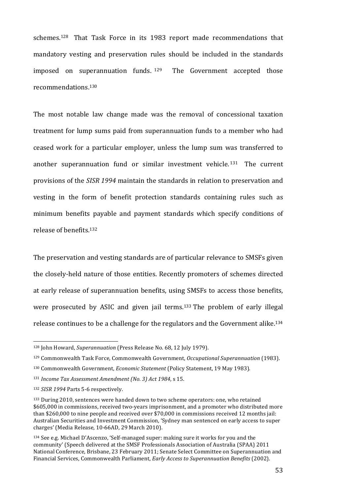schemes.<sup>128</sup> That Task Force in its 1983 report made recommendations that mandatory vesting and preservation rules should be included in the standards imposed on superannuation funds.  $129$  The Government accepted those recommendations.130

The most notable law change made was the removal of concessional taxation treatment for lump sums paid from superannuation funds to a member who had ceased work for a particular employer, unless the lump sum was transferred to another superannuation fund or similar investment vehicle.<sup>131</sup> The current provisions of the *SISR* 1994 maintain the standards in relation to preservation and vesting in the form of benefit protection standards containing rules such as minimum benefits payable and payment standards which specify conditions of release of benefits.<sup>132</sup>

The preservation and vesting standards are of particular relevance to SMSFs given the closely-held nature of those entities. Recently promoters of schemes directed at early release of superannuation benefits, using SMSFs to access those benefits, were prosecuted by ASIC and given jail terms.<sup>133</sup> The problem of early illegal release continues to be a challenge for the regulators and the Government alike.<sup>134</sup>

<sup>&</sup>lt;sup>128</sup> John Howard, *Superannuation* (Press Release No. 68, 12 July 1979).

<sup>129</sup> Commonwealth Task Force, Commonwealth Government, *Occupational Superannuation* (1983).

<sup>130</sup> Commonwealth Government, *Economic Statement* (Policy Statement, 19 May 1983).

<sup>&</sup>lt;sup>131</sup> Income Tax Assessment Amendment (No. 3) Act 1984, s 15.

<sup>&</sup>lt;sup>132</sup> *SISR* 1994 Parts 5-6 respectively.

<sup>133</sup> During 2010, sentences were handed down to two scheme operators: one, who retained \$605,000 in commissions, received two-years imprisonment, and a promoter who distributed more than \$260,000 to nine people and received over \$70,000 in commissions received 12 months jail: Australian Securities and Investment Commission, 'Sydney man sentenced on early access to super charges' (Media Release, 10-66AD, 29 March 2010).

 $134$  See e.g. Michael D'Ascenzo, 'Self-managed super: making sure it works for you and the community' (Speech delivered at the SMSF Professionals Association of Australia (SPAA) 2011 National Conference, Brisbane, 23 February 2011; Senate Select Committee on Superannuation and Financial Services, Commonwealth Parliament, *Early Access to Superannuation Benefits* (2002).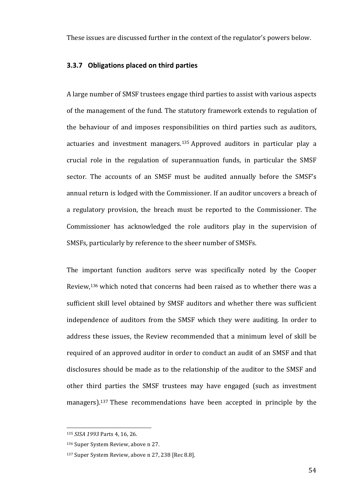These issues are discussed further in the context of the regulator's powers below.

#### **3.3.7 Obligations placed on third parties**

A large number of SMSF trustees engage third parties to assist with various aspects of the management of the fund. The statutory framework extends to regulation of the behaviour of and imposes responsibilities on third parties such as auditors, actuaries and investment managers.<sup>135</sup> Approved auditors in particular play a crucial role in the regulation of superannuation funds, in particular the SMSF sector. The accounts of an SMSF must be audited annually before the SMSF's annual return is lodged with the Commissioner. If an auditor uncovers a breach of a regulatory provision, the breach must be reported to the Commissioner. The Commissioner has acknowledged the role auditors play in the supervision of SMSFs, particularly by reference to the sheer number of SMSFs.

The important function auditors serve was specifically noted by the Cooper Review, $136$  which noted that concerns had been raised as to whether there was a sufficient skill level obtained by SMSF auditors and whether there was sufficient independence of auditors from the SMSF which they were auditing. In order to address these issues, the Review recommended that a minimum level of skill be required of an approved auditor in order to conduct an audit of an SMSF and that disclosures should be made as to the relationship of the auditor to the SMSF and other third parties the SMSF trustees may have engaged (such as investment managers).<sup>137</sup> These recommendations have been accepted in principle by the

<sup>135</sup> *SISA 1993* Parts 4, 16, 26.

<sup>&</sup>lt;sup>136</sup> Super System Review, above n 27.

<sup>137</sup> Super System Review, above n 27, 238 [Rec 8.8].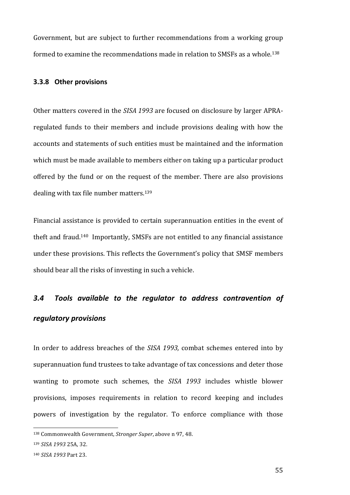Government, but are subject to further recommendations from a working group formed to examine the recommendations made in relation to SMSFs as a whole.<sup>138</sup>

#### **3.3.8 Other provisions**

Other matters covered in the *SISA 1993* are focused on disclosure by larger APRAregulated funds to their members and include provisions dealing with how the accounts and statements of such entities must be maintained and the information which must be made available to members either on taking up a particular product offered by the fund or on the request of the member. There are also provisions dealing with tax file number matters.<sup>139</sup>

Financial assistance is provided to certain superannuation entities in the event of theft and fraud.<sup>140</sup> Importantly, SMSFs are not entitled to any financial assistance under these provisions. This reflects the Government's policy that SMSF members should bear all the risks of investing in such a vehicle.

## *3.4 Tools available to the regulator to address contravention of regulatory provisions*

In order to address breaches of the *SISA 1993*, combat schemes entered into by superannuation fund trustees to take advantage of tax concessions and deter those wanting to promote such schemes, the SISA 1993 includes whistle blower provisions, imposes requirements in relation to record keeping and includes powers of investigation by the regulator. To enforce compliance with those

<sup>138</sup> Commonwealth Government, *Stronger Super*, above n 97, 48.

<sup>139</sup> *SISA* 1993 25A, 32.

<sup>140</sup> *SISA 1993* Part 23.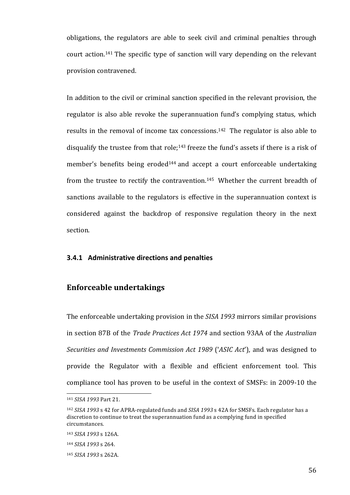obligations, the regulators are able to seek civil and criminal penalties through court action.<sup>141</sup> The specific type of sanction will vary depending on the relevant provision contravened.

In addition to the civil or criminal sanction specified in the relevant provision, the regulator is also able revoke the superannuation fund's complying status, which results in the removal of income tax concessions.<sup>142</sup> The regulator is also able to disqualify the trustee from that role;<sup>143</sup> freeze the fund's assets if there is a risk of member's benefits being eroded<sup>144</sup> and accept a court enforceable undertaking from the trustee to rectify the contravention.<sup>145</sup> Whether the current breadth of sanctions available to the regulators is effective in the superannuation context is considered against the backdrop of responsive regulation theory in the next section. 

## **3.4.1** Administrative directions and penalties

## **Enforceable undertakings**

The enforceable undertaking provision in the *SISA 1993* mirrors similar provisions in section 87B of the *Trade Practices Act 1974* and section 93AA of the *Australian Securities and Investments Commission Act 1989* ('*ASIC Act*'), and was designed to provide the Regulator with a flexible and efficient enforcement tool. This compliance tool has proven to be useful in the context of SMSFs: in 2009-10 the

<sup>141</sup> *SISA 1993* Part 21.

<sup>&</sup>lt;sup>142</sup> *SISA* 1993 s 42 for APRA-regulated funds and *SISA* 1993 s 42A for SMSFs. Each regulator has a discretion to continue to treat the superannuation fund as a complying fund in specified circumstances. 

<sup>143</sup> *SISA 1993* s 126A.

<sup>144</sup> *SISA 1993* s 264.

<sup>145</sup> *SISA 1993* s 262A.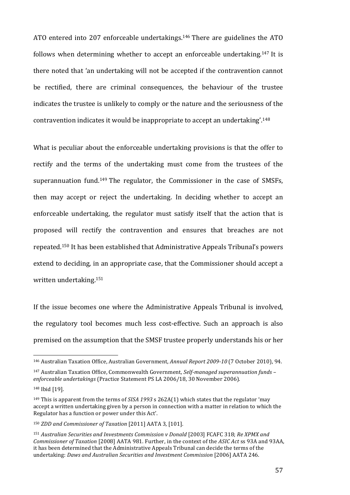ATO entered into 207 enforceable undertakings.<sup>146</sup> There are guidelines the ATO follows when determining whether to accept an enforceable undertaking.<sup>147</sup> It is there noted that 'an undertaking will not be accepted if the contravention cannot be rectified, there are criminal consequences, the behaviour of the trustee indicates the trustee is unlikely to comply or the nature and the seriousness of the contravention indicates it would be inappropriate to accept an undertaking'.<sup>148</sup>

What is peculiar about the enforceable undertaking provisions is that the offer to rectify and the terms of the undertaking must come from the trustees of the superannuation fund.<sup>149</sup> The regulator, the Commissioner in the case of SMSFs, then may accept or reject the undertaking. In deciding whether to accept an enforceable undertaking, the regulator must satisfy itself that the action that is proposed will rectify the contravention and ensures that breaches are not repeated.<sup>150</sup> It has been established that Administrative Appeals Tribunal's powers extend to deciding, in an appropriate case, that the Commissioner should accept a written undertaking.<sup>151</sup>

If the issue becomes one where the Administrative Appeals Tribunal is involved, the regulatory tool becomes much less cost-effective. Such an approach is also premised on the assumption that the SMSF trustee properly understands his or her

<u> 1989 - Johann Stein, marwolaethau a bh</u>

<sup>&</sup>lt;sup>146</sup> Australian Taxation Office, Australian Government, *Annual Report 2009-10* (7 October 2010), 94.

<sup>&</sup>lt;sup>147</sup> Australian Taxation Office, Commonwealth Government, *Self-managed superannuation funds* – *enforceable undertakings* (Practice Statement PS LA 2006/18, 30 November 2006).

<sup>148</sup> Ibid [19].

<sup>&</sup>lt;sup>149</sup> This is apparent from the terms of *SISA* 1993 s 262A(1) which states that the regulator 'may accept a written undertaking given by a person in connection with a matter in relation to which the Regulator has a function or power under this Act'.

<sup>&</sup>lt;sup>150</sup> *ZDD* and *Commissioner of Taxation* [2011] AATA 3, [101].

<sup>151</sup> Australian Securities and Investments Commission v Donald [2003] FCAFC 318; Re XPMX and *Commissioner of Taxation* [2008] AATA 981. Further, in the context of the ASIC Act ss 93A and 93AA, it has been determined that the Administrative Appeals Tribunal can decide the terms of the undertaking: *Daws and Australian Securities and Investment Commission* [2006] AATA 246.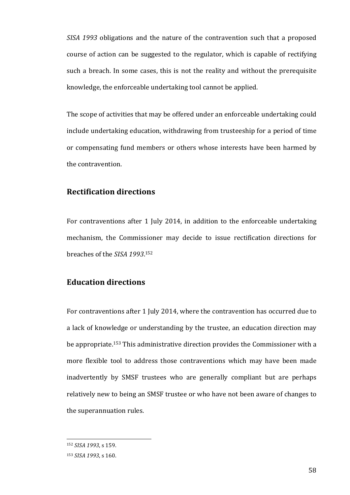*SISA* 1993 obligations and the nature of the contravention such that a proposed course of action can be suggested to the regulator, which is capable of rectifying such a breach. In some cases, this is not the reality and without the prerequisite knowledge, the enforceable undertaking tool cannot be applied.

The scope of activities that may be offered under an enforceable undertaking could include undertaking education, withdrawing from trusteeship for a period of time or compensating fund members or others whose interests have been harmed by the contravention.

## **Rectification directions**

For contraventions after 1 July 2014, in addition to the enforceable undertaking mechanism, the Commissioner may decide to issue rectification directions for breaches of the SISA 1993.<sup>152</sup>

## **Education directions**

For contraventions after 1 July 2014, where the contravention has occurred due to a lack of knowledge or understanding by the trustee, an education direction may be appropriate.<sup>153</sup> This administrative direction provides the Commissioner with a more flexible tool to address those contraventions which may have been made inadvertently by SMSF trustees who are generally compliant but are perhaps relatively new to being an SMSF trustee or who have not been aware of changes to the superannuation rules.

<sup>152</sup> *SISA* 1993, s 159.

<sup>153</sup> *SISA* 1993, s 160.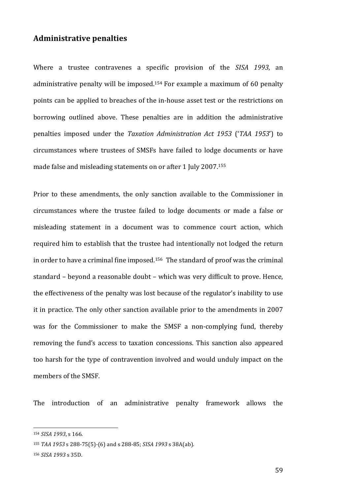## **Administrative penalties**

Where a trustee contravenes a specific provision of the *SISA* 1993, an administrative penalty will be imposed.<sup>154</sup> For example a maximum of 60 penalty points can be applied to breaches of the in-house asset test or the restrictions on borrowing outlined above. These penalties are in addition the administrative penalties imposed under the *Taxation Administration Act 1953* ('*TAA 1953*') to circumstances where trustees of SMSFs have failed to lodge documents or have made false and misleading statements on or after 1 July 2007.<sup>155</sup>

Prior to these amendments, the only sanction available to the Commissioner in circumstances where the trustee failed to lodge documents or made a false or misleading statement in a document was to commence court action, which required him to establish that the trustee had intentionally not lodged the return in order to have a criminal fine imposed.<sup>156</sup> The standard of proof was the criminal standard - beyond a reasonable doubt - which was very difficult to prove. Hence, the effectiveness of the penalty was lost because of the regulator's inability to use it in practice. The only other sanction available prior to the amendments in 2007 was for the Commissioner to make the SMSF a non-complying fund, thereby removing the fund's access to taxation concessions. This sanction also appeared too harsh for the type of contravention involved and would unduly impact on the members of the SMSF.

The introduction of an administrative penalty framework allows the

<sup>154</sup> *SISA* 1993, s 166.

<sup>155</sup> *TAA* 1953 s 288-75(5)-(6) and s 288-85; *SISA* 1993 s 38A(ab).

<sup>156</sup> *SISA 1993* s 35D.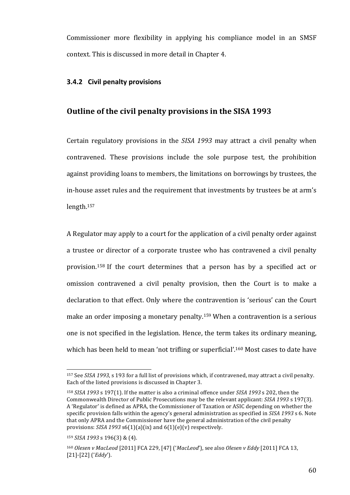Commissioner more flexibility in applying his compliance model in an SMSF context. This is discussed in more detail in Chapter 4.

## **3.4.2 Civil penalty provisions**

### **Outline of the civil penalty provisions in the SISA 1993**

Certain regulatory provisions in the *SISA 1993* may attract a civil penalty when contravened. These provisions include the sole purpose test, the prohibition against providing loans to members, the limitations on borrowings by trustees, the in-house asset rules and the requirement that investments by trustees be at arm's length. 157

A Regulator may apply to a court for the application of a civil penalty order against a trustee or director of a corporate trustee who has contravened a civil penalty provision.<sup>158</sup> If the court determines that a person has by a specified act or omission contravened a civil penalty provision, then the Court is to make a declaration to that effect. Only where the contravention is 'serious' can the Court make an order imposing a monetary penalty.<sup>159</sup> When a contravention is a serious one is not specified in the legislation. Hence, the term takes its ordinary meaning, which has been held to mean 'not trifling or superficial'.<sup>160</sup> Most cases to date have

<sup>&</sup>lt;sup>157</sup> See *SISA* 1993, s 193 for a full list of provisions which, if contravened, may attract a civil penalty. Each of the listed provisions is discussed in Chapter 3.

<sup>&</sup>lt;sup>158</sup> *SISA* 1993 s 197(1). If the matter is also a criminal offence under *SISA* 1993 s 202, then the Commonwealth Director of Public Prosecutions may be the relevant applicant: *SISA* 1993 s 197(3). A 'Regulator' is defined as APRA, the Commissioner of Taxation or ASIC depending on whether the specific provision falls within the agency's general administration as specified in *SISA 1993* s 6. Note that only APRA and the Commissioner have the general administration of the civil penalty provisions:  $SISA$  1993  $s6(1)(a)(ix)$  and  $6(1)(e)(v)$  respectively.

<sup>159</sup> *SISA* 1993 s 196(3) & (4).

<sup>160</sup> *Olesen v MacLeod* [2011] FCA 229, [47] ('*MacLeod'*), see also *Olesen v Eddy* [2011] FCA 13, [21]-[22] (*'Eddy'*).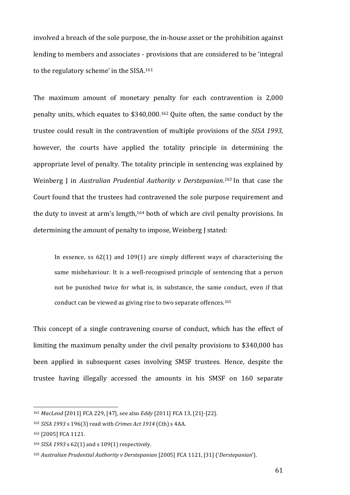involved a breach of the sole purpose, the in-house asset or the prohibition against lending to members and associates - provisions that are considered to be 'integral to the regulatory scheme' in the SISA.<sup>161</sup>

The maximum amount of monetary penalty for each contravention is  $2,000$ penalty units, which equates to  $$340,000$ .<sup>162</sup> Quite often, the same conduct by the trustee could result in the contravention of multiple provisions of the *SISA 1993*, however, the courts have applied the totality principle in determining the appropriate level of penalty. The totality principle in sentencing was explained by Weinberg J in Australian Prudential Authority v Derstepanian.<sup>163</sup> In that case the Court found that the trustees had contravened the sole purpose requirement and the duty to invest at arm's length, $164$  both of which are civil penalty provisions. In determining the amount of penalty to impose, Weinberg J stated:

In essence, ss  $62(1)$  and  $109(1)$  are simply different ways of characterising the same misbehaviour. It is a well-recognised principle of sentencing that a person not be punished twice for what is, in substance, the same conduct, even if that conduct can be viewed as giving rise to two separate offences.<sup>165</sup>

This concept of a single contravening course of conduct, which has the effect of limiting the maximum penalty under the civil penalty provisions to \$340,000 has been applied in subsequent cases involving SMSF trustees. Hence, despite the trustee having illegally accessed the amounts in his SMSF on 160 separate

<u> 1989 - Johann Stein, marwolaethau a bh</u>

<sup>161</sup> *MacLeod* [2011] FCA 229, [47], see also *Eddy* [2011] FCA 13, [21]-[22].

<sup>162</sup> *SISA* 1993 s 196(3) read with *Crimes Act* 1914 (Cth) s 4AA.

<sup>163 [2005]</sup> FCA 1121.

<sup>&</sup>lt;sup>164</sup> *SISA* 1993 s 62(1) and s 109(1) respectively.

<sup>165</sup> Australian Prudential Authority v Derstepanian [2005] FCA 1121, [31] ('Derstepanian').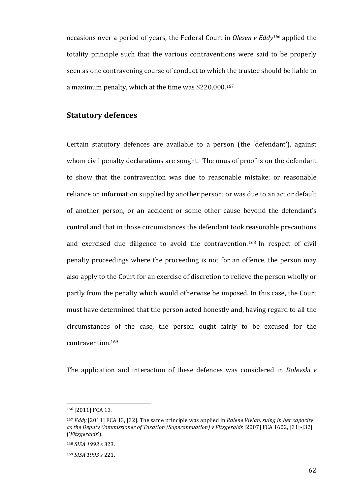occasions over a period of years, the Federal Court in *Olesen* v *Eddy*<sup>166</sup> applied the totality principle such that the various contraventions were said to be properly seen as one contravening course of conduct to which the trustee should be liable to a maximum penalty, which at the time was \$220,000.<sup>167</sup>

## **Statutory defences**

Certain statutory defences are available to a person (the 'defendant'), against whom civil penalty declarations are sought. The onus of proof is on the defendant to show that the contravention was due to reasonable mistake; or reasonable reliance on information supplied by another person; or was due to an act or default of another person, or an accident or some other cause beyond the defendant's control and that in those circumstances the defendant took reasonable precautions and exercised due diligence to avoid the contravention.<sup>168</sup> In respect of civil penalty proceedings where the proceeding is not for an offence, the person may also apply to the Court for an exercise of discretion to relieve the person wholly or partly from the penalty which would otherwise be imposed. In this case, the Court must have determined that the person acted honestly and, having regard to all the circumstances of the case, the person ought fairly to be excused for the contravention. 169

The application and interaction of these defences was considered in *Dolevski v* 

<sup>166 [2011]</sup> FCA 13.

<sup>&</sup>lt;sup>167</sup> *Eddy* [2011] FCA 13, [32]. The same principle was applied in *Ralene Vivian, suing in her capacity as* the Deputy Commissioner of Taxation (Superannuation) v Fitzgeralds [2007] FCA 1602, [31]-[32] ('*Fitzgeralds*').

<sup>168</sup> *SISA 1993* s 323.

<sup>169</sup> *SISA 1993* s 221.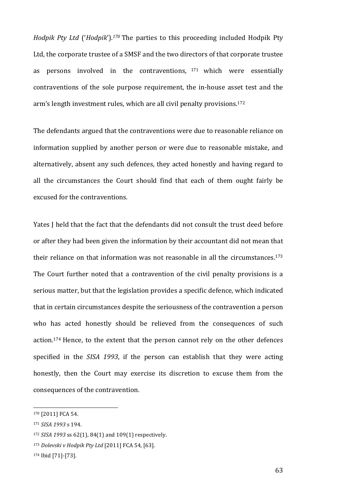*Hodpik Pty Ltd* ('*Hodpik*').<sup>170</sup> The parties to this proceeding included Hodpik Pty Ltd, the corporate trustee of a SMSF and the two directors of that corporate trustee as persons involved in the contraventions,  $171$  which were essentially contraventions of the sole purpose requirement, the in-house asset test and the arm's length investment rules, which are all civil penalty provisions.<sup>172</sup>

The defendants argued that the contraventions were due to reasonable reliance on information supplied by another person or were due to reasonable mistake, and alternatively, absent any such defences, they acted honestly and having regard to all the circumstances the Court should find that each of them ought fairly be excused for the contraventions.

Yates I held that the fact that the defendants did not consult the trust deed before or after they had been given the information by their accountant did not mean that their reliance on that information was not reasonable in all the circumstances.<sup>173</sup> The Court further noted that a contravention of the civil penalty provisions is a serious matter, but that the legislation provides a specific defence, which indicated that in certain circumstances despite the seriousness of the contravention a person who has acted honestly should be relieved from the consequences of such action.<sup>174</sup> Hence, to the extent that the person cannot rely on the other defences specified in the *SISA 1993*, if the person can establish that they were acting honestly, then the Court may exercise its discretion to excuse them from the consequences of the contravention.

<sup>170 [2011]</sup> FCA 54.

<sup>171</sup> *SISA 1993* s 194.

<sup>172</sup> *SISA* 1993 ss 62(1), 84(1) and 109(1) respectively.

<sup>173</sup> Dolevski v Hodpik Pty Ltd [2011] FCA 54, [63].

<sup>174</sup> Ibid [71]-[73].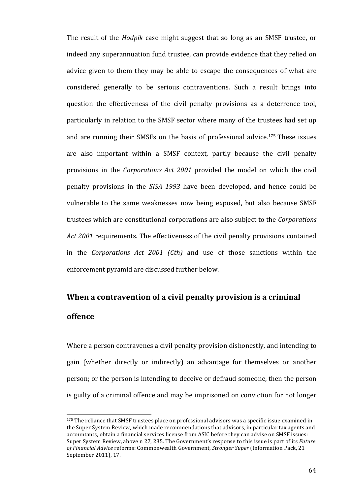The result of the *Hodpik* case might suggest that so long as an SMSF trustee, or indeed any superannuation fund trustee, can provide evidence that they relied on advice given to them they may be able to escape the consequences of what are considered generally to be serious contraventions. Such a result brings into question the effectiveness of the civil penalty provisions as a deterrence tool, particularly in relation to the SMSF sector where many of the trustees had set up and are running their SMSFs on the basis of professional advice.<sup>175</sup> These issues are also important within a SMSF context, partly because the civil penalty provisions in the *Corporations Act 2001* provided the model on which the civil penalty provisions in the *SISA 1993* have been developed, and hence could be vulnerable to the same weaknesses now being exposed, but also because SMSF trustees which are constitutional corporations are also subject to the *Corporations* Act 2001 requirements. The effectiveness of the civil penalty provisions contained in the *Corporations Act 2001* (*Cth*) and use of those sanctions within the enforcement pyramid are discussed further below.

# **When a contravention of a civil penalty provision is a criminal offence**

Where a person contravenes a civil penalty provision dishonestly, and intending to gain (whether directly or indirectly) an advantage for themselves or another person; or the person is intending to deceive or defraud someone, then the person is guilty of a criminal offence and may be imprisoned on conviction for not longer

<sup>175</sup> The reliance that SMSF trustees place on professional advisors was a specific issue examined in the Super System Review, which made recommendations that advisors, in particular tax agents and accountants, obtain a financial services license from ASIC before they can advise on SMSF issues: Super System Review, above n 27, 235. The Government's response to this issue is part of its *Future* of Financial Advice reforms: Commonwealth Government, *Stronger Super* (Information Pack, 21 September 2011), 17.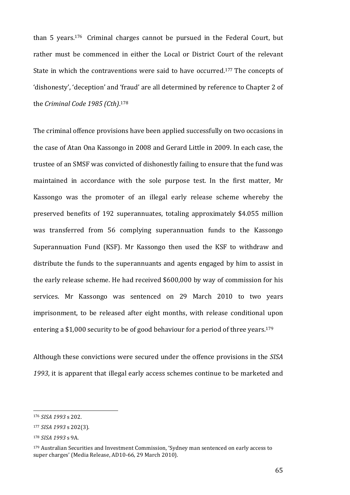than 5 years.<sup>176</sup> Criminal charges cannot be pursued in the Federal Court, but rather must be commenced in either the Local or District Court of the relevant State in which the contraventions were said to have occurred.<sup>177</sup> The concepts of 'dishonesty', 'deception' and 'fraud' are all determined by reference to Chapter 2 of the *Criminal Code 1985* (Cth).<sup>178</sup>

The criminal offence provisions have been applied successfully on two occasions in the case of Atan Ona Kassongo in 2008 and Gerard Little in 2009. In each case, the trustee of an SMSF was convicted of dishonestly failing to ensure that the fund was maintained in accordance with the sole purpose test. In the first matter, Mr Kassongo was the promoter of an illegal early release scheme whereby the preserved benefits of 192 superannuates, totaling approximately \$4.055 million was transferred from 56 complying superannuation funds to the Kassongo Superannuation Fund (KSF). Mr Kassongo then used the KSF to withdraw and distribute the funds to the superannuants and agents engaged by him to assist in the early release scheme. He had received \$600,000 by way of commission for his services. Mr Kassongo was sentenced on 29 March 2010 to two years imprisonment, to be released after eight months, with release conditional upon entering a \$1,000 security to be of good behaviour for a period of three years.<sup>179</sup>

Although these convictions were secured under the offence provisions in the SISA 1993, it is apparent that illegal early access schemes continue to be marketed and

<u> 1989 - Johann Stein, marwolaethau a bh</u>

<sup>176</sup> *SISA 1993* s 202.

<sup>177</sup> *SISA 1993* s 202(3).

<sup>178</sup> *SISA 1993* s 9A.

<sup>&</sup>lt;sup>179</sup> Australian Securities and Investment Commission, 'Sydney man sentenced on early access to super charges' (Media Release, AD10-66, 29 March 2010).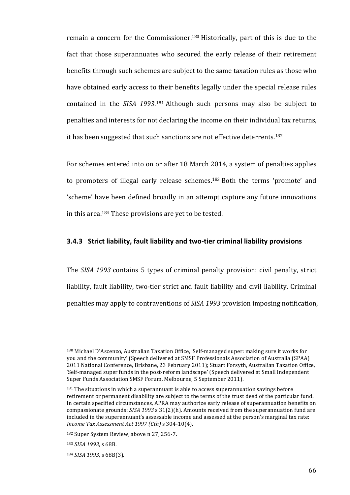remain a concern for the Commissioner.<sup>180</sup> Historically, part of this is due to the fact that those superannuates who secured the early release of their retirement benefits through such schemes are subject to the same taxation rules as those who have obtained early access to their benefits legally under the special release rules contained in the *SISA* 1993.<sup>181</sup> Although such persons may also be subject to penalties and interests for not declaring the income on their individual tax returns, it has been suggested that such sanctions are not effective deterrents.<sup>182</sup>

For schemes entered into on or after 18 March 2014, a system of penalties applies to promoters of illegal early release schemes.<sup>183</sup> Both the terms 'promote' and 'scheme' have been defined broadly in an attempt capture any future innovations in this area.<sup>184</sup> These provisions are yet to be tested.

### **3.4.3** Strict liability, fault liability and two-tier criminal liability provisions

The *SISA 1993* contains 5 types of criminal penalty provision: civil penalty, strict liability, fault liability, two-tier strict and fault liability and civil liability. Criminal penalties may apply to contraventions of *SISA 1993* provision imposing notification,

<sup>&</sup>lt;sup>180</sup> Michael D'Ascenzo, Australian Taxation Office, 'Self-managed super: making sure it works for you and the community' (Speech delivered at SMSF Professionals Association of Australia (SPAA) 2011 National Conference, Brisbane, 23 February 2011); Stuart Forsyth, Australian Taxation Office, 'Self-managed super funds in the post-reform landscape' (Speech delivered at Small Independent Super Funds Association SMSF Forum, Melbourne, 5 September 2011).

 $181$  The situations in which a superannuant is able to access superannuation savings before retirement or permanent disability are subject to the terms of the trust deed of the particular fund. In certain specified circumstances, APRA may authorize early release of superannuation benefits on compassionate grounds: *SISA* 1993 s 31(2)(h). Amounts received from the superannuation fund are included in the superannuant's assessable income and assessed at the person's marginal tax rate: *Income Tax Assessment Act 1997 (Cth)* s 304-10(4). 

<sup>182</sup> Super System Review, above n 27, 256-7.

<sup>183</sup> *SISA 1993*, s 68B.

<sup>184</sup> *SISA* 1993, s 68B(3).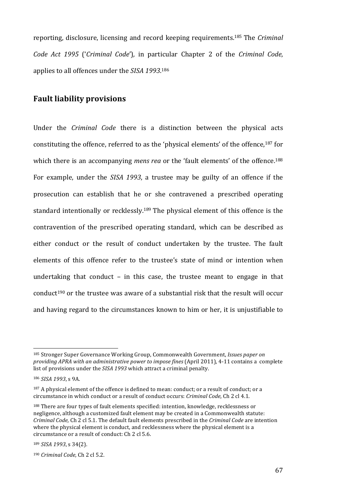reporting, disclosure, licensing and record keeping requirements.<sup>185</sup> The *Criminal Code Act 1995* ('*Criminal Code'*), in particular Chapter 2 of the *Criminal Code*, applies to all offences under the *SISA* 1993.<sup>186</sup>

## **Fault liability provisions**

Under the *Criminal Code* there is a distinction between the physical acts constituting the offence, referred to as the 'physical elements' of the offence,<sup>187</sup> for which there is an accompanying *mens rea* or the 'fault elements' of the offence.<sup>188</sup> For example, under the *SISA 1993*, a trustee may be guilty of an offence if the prosecution can establish that he or she contravened a prescribed operating standard intentionally or recklessly.<sup>189</sup> The physical element of this offence is the contravention of the prescribed operating standard, which can be described as either conduct or the result of conduct undertaken by the trustee. The fault elements of this offence refer to the trustee's state of mind or intention when undertaking that conduct  $-$  in this case, the trustee meant to engage in that conduct<sup>190</sup> or the trustee was aware of a substantial risk that the result will occur and having regard to the circumstances known to him or her, it is unjustifiable to

<sup>&</sup>lt;sup>185</sup> Stronger Super Governance Working Group, Commonwealth Government, *Issues paper on providing APRA with an administrative power to impose fines* (April 2011), 4-11 contains a complete list of provisions under the *SISA 1993* which attract a criminal penalty.

<sup>186</sup> *SISA* 1993, s 9A.

<sup>&</sup>lt;sup>187</sup> A physical element of the offence is defined to mean: conduct; or a result of conduct; or a circumstance in which conduct or a result of conduct occurs: *Criminal Code*, Ch 2 cl 4.1.

<sup>&</sup>lt;sup>188</sup> There are four types of fault elements specified: intention, knowledge, recklessness or negligence, although a customized fault element may be created in a Commonwealth statute: *Criminal Code,* Ch 2 cl 5.1. The default fault elements prescribed in the *Criminal Code* are intention where the physical element is conduct, and recklessness where the physical element is a circumstance or a result of conduct: Ch 2 cl 5.6.

<sup>189</sup> *SISA* 1993, s 34(2).

<sup>190</sup> *Criminal Code*, *Ch* 2 *cl* 5.2.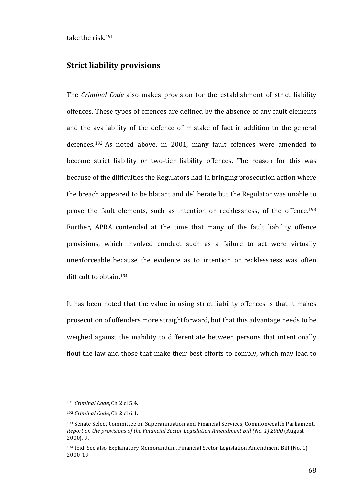take the risk.<sup>191</sup>

## **Strict liability provisions**

The *Criminal Code* also makes provision for the establishment of strict liability offences. These types of offences are defined by the absence of any fault elements and the availability of the defence of mistake of fact in addition to the general defences.<sup>192</sup> As noted above, in 2001, many fault offences were amended to become strict liability or two-tier liability offences. The reason for this was because of the difficulties the Regulators had in bringing prosecution action where the breach appeared to be blatant and deliberate but the Regulator was unable to prove the fault elements, such as intention or recklessness, of the offence.<sup>193</sup> Further, APRA contended at the time that many of the fault liability offence provisions, which involved conduct such as a failure to act were virtually unenforceable because the evidence as to intention or recklessness was often difficult to obtain.<sup>194</sup>

It has been noted that the value in using strict liability offences is that it makes prosecution of offenders more straightforward, but that this advantage needs to be weighed against the inability to differentiate between persons that intentionally flout the law and those that make their best efforts to comply, which may lead to

<sup>&</sup>lt;sup>191</sup> *Criminal Code*, Ch 2 cl 5.4.

<sup>192</sup> *Criminal Code*, Ch 2 cl 6.1.

<sup>&</sup>lt;sup>193</sup> Senate Select Committee on Superannuation and Financial Services, Commonwealth Parliament, *Report on the provisions of the Financial Sector Legislation Amendment Bill (No. 1) 2000* (August  $2000$ , 9.

 $194$  Ibid. See also Explanatory Memorandum, Financial Sector Legislation Amendment Bill (No. 1) 2000, 19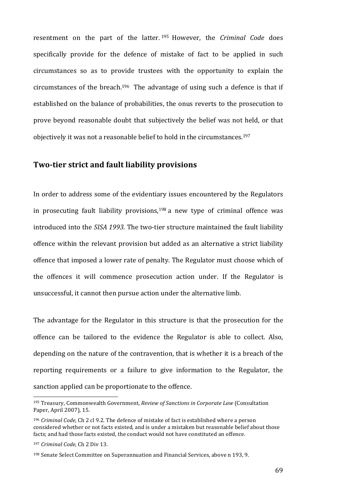resentment on the part of the latter.<sup>195</sup> However, the *Criminal Code* does specifically provide for the defence of mistake of fact to be applied in such circumstances so as to provide trustees with the opportunity to explain the circumstances of the breach.<sup>196</sup> The advantage of using such a defence is that if established on the balance of probabilities, the onus reverts to the prosecution to prove beyond reasonable doubt that subjectively the belief was not held, or that objectively it was not a reasonable belief to hold in the circumstances.<sup>197</sup>

## **Two-tier strict and fault liability provisions**

In order to address some of the evidentiary issues encountered by the Regulators in prosecuting fault liability provisions,  $198$  a new type of criminal offence was introduced into the *SISA 1993*. The two-tier structure maintained the fault liability offence within the relevant provision but added as an alternative a strict liability offence that imposed a lower rate of penalty. The Regulator must choose which of the offences it will commence prosecution action under. If the Regulator is unsuccessful, it cannot then pursue action under the alternative limb.

The advantage for the Regulator in this structure is that the prosecution for the offence can be tailored to the evidence the Regulator is able to collect. Also, depending on the nature of the contravention, that is whether it is a breach of the reporting requirements or a failure to give information to the Regulator, the sanction applied can be proportionate to the offence.

<sup>&</sup>lt;sup>195</sup> Treasury, Commonwealth Government, *Review of Sanctions in Corporate Law* (Consultation Paper, April 2007), 15.

<sup>&</sup>lt;sup>196</sup> *Criminal Code*, Ch 2 cl 9.2. The defence of mistake of fact is established where a person considered whether or not facts existed, and is under a mistaken but reasonable belief about those facts; and had those facts existed, the conduct would not have constituted an offence.

<sup>&</sup>lt;sup>197</sup> *Criminal Code*, *Ch* 2 Div 13.

<sup>&</sup>lt;sup>198</sup> Senate Select Committee on Superannuation and Financial Services, above n 193, 9.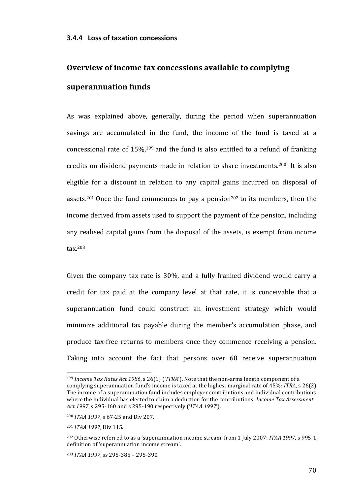# **Overview of income tax concessions available to complying superannuation funds**

As was explained above, generally, during the period when superannuation savings are accumulated in the fund, the income of the fund is taxed at a concessional rate of  $15\%$ , <sup>199</sup> and the fund is also entitled to a refund of franking credits on dividend payments made in relation to share investments.<sup>200</sup> It is also eligible for a discount in relation to any capital gains incurred on disposal of assets.<sup>201</sup> Once the fund commences to pay a pension<sup>202</sup> to its members, then the income derived from assets used to support the payment of the pension, including any realised capital gains from the disposal of the assets, is exempt from income tax. 203

Given the company tax rate is  $30\%$ , and a fully franked dividend would carry a credit for tax paid at the company level at that rate, it is conceivable that a superannuation fund could construct an investment strategy which would minimize additional tax payable during the member's accumulation phase, and produce tax-free returns to members once they commence receiving a pension. Taking into account the fact that persons over 60 receive superannuation

<sup>&</sup>lt;sup>199</sup> *Income Tax Rates Act 1986*, s 26(1) ('*ITRA*'). Note that the non-arms length component of a complying superannuation fund's income is taxed at the highest marginal rate of 45%: *ITRA*, s 26(2). The income of a superannuation fund includes employer contributions and individual contributions where the individual has elected to claim a deduction for the contributions: *Income Tax Assessment Act 1997*, s 295-160 and s 295-190 respectively ('*ITAA 1997*').

<sup>&</sup>lt;sup>200</sup> *ITAA* 1997, s 67-25 and Div 207.

<sup>&</sup>lt;sup>201</sup> *ITAA* 1997, Div 115.

<sup>&</sup>lt;sup>202</sup> Otherwise referred to as a 'superannuation income stream' from 1 July 2007: *ITAA 1997*, s 995-1, definition of 'superannuation income stream'.

<sup>203</sup> *ITAA* 1997, ss 295-385 - 295-390.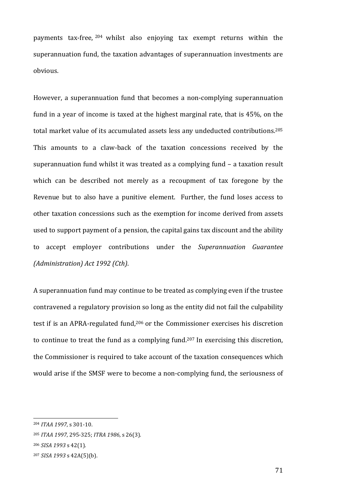payments tax-free, <sup>204</sup> whilst also enjoying tax exempt returns within the superannuation fund, the taxation advantages of superannuation investments are obvious. 

However, a superannuation fund that becomes a non-complying superannuation fund in a year of income is taxed at the highest marginal rate, that is  $45\%$ , on the total market value of its accumulated assets less any undeducted contributions.<sup>205</sup> This amounts to a claw-back of the taxation concessions received by the superannuation fund whilst it was treated as a complying fund  $-$  a taxation result which can be described not merely as a recoupment of tax foregone by the Revenue but to also have a punitive element. Further, the fund loses access to other taxation concessions such as the exemption for income derived from assets used to support payment of a pension, the capital gains tax discount and the ability to accept employer contributions under the *Superannuation Guarantee (Administration) Act 1992 (Cth)*.

A superannuation fund may continue to be treated as complying even if the trustee contravened a regulatory provision so long as the entity did not fail the culpability test if is an APRA-regulated fund,<sup>206</sup> or the Commissioner exercises his discretion to continue to treat the fund as a complying fund.<sup>207</sup> In exercising this discretion, the Commissioner is required to take account of the taxation consequences which would arise if the SMSF were to become a non-complying fund, the seriousness of

<sup>204</sup> *ITAA 1997*, s 301-10.

<sup>205</sup> *ITAA* 1997, 295-325; *ITRA* 1986, s 26(3).

<sup>206</sup> *SISA 1993* s 42(1).

<sup>207</sup> *SISA 1993* s 42A(5)(b).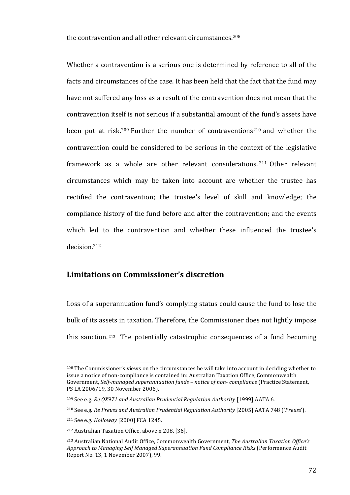the contravention and all other relevant circumstances.<sup>208</sup>

Whether a contravention is a serious one is determined by reference to all of the facts and circumstances of the case. It has been held that the fact that the fund may have not suffered any loss as a result of the contravention does not mean that the contravention itself is not serious if a substantial amount of the fund's assets have been put at risk.<sup>209</sup> Further the number of contraventions<sup>210</sup> and whether the contravention could be considered to be serious in the context of the legislative framework as a whole are other relevant considerations. <sup>211</sup> Other relevant circumstances which may be taken into account are whether the trustee has rectified the contravention; the trustee's level of skill and knowledge; the compliance history of the fund before and after the contravention; and the events which led to the contravention and whether these influenced the trustee's decision. 212

## **Limitations on Commissioner's discretion**

Loss of a superannuation fund's complying status could cause the fund to lose the bulk of its assets in taxation. Therefore, the Commissioner does not lightly impose this sanction.<sup>213</sup> The potentially catastrophic consequences of a fund becoming

 $^{208}$  The Commissioner's views on the circumstances he will take into account in deciding whether to issue a notice of non-compliance is contained in: Australian Taxation Office, Commonwealth Government, *Self-managed superannuation funds - notice of non-compliance* (Practice Statement, PS LA 2006/19, 30 November 2006).

<sup>&</sup>lt;sup>209</sup> See e.g. *Re QX971* and Australian Prudential Regulation Authority [1999] AATA 6.

<sup>210</sup> See e.g. *Re Preuss and Australian Prudential Regulation Authority* [2005] AATA 748 ('*Preuss*').

<sup>&</sup>lt;sup>211</sup> See e.g. *Holloway* [2000] FCA 1245.

<sup>&</sup>lt;sup>212</sup> Australian Taxation Office, above n 208, [36].

<sup>&</sup>lt;sup>213</sup> Australian National Audit Office, Commonwealth Government, *The Australian Taxation Office's* Approach to Managing Self Managed Superannuation Fund Compliance Risks (Performance Audit Report No. 13, 1 November 2007), 99.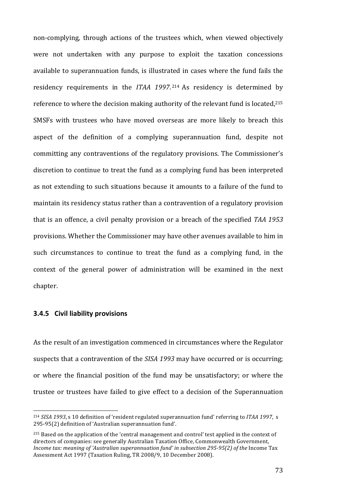non-complying, through actions of the trustees which, when viewed objectively were not undertaken with any purpose to exploit the taxation concessions available to superannuation funds, is illustrated in cases where the fund fails the residency requirements in the *ITAA 1997*.<sup>214</sup> As residency is determined by reference to where the decision making authority of the relevant fund is located, $215$ SMSFs with trustees who have moved overseas are more likely to breach this aspect of the definition of a complying superannuation fund, despite not committing any contraventions of the regulatory provisions. The Commissioner's discretion to continue to treat the fund as a complying fund has been interpreted as not extending to such situations because it amounts to a failure of the fund to maintain its residency status rather than a contravention of a regulatory provision that is an offence, a civil penalty provision or a breach of the specified *TAA 1953* provisions. Whether the Commissioner may have other avenues available to him in such circumstances to continue to treat the fund as a complying fund, in the context of the general power of administration will be examined in the next chapter. 

### **3.4.5 Civil liability provisions**

 

As the result of an investigation commenced in circumstances where the Regulator suspects that a contravention of the *SISA 1993* may have occurred or is occurring; or where the financial position of the fund may be unsatisfactory; or where the trustee or trustees have failed to give effect to a decision of the Superannuation

<sup>&</sup>lt;sup>214</sup> *SISA* 1993, s 10 definition of 'resident regulated superannuation fund' referring to *ITAA* 1997, s 295-95(2) definition of 'Australian superannuation fund'.

 $215$  Based on the application of the 'central management and control' test applied in the context of directors of companies: see generally Australian Taxation Office, Commonwealth Government, *Income tax: meaning of 'Australian superannuation fund' in subsection 295-95(2) of the Income Tax* Assessment Act 1997 (Taxation Ruling, TR 2008/9, 10 December 2008).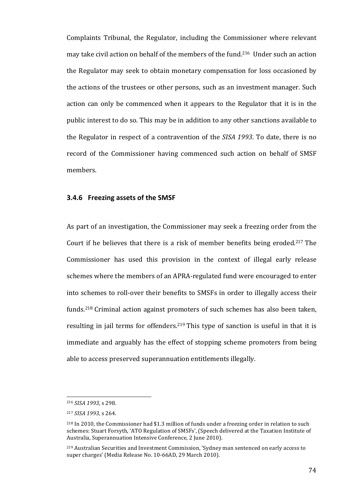Complaints Tribunal, the Regulator, including the Commissioner where relevant may take civil action on behalf of the members of the fund.<sup>216</sup> Under such an action the Regulator may seek to obtain monetary compensation for loss occasioned by the actions of the trustees or other persons, such as an investment manager. Such action can only be commenced when it appears to the Regulator that it is in the public interest to do so. This may be in addition to any other sanctions available to the Regulator in respect of a contravention of the *SISA 1993*. To date, there is no record of the Commissioner having commenced such action on behalf of SMSF members.

### **3.4.6** Freezing assets of the SMSF

As part of an investigation, the Commissioner may seek a freezing order from the Court if he believes that there is a risk of member benefits being eroded.<sup>217</sup> The Commissioner has used this provision in the context of illegal early release schemes where the members of an APRA-regulated fund were encouraged to enter into schemes to roll-over their benefits to SMSFs in order to illegally access their funds.<sup>218</sup> Criminal action against promoters of such schemes has also been taken, resulting in jail terms for offenders.<sup>219</sup> This type of sanction is useful in that it is immediate and arguably has the effect of stopping scheme promoters from being able to access preserved superannuation entitlements illegally.

<sup>216</sup> *SISA* 1993, s 298.

<sup>217</sup> *SISA 1993,* s 264.

 $^{218}$  In 2010, the Commissioner had \$1.3 million of funds under a freezing order in relation to such schemes: Stuart Forsyth, 'ATO Regulation of SMSFs', (Speech delivered at the Taxation Institute of Australia, Superannuation Intensive Conference, 2 June 2010).

<sup>&</sup>lt;sup>219</sup> Australian Securities and Investment Commission, 'Sydney man sentenced on early access to super charges' (Media Release No. 10-66AD, 29 March 2010).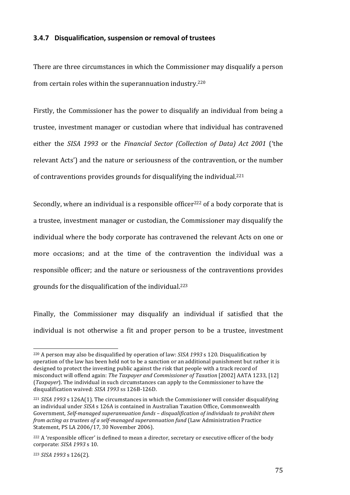#### **3.4.7 Disqualification, suspension or removal of trustees**

There are three circumstances in which the Commissioner may disqualify a person from certain roles within the superannuation industry.<sup>220</sup>

Firstly, the Commissioner has the power to disqualify an individual from being a trustee, investment manager or custodian where that individual has contravened either the *SISA* 1993 or the *Financial Sector (Collection of Data) Act 2001* ('the relevant Acts') and the nature or seriousness of the contravention, or the number of contraventions provides grounds for disqualifying the individual.<sup>221</sup>

Secondly, where an individual is a responsible officer<sup>222</sup> of a body corporate that is a trustee, investment manager or custodian, the Commissioner may disqualify the individual where the body corporate has contravened the relevant Acts on one or more occasions; and at the time of the contravention the individual was a responsible officer; and the nature or seriousness of the contraventions provides grounds for the disqualification of the individual.<sup>223</sup>

Finally, the Commissioner may disqualify an individual if satisfied that the individual is not otherwise a fit and proper person to be a trustee, investment

<sup>223</sup> *SISA 1993* s 126(2).

<u> 1989 - Johann Stein, marwolaethau a bh</u>

<sup>&</sup>lt;sup>220</sup> A person may also be disqualified by operation of law: *SISA 1993* s 120. Disqualification by operation of the law has been held not to be a sanction or an additional punishment but rather it is designed to protect the investing public against the risk that people with a track record of misconduct will offend again: *The Taxpayer and Commissioner of Taxation* [2002] AATA 1233, [12] (*Taxpayer*). The individual in such circumstances can apply to the Commissioner to have the disqualification waived: *SISA 1993* ss 126B-126D.

 $221$  *SISA* 1993 s 126A(1). The circumstances in which the Commissioner will consider disqualifying an individual under SISA s 126A is contained in Australian Taxation Office, Commonwealth Government, *Self-managed superannuation funds - disqualification of individuals to prohibit them from acting as trustees of a self-managed superannuation fund* (Law Administration Practice Statement, PS LA 2006/17, 30 November 2006).

 $222$  A 'responsible officer' is defined to mean a director, secretary or executive officer of the body corporate: *SISA 1993* s 10.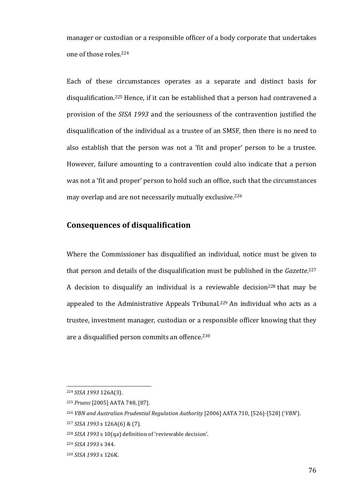manager or custodian or a responsible officer of a body corporate that undertakes one of those roles.<sup>224</sup>

Each of these circumstances operates as a separate and distinct basis for disqualification.<sup>225</sup> Hence, if it can be established that a person had contravened a provision of the *SISA 1993* and the seriousness of the contravention justified the disqualification of the individual as a trustee of an SMSF, then there is no need to also establish that the person was not a 'fit and proper' person to be a trustee. However, failure amounting to a contravention could also indicate that a person was not a 'fit and proper' person to hold such an office, such that the circumstances may overlap and are not necessarily mutually exclusive.<sup>226</sup>

# **Consequences of disqualification**

Where the Commissioner has disqualified an individual, notice must be given to that person and details of the disqualification must be published in the *Gazette*.<sup>227</sup> A decision to disqualify an individual is a reviewable decision<sup>228</sup> that may be appealed to the Administrative Appeals Tribunal.<sup>229</sup> An individual who acts as a trustee, investment manager, custodian or a responsible officer knowing that they are a disqualified person commits an offence.<sup>230</sup>

<sup>224</sup> *SISA 1993* 126A(3).

<sup>225</sup> *Pruess* [2005] AATA 748, [87].

<sup>&</sup>lt;sup>226</sup> VBN and Australian Prudential Regulation Authority [2006] AATA 710, [526]-[528] ('VBN').

<sup>227</sup> *SISA 1993* s 126A(6) & (7).

<sup>&</sup>lt;sup>228</sup> *SISA* 1993 s 10(qa) definition of 'reviewable decision'.

<sup>229</sup> *SISA 1993* s 344.

<sup>230</sup> *SISA 1993* s 126K.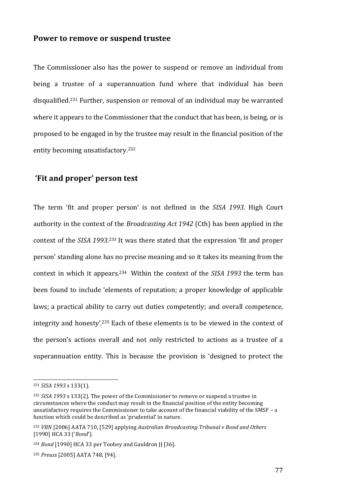### **Power to remove or suspend trustee**

The Commissioner also has the power to suspend or remove an individual from being a trustee of a superannuation fund where that individual has been disqualified.<sup>231</sup> Further, suspension or removal of an individual may be warranted where it appears to the Commissioner that the conduct that has been, is being, or is proposed to be engaged in by the trustee may result in the financial position of the entity becoming unsatisfactory.<sup>232</sup>

# **'Fit and proper' person test**

The term 'fit and proper person' is not defined in the *SISA 1993*. High Court authority in the context of the *Broadcasting Act 1942* (Cth) has been applied in the context of the *SISA* 1993.<sup>233</sup> It was there stated that the expression 'fit and proper person' standing alone has no precise meaning and so it takes its meaning from the context in which it appears.<sup>234</sup> Within the context of the SISA 1993 the term has been found to include 'elements of reputation; a proper knowledge of applicable laws; a practical ability to carry out duties competently; and overall competence, integrity and honesty'.<sup>235</sup> Each of these elements is to be viewed in the context of the person's actions overall and not only restricted to actions as a trustee of a superannuation entity. This is because the provision is 'designed to protect the

<sup>231</sup> *SISA 1993* s 133(1).

<sup>&</sup>lt;sup>232</sup> *SISA* 1993 s 133(2). The power of the Commissioner to remove or suspend a trustee in circumstances where the conduct may result in the financial position of the entity becoming unsatisfactory requires the Commissioner to take account of the financial viability of the SMSF – a function which could be described as 'prudential' in nature.

<sup>&</sup>lt;sup>233</sup> VBN <sup>[2006]</sup> AATA 710, <sup>[529]</sup> applying *Australian Broadcasting Tribunal v Bond and Others* [1990] HCA 33 ('*Bond*').

<sup>&</sup>lt;sup>234</sup> *Bond* [1990] HCA 33 per Toohey and Gauldron JJ [36].

<sup>&</sup>lt;sup>235</sup> *Preuss* [2005] AATA 748, [94].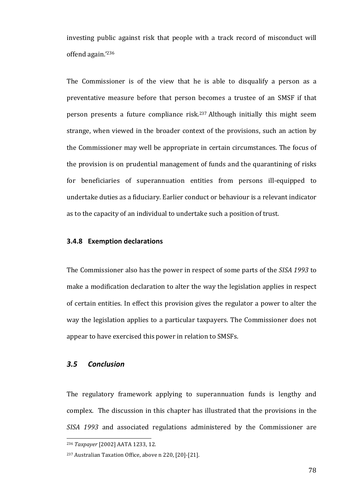investing public against risk that people with a track record of misconduct will offend again.' 236

The Commissioner is of the view that he is able to disqualify a person as a preventative measure before that person becomes a trustee of an SMSF if that person presents a future compliance risk.<sup>237</sup> Although initially this might seem strange, when viewed in the broader context of the provisions, such an action by the Commissioner may well be appropriate in certain circumstances. The focus of the provision is on prudential management of funds and the quarantining of risks for beneficiaries of superannuation entities from persons ill-equipped to undertake duties as a fiduciary. Earlier conduct or behaviour is a relevant indicator as to the capacity of an individual to undertake such a position of trust.

## **3.4.8 Exemption declarations**

The Commissioner also has the power in respect of some parts of the *SISA 1993* to make a modification declaration to alter the way the legislation applies in respect of certain entities. In effect this provision gives the regulator a power to alter the way the legislation applies to a particular taxpayers. The Commissioner does not appear to have exercised this power in relation to SMSFs.

## *3.5 Conclusion*

The regulatory framework applying to superannuation funds is lengthy and complex. The discussion in this chapter has illustrated that the provisions in the *SISA* 1993 and associated regulations administered by the Commissioner are

 <sup>236</sup> Taxpayer [2002] AATA 1233, 12.

<sup>&</sup>lt;sup>237</sup> Australian Taxation Office, above n 220, [20]-[21].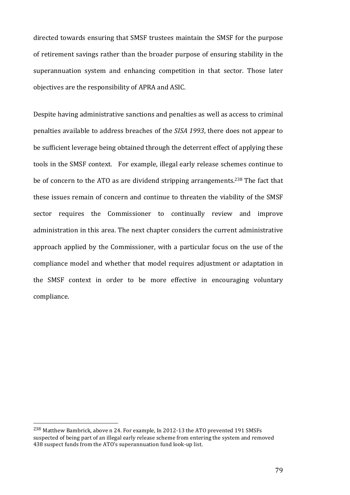directed towards ensuring that SMSF trustees maintain the SMSF for the purpose of retirement savings rather than the broader purpose of ensuring stability in the superannuation system and enhancing competition in that sector. Those later objectives are the responsibility of APRA and ASIC.

Despite having administrative sanctions and penalties as well as access to criminal penalties available to address breaches of the *SISA 1993*, there does not appear to be sufficient leverage being obtained through the deterrent effect of applying these tools in the SMSF context. For example, illegal early release schemes continue to be of concern to the ATO as are dividend stripping arrangements.<sup>238</sup> The fact that these issues remain of concern and continue to threaten the viability of the SMSF sector requires the Commissioner to continually review and improve administration in this area. The next chapter considers the current administrative approach applied by the Commissioner, with a particular focus on the use of the compliance model and whether that model requires adjustment or adaptation in the SMSF context in order to be more effective in encouraging voluntary compliance.

<u> 1989 - Johann Stein, marwolaethau a bh</u>

<sup>&</sup>lt;sup>238</sup> Matthew Bambrick, above n 24. For example, In 2012-13 the ATO prevented 191 SMSFs suspected of being part of an illegal early release scheme from entering the system and removed 438 suspect funds from the ATO's superannuation fund look-up list.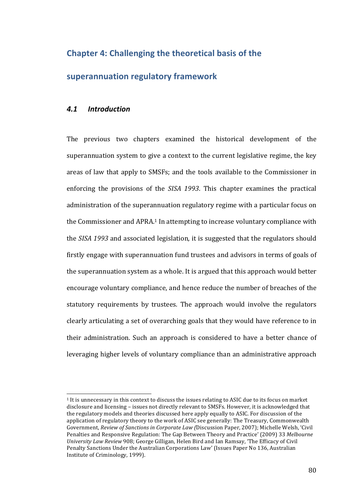# **Chapter 4: Challenging the theoretical basis of the**

## **superannuation regulatory framework**

## *4.1 Introduction*

 

The previous two chapters examined the historical development of the superannuation system to give a context to the current legislative regime, the key areas of law that apply to SMSFs; and the tools available to the Commissioner in enforcing the provisions of the *SISA 1993*. This chapter examines the practical administration of the superannuation regulatory regime with a particular focus on the Commissioner and APRA.<sup>1</sup> In attempting to increase voluntary compliance with the *SISA* 1993 and associated legislation, it is suggested that the regulators should firstly engage with superannuation fund trustees and advisors in terms of goals of the superannuation system as a whole. It is argued that this approach would better encourage voluntary compliance, and hence reduce the number of breaches of the statutory requirements by trustees. The approach would involve the regulators clearly articulating a set of overarching goals that they would have reference to in their administration. Such an approach is considered to have a better chance of leveraging higher levels of voluntary compliance than an administrative approach

 $1$  It is unnecessary in this context to discuss the issues relating to ASIC due to its focus on market disclosure and licensing - issues not directly relevant to SMSFs. However, it is acknowledged that the regulatory models and theories discussed here apply equally to ASIC. For discussion of the application of regulatory theory to the work of ASIC see generally: The Treasury, Commonwealth Government, *Review of Sanctions in Corporate Law (Discussion Paper, 2007)*; Michelle Welsh, 'Civil Penalties and Responsive Regulation: The Gap Between Theory and Practice' (2009) 33 Melbourne *University Law Review* 908; George Gilligan, Helen Bird and Ian Ramsay, 'The Efficacy of Civil Penalty Sanctions Under the Australian Corporations Law' (Issues Paper No 136, Australian Institute of Criminology, 1999).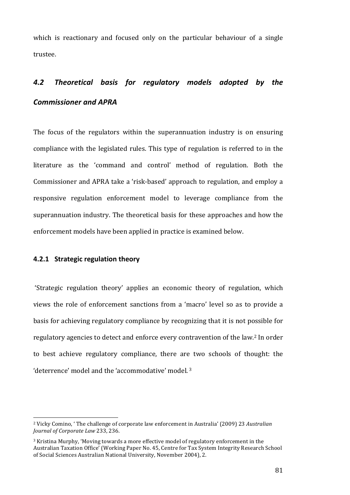which is reactionary and focused only on the particular behaviour of a single trustee. 

# *4.2 Theoretical basis for regulatory models adopted by the Commissioner and APRA*

The focus of the regulators within the superannuation industry is on ensuring compliance with the legislated rules. This type of regulation is referred to in the literature as the 'command and control' method of regulation. Both the Commissioner and APRA take a 'risk-based' approach to regulation, and employ a responsive regulation enforcement model to leverage compliance from the superannuation industry. The theoretical basis for these approaches and how the enforcement models have been applied in practice is examined below.

### **4.2.1 Strategic regulation theory**

<u> 1989 - Johann Stein, marwolaethau a bh</u>

'Strategic regulation theory' applies an economic theory of regulation, which views the role of enforcement sanctions from a 'macro' level so as to provide a basis for achieving regulatory compliance by recognizing that it is not possible for regulatory agencies to detect and enforce every contravention of the law.<sup>2</sup> In order to best achieve regulatory compliance, there are two schools of thought: the 'deterrence' model and the 'accommodative' model.<sup>3</sup>

<sup>&</sup>lt;sup>2</sup> Vicky Comino, ' The challenge of corporate law enforcement in Australia' (2009) 23 *Australian Journal of Corporate Law* 233, 236.

<sup>&</sup>lt;sup>3</sup> Kristina Murphy, 'Moving towards a more effective model of regulatory enforcement in the Australian Taxation Office' (Working Paper No. 45, Centre for Tax System Integrity Research School of Social Sciences Australian National University, November 2004), 2.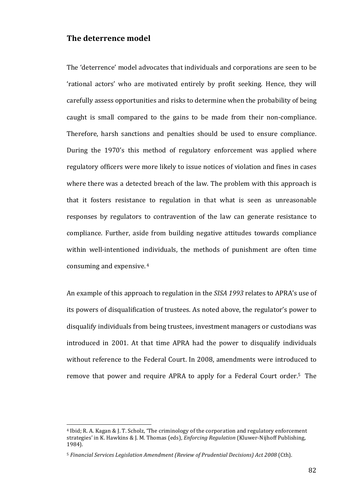## **The deterrence model**

The 'deterrence' model advocates that individuals and corporations are seen to be 'rational actors' who are motivated entirely by profit seeking. Hence, they will carefully assess opportunities and risks to determine when the probability of being caught is small compared to the gains to be made from their non-compliance. Therefore, harsh sanctions and penalties should be used to ensure compliance. During the 1970's this method of regulatory enforcement was applied where regulatory officers were more likely to issue notices of violation and fines in cases where there was a detected breach of the law. The problem with this approach is that it fosters resistance to regulation in that what is seen as unreasonable responses by regulators to contravention of the law can generate resistance to compliance. Further, aside from building negative attitudes towards compliance within well-intentioned individuals, the methods of punishment are often time consuming and expensive.  $4\overline{ }$ 

An example of this approach to regulation in the *SISA 1993* relates to APRA's use of its powers of disqualification of trustees. As noted above, the regulator's power to disqualify individuals from being trustees, investment managers or custodians was introduced in 2001. At that time APRA had the power to disqualify individuals without reference to the Federal Court. In 2008, amendments were introduced to remove that power and require APRA to apply for a Federal Court order.<sup>5</sup> The

<sup>&</sup>lt;sup>4</sup> Ibid; R. A. Kagan & J. T. Scholz, 'The criminology of the corporation and regulatory enforcement strategies' in K. Hawkins & J. M. Thomas (eds), *Enforcing Regulation* (Kluwer-Nijhoff Publishing, 1984). 

<sup>&</sup>lt;sup>5</sup> Financial Services Legislation Amendment (Review of Prudential Decisions) Act 2008 (Cth).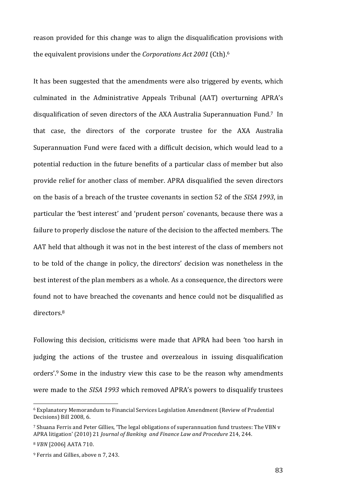reason provided for this change was to align the disqualification provisions with the equivalent provisions under the *Corporations Act 2001* (Cth).<sup>6</sup>

It has been suggested that the amendments were also triggered by events, which culminated in the Administrative Appeals Tribunal (AAT) overturning APRA's disqualification of seven directors of the AXA Australia Superannuation Fund.<sup>7</sup> In that case, the directors of the corporate trustee for the AXA Australia Superannuation Fund were faced with a difficult decision, which would lead to a potential reduction in the future benefits of a particular class of member but also provide relief for another class of member. APRA disqualified the seven directors on the basis of a breach of the trustee covenants in section 52 of the *SISA 1993*, in particular the 'best interest' and 'prudent person' covenants, because there was a failure to properly disclose the nature of the decision to the affected members. The AAT held that although it was not in the best interest of the class of members not to be told of the change in policy, the directors' decision was nonetheless in the best interest of the plan members as a whole. As a consequence, the directors were found not to have breached the covenants and hence could not be disqualified as directors. 8

Following this decision, criticisms were made that APRA had been 'too harsh in judging the actions of the trustee and overzealous in issuing disqualification orders'.<sup>9</sup> Some in the industry view this case to be the reason why amendments were made to the *SISA 1993* which removed APRA's powers to disqualify trustees

<sup>6</sup> Explanatory Memorandum to Financial Services Legislation Amendment (Review of Prudential Decisions) Bill 2008*,* 6. 

<sup>&</sup>lt;sup>7</sup> Shuana Ferris and Peter Gillies, 'The legal obligations of superannuation fund trustees: The VBN v APRA litigation' (2010) 21 *Journal of Banking and Finance Law and Procedure* 214, 244.

<sup>&</sup>lt;sup>8</sup> *VBN* [2006] AATA 710.

<sup>&</sup>lt;sup>9</sup> Ferris and Gillies, above n 7, 243.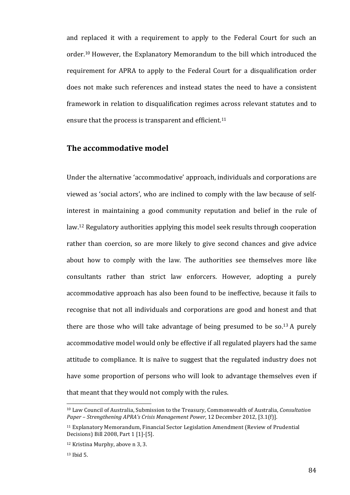and replaced it with a requirement to apply to the Federal Court for such an order.<sup>10</sup> However, the Explanatory Memorandum to the bill which introduced the requirement for APRA to apply to the Federal Court for a disqualification order does not make such references and instead states the need to have a consistent framework in relation to disqualification regimes across relevant statutes and to ensure that the process is transparent and efficient. $11$ 

## The accommodative model

Under the alternative 'accommodative' approach, individuals and corporations are viewed as 'social actors', who are inclined to comply with the law because of selfinterest in maintaining a good community reputation and belief in the rule of law.<sup>12</sup> Regulatory authorities applying this model seek results through cooperation rather than coercion, so are more likely to give second chances and give advice about how to comply with the law. The authorities see themselves more like consultants rather than strict law enforcers. However, adopting a purely accommodative approach has also been found to be ineffective, because it fails to recognise that not all individuals and corporations are good and honest and that there are those who will take advantage of being presumed to be so.<sup>13</sup> A purely accommodative model would only be effective if all regulated players had the same attitude to compliance. It is naïve to suggest that the regulated industry does not have some proportion of persons who will look to advantage themselves even if that meant that they would not comply with the rules.

<sup>&</sup>lt;sup>10</sup> Law Council of Australia, Submission to the Treasury, Commonwealth of Australia, *Consultation* Paper – Strengthening APRA's Crisis Management Power, 12 December 2012, [3.1(f)].

<sup>&</sup>lt;sup>11</sup> Explanatory Memorandum, Financial Sector Legislation Amendment (Review of Prudential Decisions) Bill 2008, Part 1 [1]-[5].

<sup>&</sup>lt;sup>12</sup> Kristina Murphy, above n 3, 3.

<sup>13</sup> Ibid 5.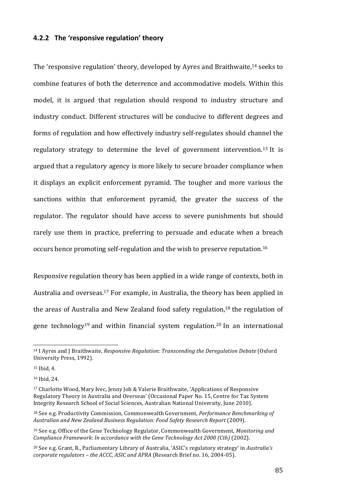### **4.2.2** The 'responsive regulation' theory

The 'responsive regulation' theory, developed by Ayres and Braithwaite,<sup>14</sup> seeks to combine features of both the deterrence and accommodative models. Within this model, it is argued that regulation should respond to industry structure and industry conduct. Different structures will be conducive to different degrees and forms of regulation and how effectively industry self-regulates should channel the regulatory strategy to determine the level of government intervention.<sup>15</sup> It is argued that a regulatory agency is more likely to secure broader compliance when it displays an explicit enforcement pyramid. The tougher and more various the sanctions within that enforcement pyramid, the greater the success of the regulator. The regulator should have access to severe punishments but should rarely use them in practice, preferring to persuade and educate when a breach occurs hence promoting self-regulation and the wish to preserve reputation.<sup>16</sup>

Responsive regulation theory has been applied in a wide range of contexts, both in Australia and overseas.<sup>17</sup> For example, in Australia, the theory has been applied in the areas of Australia and New Zealand food safety regulation,<sup>18</sup> the regulation of gene technology<sup>19</sup> and within financial system regulation.<sup>20</sup> In an international

<sup>&</sup>lt;sup>14</sup> I Ayres and J Braithwaite, *Responsive Regulation: Transcending the Deregulation Debate* (Oxford University Press, 1992).

 $15$  Ibid, 4.

<sup>16</sup> Ibid, 24.

<sup>&</sup>lt;sup>17</sup> Charlotte Wood, Mary Ivec, Jenny Job & Valerie Braithwaite, 'Applications of Responsive Regulatory Theory in Australia and Overseas' (Occasional Paper No. 15, Centre for Tax System Integrity Research School of Social Sciences, Australian National University, June 2010).

<sup>&</sup>lt;sup>18</sup> See e.g. Productivity Commission, Commonwealth Government, *Performance Benchmarking of Australian and New Zealand Business Regulation: Food Safety Research Report* (2009).

<sup>&</sup>lt;sup>19</sup> See e.g. Office of the Gene Technology Regulator, Commonwealth Government, *Monitoring and Compliance Framework: In accordance with the Gene Technology Act 2000 (Cth)* (2002).

<sup>&</sup>lt;sup>20</sup> See e.g. Grant, R., Parliamentary Library of Australia, 'ASIC's regulatory strategy' in *Australia's corporate regulators - the ACCC, ASIC and APRA* (Research Brief no. 16, 2004-05).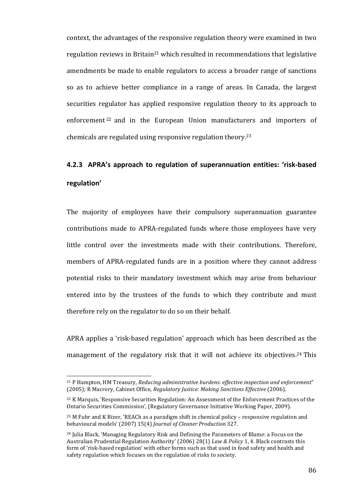context, the advantages of the responsive regulation theory were examined in two regulation reviews in Britain<sup>21</sup> which resulted in recommendations that legislative amendments be made to enable regulators to access a broader range of sanctions so as to achieve better compliance in a range of areas. In Canada, the largest securities regulator has applied responsive regulation theory to its approach to enforcement<sup>22</sup> and in the European Union manufacturers and importers of chemicals are regulated using responsive regulation theory.<sup>23</sup>

# **4.2.3** APRA's approach to regulation of superannuation entities: 'risk-based **regulation'**

The majority of employees have their compulsory superannuation guarantee contributions made to APRA-regulated funds where those employees have very little control over the investments made with their contributions. Therefore, members of APRA-regulated funds are in a position where they cannot address potential risks to their mandatory investment which may arise from behaviour entered into by the trustees of the funds to which they contribute and must therefore rely on the regulator to do so on their behalf.

APRA applies a 'risk-based regulation' approach which has been described as the management of the regulatory risk that it will not achieve its objectives.<sup>24</sup> This

<sup>&</sup>lt;sup>21</sup> P Hampton, HM Treasury, *Reducing administrative burdens: effective inspection and enforcement"* (2005); R Macrory, Cabinet Office, *Regulatory Justice: Making Sanctions Effective* (2006).

<sup>&</sup>lt;sup>22</sup> K Marquis, 'Responsive Securities Regulation: An Assessment of the Enforcement Practices of the Ontario Securities Commission', (Regulatory Governance Initiative Working Paper, 2009).

 $23$  M Fuhr and K Bizer, 'REACh as a paradigm shift in chemical policy – responsive regulation and behavioural models' (2007) 15(4) *Journal of Cleaner Production* 327.

 $24$  Julia Black, 'Managing Regulatory Risk and Defining the Parameters of Blame: a Focus on the Australian Prudential Regulation Authority' (2006) 28(1) Law & Policy 1, 4. Black contrasts this form of 'risk-based regulation' with other forms such as that used in food safety and health and safety regulation which focuses on the regulation of risks to society.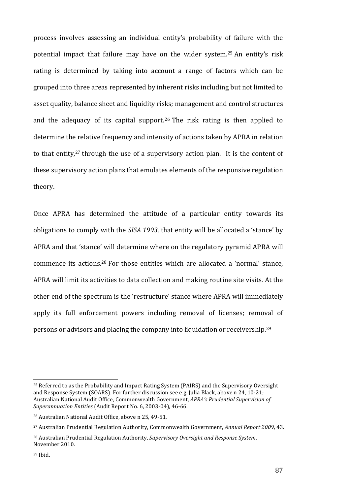process involves assessing an individual entity's probability of failure with the potential impact that failure may have on the wider system.<sup>25</sup> An entity's risk rating is determined by taking into account a range of factors which can be grouped into three areas represented by inherent risks including but not limited to asset quality, balance sheet and liquidity risks; management and control structures and the adequacy of its capital support.<sup>26</sup> The risk rating is then applied to determine the relative frequency and intensity of actions taken by APRA in relation to that entity, $27$  through the use of a supervisory action plan. It is the content of these supervisory action plans that emulates elements of the responsive regulation theory. 

Once APRA has determined the attitude of a particular entity towards its obligations to comply with the *SISA 1993*, that entity will be allocated a 'stance' by APRA and that 'stance' will determine where on the regulatory pyramid APRA will commence its actions.<sup>28</sup> For those entities which are allocated a 'normal' stance, APRA will limit its activities to data collection and making routine site visits. At the other end of the spectrum is the 'restructure' stance where APRA will immediately apply its full enforcement powers including removal of licenses; removal of persons or advisors and placing the company into liquidation or receivership.<sup>29</sup>

<sup>&</sup>lt;sup>25</sup> Referred to as the Probability and Impact Rating System (PAIRS) and the Supervisory Oversight and Response System (SOARS). For further discussion see e.g. Julia Black, above n 24, 10-21; Australian National Audit Office, Commonwealth Government, *APRA's Prudential Supervision of Superannuation Entities* (Audit Report No. 6, 2003-04), 46-66.

<sup>&</sup>lt;sup>26</sup> Australian National Audit Office, above n 25, 49-51.

<sup>&</sup>lt;sup>27</sup> Australian Prudential Regulation Authority, Commonwealth Government, *Annual Report 2009*, 43.

<sup>&</sup>lt;sup>28</sup> Australian Prudential Regulation Authority, *Supervisory Oversight and Response System*, November 2010. 

<sup>29</sup> Ibid.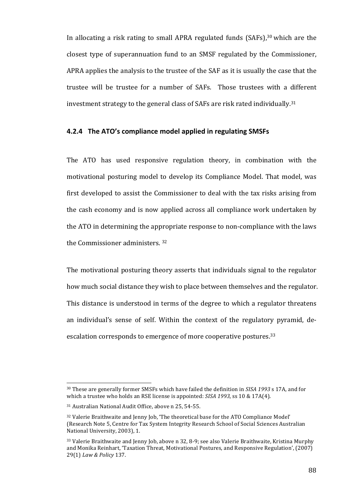In allocating a risk rating to small APRA regulated funds (SAFs),<sup>30</sup> which are the closest type of superannuation fund to an SMSF regulated by the Commissioner, APRA applies the analysis to the trustee of the SAF as it is usually the case that the trustee will be trustee for a number of SAFs. Those trustees with a different investment strategy to the general class of SAFs are risk rated individually.<sup>31</sup>

### **4.2.4 The ATO's compliance model applied in regulating SMSFs**

The ATO has used responsive regulation theory, in combination with the motivational posturing model to develop its Compliance Model. That model, was first developed to assist the Commissioner to deal with the tax risks arising from the cash economy and is now applied across all compliance work undertaken by the ATO in determining the appropriate response to non-compliance with the laws the Commissioner administers.  $32$ 

The motivational posturing theory asserts that individuals signal to the regulator how much social distance they wish to place between themselves and the regulator. This distance is understood in terms of the degree to which a regulator threatens an individual's sense of self. Within the context of the regulatory pyramid, deescalation corresponds to emergence of more cooperative postures.<sup>33</sup>

<sup>&</sup>lt;sup>30</sup> These are generally former SMSFs which have failed the definition in *SISA 1993* s 17A, and for which a trustee who holds an RSE license is appointed:  $SISA$  1993, ss 10 & 17A(4).

<sup>&</sup>lt;sup>31</sup> Australian National Audit Office, above n 25, 54-55.

<sup>&</sup>lt;sup>32</sup> Valerie Braithwaite and Jenny Job, 'The theoretical base for the ATO Compliance Model' (Research Note 5, Centre for Tax System Integrity Research School of Social Sciences Australian National University, 2003), 1.

<sup>33</sup> Valerie Braithwaite and Jenny Job, above n 32, 8-9; see also Valerie Braithwaite, Kristina Murphy and Monika Reinhart, 'Taxation Threat, Motivational Postures, and Responsive Regulation', (2007) 29(1) Law & Policy 137.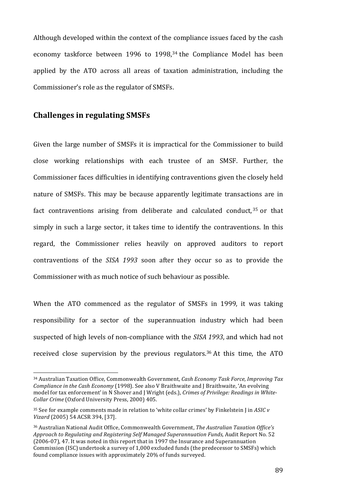Although developed within the context of the compliance issues faced by the cash economy taskforce between 1996 to 1998,<sup>34</sup> the Compliance Model has been applied by the ATO across all areas of taxation administration, including the Commissioner's role as the regulator of SMSFs.

## **Challenges in regulating SMSFs**

 

Given the large number of SMSFs it is impractical for the Commissioner to build close working relationships with each trustee of an SMSF. Further, the Commissioner faces difficulties in identifying contraventions given the closely held nature of SMSFs. This may be because apparently legitimate transactions are in fact contraventions arising from deliberate and calculated conduct,  $35$  or that simply in such a large sector, it takes time to identify the contraventions. In this regard, the Commissioner relies heavily on approved auditors to report contraventions of the *SISA 1993* soon after they occur so as to provide the Commissioner with as much notice of such behaviour as possible.

When the ATO commenced as the regulator of SMSFs in 1999, it was taking responsibility for a sector of the superannuation industry which had been suspected of high levels of non-compliance with the *SISA 1993*, and which had not received close supervision by the previous regulators.<sup>36</sup> At this time, the ATO

<sup>&</sup>lt;sup>34</sup> Australian Taxation Office, Commonwealth Government, *Cash Economy Task Force, Improving Tax Compliance in the Cash Economy* (1998). See also V Braithwaite and J Braithwaite, 'An evolving model for tax enforcement' in N Shover and J Wright (eds.), *Crimes of Privilege: Readings in White-Collar Crime* (Oxford University Press, 2000) 405.

 $35$  See for example comments made in relation to 'white collar crimes' by Finkelstein  $\int$  in *ASIC*  $v$ *Vizard* (2005) 54 ACSR 394, [37].

<sup>&</sup>lt;sup>36</sup> Australian National Audit Office, Commonwealth Government, *The Australian Taxation Office's* Approach to Regulating and Registering Self Managed Superannuation Funds, Audit Report No. 52 (2006-07), 47. It was noted in this report that in 1997 the Insurance and Superannuation Commission (ISC) undertook a survey of 1,000 excluded funds (the predecessor to SMSFs) which found compliance issues with approximately 20% of funds surveyed.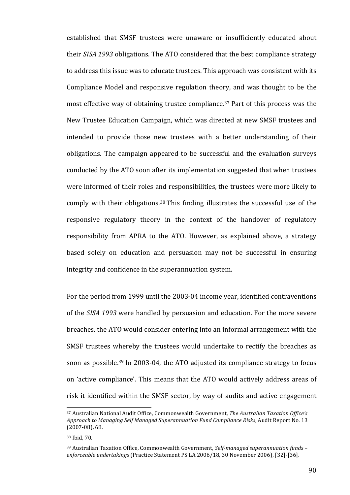established that SMSF trustees were unaware or insufficiently educated about their *SISA* 1993 obligations. The ATO considered that the best compliance strategy to address this issue was to educate trustees. This approach was consistent with its Compliance Model and responsive regulation theory, and was thought to be the most effective way of obtaining trustee compliance.<sup>37</sup> Part of this process was the New Trustee Education Campaign, which was directed at new SMSF trustees and intended to provide those new trustees with a better understanding of their obligations. The campaign appeared to be successful and the evaluation surveys conducted by the ATO soon after its implementation suggested that when trustees were informed of their roles and responsibilities, the trustees were more likely to comply with their obligations.<sup>38</sup> This finding illustrates the successful use of the responsive regulatory theory in the context of the handover of regulatory responsibility from APRA to the ATO. However, as explained above, a strategy based solely on education and persuasion may not be successful in ensuring integrity and confidence in the superannuation system.

For the period from 1999 until the 2003-04 income year, identified contraventions of the *SISA 1993* were handled by persuasion and education. For the more severe breaches, the ATO would consider entering into an informal arrangement with the SMSF trustees whereby the trustees would undertake to rectify the breaches as soon as possible.<sup>39</sup> In 2003-04, the ATO adjusted its compliance strategy to focus on 'active compliance'. This means that the ATO would actively address areas of risk it identified within the SMSF sector, by way of audits and active engagement

<sup>&</sup>lt;sup>37</sup> Australian National Audit Office, Commonwealth Government, *The Australian Taxation Office's* Approach to Managing Self Managed Superannuation Fund Compliance Risks, Audit Report No. 13  $(2007-08)$ , 68.

<sup>38</sup> Ibid, 70.

<sup>&</sup>lt;sup>39</sup> Australian Taxation Office, Commonwealth Government, *Self-managed superannuation funds* – *enforceable undertakings* (Practice Statement PS LA 2006/18, 30 November 2006), [32]-[36].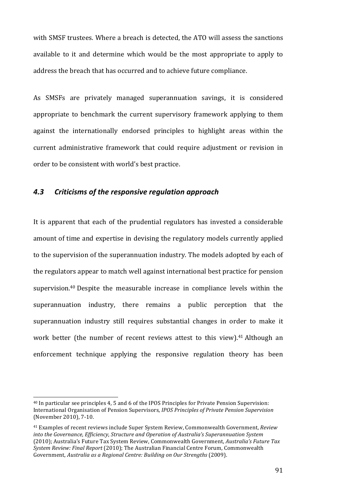with SMSF trustees. Where a breach is detected, the ATO will assess the sanctions available to it and determine which would be the most appropriate to apply to address the breach that has occurred and to achieve future compliance.

As SMSFs are privately managed superannuation savings, it is considered appropriate to benchmark the current supervisory framework applying to them against the internationally endorsed principles to highlight areas within the current administrative framework that could require adjustment or revision in order to be consistent with world's best practice.

## *4.3 Criticisms of the responsive regulation approach*

It is apparent that each of the prudential regulators has invested a considerable amount of time and expertise in devising the regulatory models currently applied to the supervision of the superannuation industry. The models adopted by each of the regulators appear to match well against international best practice for pension supervision.<sup>40</sup> Despite the measurable increase in compliance levels within the superannuation industry, there remains a public perception that the superannuation industry still requires substantial changes in order to make it work better (the number of recent reviews attest to this view).<sup>41</sup> Although an enforcement technique applying the responsive regulation theory has been

<sup>&</sup>lt;sup>40</sup> In particular see principles 4, 5 and 6 of the IPOS Principles for Private Pension Supervision: International Organisation of Pension Supervisors, *IPOS Principles of Private Pension Supervision* (November 2010), 7-10.

<sup>&</sup>lt;sup>41</sup> Examples of recent reviews include Super System Review, Commonwealth Government, *Review into the Governance, Efficiency, Structure and Operation of Australia's Superannuation System* (2010); Australia's Future Tax System Review, Commonwealth Government, *Australia's Future Tax* System Review: Final Report (2010); The Australian Financial Centre Forum, Commonwealth Government, *Australia as a Regional Centre: Building on Our Strengths* (2009).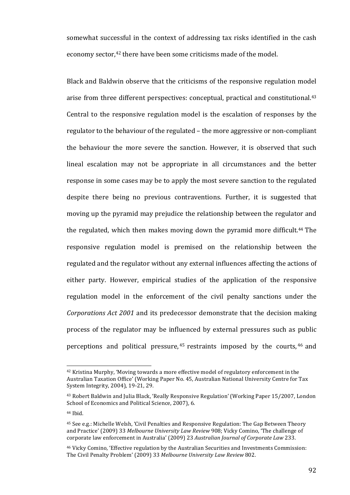somewhat successful in the context of addressing tax risks identified in the cash economy sector,<sup>42</sup> there have been some criticisms made of the model.

Black and Baldwin observe that the criticisms of the responsive regulation model arise from three different perspectives: conceptual, practical and constitutional.<sup>43</sup> Central to the responsive regulation model is the escalation of responses by the regulator to the behaviour of the regulated – the more aggressive or non-compliant the behaviour the more severe the sanction. However, it is observed that such lineal escalation may not be appropriate in all circumstances and the better response in some cases may be to apply the most severe sanction to the regulated despite there being no previous contraventions. Further, it is suggested that moving up the pyramid may prejudice the relationship between the regulator and the regulated, which then makes moving down the pyramid more difficult.<sup>44</sup> The responsive regulation model is premised on the relationship between the regulated and the regulator without any external influences affecting the actions of either party. However, empirical studies of the application of the responsive regulation model in the enforcement of the civil penalty sanctions under the *Corporations Act 2001* and its predecessor demonstrate that the decision making process of the regulator may be influenced by external pressures such as public perceptions and political pressure,  $45$  restraints imposed by the courts,  $46$  and

 $42$  Kristina Murphy, 'Moving towards a more effective model of regulatory enforcement in the Australian Taxation Office' (Working Paper No. 45, Australian National University Centre for Tax System Integrity, 2004), 19-21, 29.

<sup>&</sup>lt;sup>43</sup> Robert Baldwin and Julia Black, 'Really Responsive Regulation' (Working Paper 15/2007, London School of Economics and Political Science, 2007), 6.

<sup>44</sup> Ibid. 

<sup>&</sup>lt;sup>45</sup> See e.g.: Michelle Welsh, 'Civil Penalties and Responsive Regulation: The Gap Between Theory and Practice' (2009) 33 Melbourne University Law Review 908; Vicky Comino, 'The challenge of corporate law enforcement in Australia' (2009) 23 Australian Journal of Corporate Law 233.

<sup>&</sup>lt;sup>46</sup> Vicky Comino, 'Effective regulation by the Australian Securities and Investments Commission: The Civil Penalty Problem' (2009) 33 Melbourne University Law Review 802.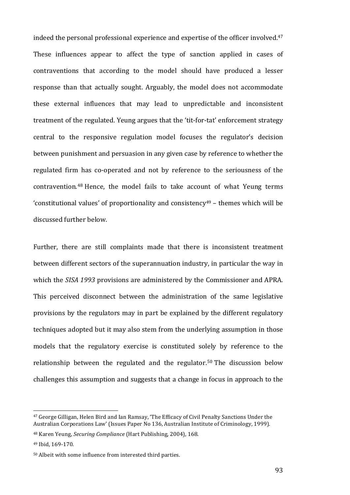indeed the personal professional experience and expertise of the officer involved. $47$ These influences appear to affect the type of sanction applied in cases of contraventions that according to the model should have produced a lesser response than that actually sought. Arguably, the model does not accommodate these external influences that may lead to unpredictable and inconsistent treatment of the regulated. Yeung argues that the 'tit-for-tat' enforcement strategy central to the responsive regulation model focuses the regulator's decision between punishment and persuasion in any given case by reference to whether the regulated firm has co-operated and not by reference to the seriousness of the contravention.<sup>48</sup> Hence, the model fails to take account of what Yeung terms 'constitutional values' of proportionality and consistency<sup>49</sup> – themes which will be discussed further below.

Further, there are still complaints made that there is inconsistent treatment between different sectors of the superannuation industry, in particular the way in which the *SISA 1993* provisions are administered by the Commissioner and APRA. This perceived disconnect between the administration of the same legislative provisions by the regulators may in part be explained by the different regulatory techniques adopted but it may also stem from the underlying assumption in those models that the regulatory exercise is constituted solely by reference to the relationship between the regulated and the regulator.<sup>50</sup> The discussion below challenges this assumption and suggests that a change in focus in approach to the

<u> 1989 - Johann Stein, marwolaethau a bh</u>

<sup>&</sup>lt;sup>47</sup> George Gilligan, Helen Bird and Ian Ramsay, 'The Efficacy of Civil Penalty Sanctions Under the Australian Corporations Law' (Issues Paper No 136, Australian Institute of Criminology, 1999).

<sup>&</sup>lt;sup>48</sup> Karen Yeung, *Securing Compliance* (Hart Publishing, 2004), 168.

<sup>49</sup> Ibid, 169-170.

 $50$  Albeit with some influence from interested third parties.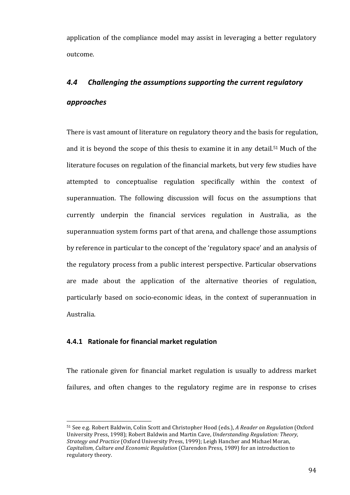application of the compliance model may assist in leveraging a better regulatory outcome.

# 4.4 Challenging the assumptions supporting the current regulatory *approaches*

There is vast amount of literature on regulatory theory and the basis for regulation, and it is beyond the scope of this thesis to examine it in any detail.<sup>51</sup> Much of the literature focuses on regulation of the financial markets, but very few studies have attempted to conceptualise regulation specifically within the context of superannuation. The following discussion will focus on the assumptions that currently underpin the financial services regulation in Australia, as the superannuation system forms part of that arena, and challenge those assumptions by reference in particular to the concept of the 'regulatory space' and an analysis of the regulatory process from a public interest perspective. Particular observations are made about the application of the alternative theories of regulation, particularly based on socio-economic ideas, in the context of superannuation in Australia. 

## **4.4.1** Rationale for financial market regulation

 

The rationale given for financial market regulation is usually to address market failures, and often changes to the regulatory regime are in response to crises

<sup>51</sup> See e.g. Robert Baldwin, Colin Scott and Christopher Hood (eds.), *A Reader on Regulation* (Oxford University Press, 1998); Robert Baldwin and Martin Cave, *Understanding Regulation: Theory*, *Strategy and Practice* (Oxford University Press, 1999); Leigh Hancher and Michael Moran, *Capitalism, Culture and Economic Regulation* (Clarendon Press, 1989) for an introduction to regulatory theory.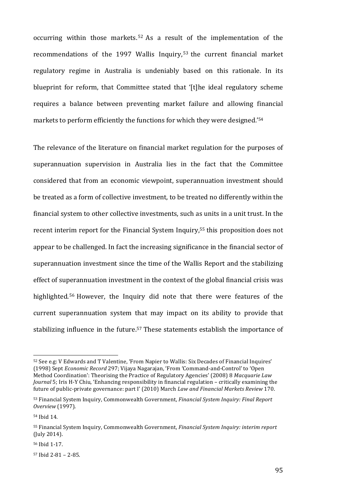occurring within those markets.<sup>52</sup> As a result of the implementation of the recommendations of the 1997 Wallis Inquiry,  $53$  the current financial market regulatory regime in Australia is undeniably based on this rationale. In its blueprint for reform, that Committee stated that '[t]he ideal regulatory scheme requires a balance between preventing market failure and allowing financial markets to perform efficiently the functions for which they were designed.'<sup>54</sup>

The relevance of the literature on financial market regulation for the purposes of superannuation supervision in Australia lies in the fact that the Committee considered that from an economic viewpoint, superannuation investment should be treated as a form of collective investment, to be treated no differently within the financial system to other collective investments, such as units in a unit trust. In the recent interim report for the Financial System Inquiry,<sup>55</sup> this proposition does not appear to be challenged. In fact the increasing significance in the financial sector of superannuation investment since the time of the Wallis Report and the stabilizing effect of superannuation investment in the context of the global financial crisis was highlighted.<sup>56</sup> However, the Inquiry did note that there were features of the current superannuation system that may impact on its ability to provide that stabilizing influence in the future.<sup>57</sup> These statements establish the importance of

<u> 1989 - Johann Stein, marwolaethau a bh</u>

<sup>52</sup> See e.g: V Edwards and T Valentine, 'From Napier to Wallis: Six Decades of Financial Inquires' (1998) Sept *Economic Record* 297; Vijaya Nagarajan, 'From 'Command-and-Control' to 'Open Method Coordination': Theorising the Practice of Regulatory Agencies' (2008) 8 Macquarie Law *Journal* 5; Iris H-Y Chiu, 'Enhancing responsibility in financial regulation – critically examining the future of public-private governance: part I' (2010) March *Law and Financial Markets Review* 170.

<sup>53</sup> Financial System Inquiry, Commonwealth Government, *Financial System Inquiry: Final Report Overview* (1997).

<sup>54</sup> Ibid 14. 

<sup>55</sup> Financial System Inquiry, Commonwealth Government, *Financial System Inquiry: interim report* (July 2014). 

<sup>56</sup> Ibid 1-17.

 $57$  Ibid  $2-81 - 2-85$ .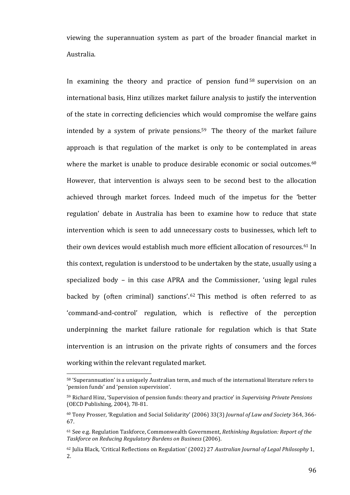viewing the superannuation system as part of the broader financial market in Australia.

In examining the theory and practice of pension fund  $58$  supervision on an international basis. Hinz utilizes market failure analysis to justify the intervention of the state in correcting deficiencies which would compromise the welfare gains intended by a system of private pensions.<sup>59</sup> The theory of the market failure approach is that regulation of the market is only to be contemplated in areas where the market is unable to produce desirable economic or social outcomes.<sup>60</sup> However, that intervention is always seen to be second best to the allocation achieved through market forces. Indeed much of the impetus for the 'better regulation' debate in Australia has been to examine how to reduce that state intervention which is seen to add unnecessary costs to businesses, which left to their own devices would establish much more efficient allocation of resources.<sup>61</sup> In this context, regulation is understood to be undertaken by the state, usually using a specialized body – in this case APRA and the Commissioner, 'using legal rules backed by (often criminal) sanctions'.<sup>62</sup> This method is often referred to as 'command-and-control' regulation, which is reflective of the perception underpinning the market failure rationale for regulation which is that State intervention is an intrusion on the private rights of consumers and the forces working within the relevant regulated market.

<sup>58 &#</sup>x27;Superannuation' is a uniquely Australian term, and much of the international literature refers to 'pension funds' and 'pension supervision'.

<sup>59</sup> Richard Hinz, 'Supervision of pension funds: theory and practice' in *Supervising Private Pensions* (OECD Publishing, 2004), 78-81.

<sup>&</sup>lt;sup>60</sup> Tony Prosser, 'Regulation and Social Solidarity' (2006) 33(3) *Journal of Law and Society* 364, 366-67.

<sup>&</sup>lt;sup>61</sup> See e.g. Regulation Taskforce, Commonwealth Government, *Rethinking Regulation: Report of the* Taskforce on Reducing Regulatory Burdens on Business (2006).

<sup>&</sup>lt;sup>62</sup> Julia Black, 'Critical Reflections on Regulation' (2002) 27 *Australian Journal of Legal Philosophy* 1, 2.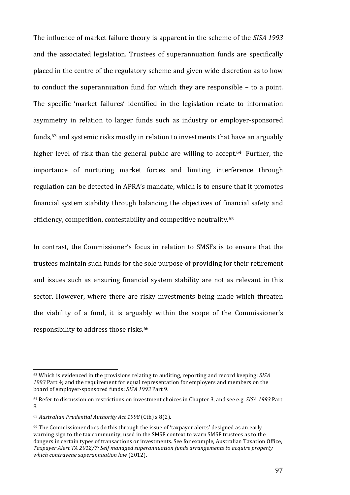The influence of market failure theory is apparent in the scheme of the *SISA* 1993 and the associated legislation. Trustees of superannuation funds are specifically placed in the centre of the regulatory scheme and given wide discretion as to how to conduct the superannuation fund for which they are responsible  $-$  to a point. The specific 'market failures' identified in the legislation relate to information asymmetry in relation to larger funds such as industry or employer-sponsored funds,<sup>63</sup> and systemic risks mostly in relation to investments that have an arguably higher level of risk than the general public are willing to accept.<sup>64</sup> Further, the importance of nurturing market forces and limiting interference through regulation can be detected in APRA's mandate, which is to ensure that it promotes financial system stability through balancing the objectives of financial safety and efficiency, competition, contestability and competitive neutrality.<sup>65</sup>

In contrast, the Commissioner's focus in relation to SMSFs is to ensure that the trustees maintain such funds for the sole purpose of providing for their retirement and issues such as ensuring financial system stability are not as relevant in this sector. However, where there are risky investments being made which threaten the viability of a fund, it is arguably within the scope of the Commissioner's responsibility to address those risks.<sup>66</sup>

<sup>&</sup>lt;sup>63</sup> Which is evidenced in the provisions relating to auditing, reporting and record keeping: *SISA* 1993 Part 4; and the requirement for equal representation for employers and members on the board of employer-sponsored funds: *SISA 1993* Part 9.

<sup>&</sup>lt;sup>64</sup> Refer to discussion on restrictions on investment choices in Chapter 3, and see e.g *SISA 1993* Part 8. 

<sup>65</sup> *Australian Prudential Authority Act 1998* (Cth) s 8(2). 

<sup>&</sup>lt;sup>66</sup> The Commissioner does do this through the issue of 'taxpayer alerts' designed as an early warning sign to the tax community, used in the SMSF context to warn SMSF trustees as to the dangers in certain types of transactions or investments. See for example, Australian Taxation Office, Taxpayer Alert TA 2012/7: Self managed superannuation funds arrangements to acquire property *which contravene superannuation law* (2012).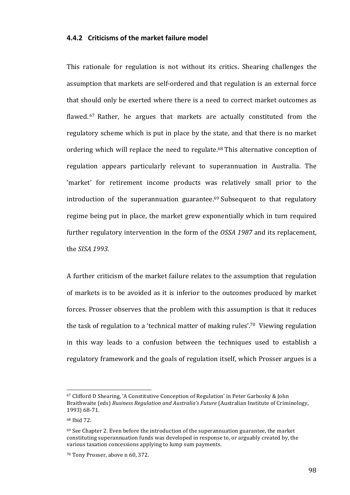### **4.4.2** Criticisms of the market failure model

This rationale for regulation is not without its critics. Shearing challenges the assumption that markets are self-ordered and that regulation is an external force that should only be exerted where there is a need to correct market outcomes as flawed. <sup>67</sup> Rather, he argues that markets are actually constituted from the regulatory scheme which is put in place by the state, and that there is no market ordering which will replace the need to regulate.<sup>68</sup> This alternative conception of regulation appears particularly relevant to superannuation in Australia. The 'market' for retirement income products was relatively small prior to the introduction of the superannuation guarantee.<sup>69</sup> Subsequent to that regulatory regime being put in place, the market grew exponentially which in turn required further regulatory intervention in the form of the *OSSA 1987* and its replacement, the *SISA* 1993.

A further criticism of the market failure relates to the assumption that regulation of markets is to be avoided as it is inferior to the outcomes produced by market forces. Prosser observes that the problem with this assumption is that it reduces the task of regulation to a 'technical matter of making rules'.<sup>70</sup> Viewing regulation in this way leads to a confusion between the techniques used to establish a regulatory framework and the goals of regulation itself, which Prosser argues is a

<sup>67</sup> Clifford D Shearing, 'A Constitutive Conception of Regulation' in Peter Garbosky & John Braithwaite (eds) *Business Regulation and Australia's Future* (Australian Institute of Criminology, 1993) 68-71.

<sup>68</sup> Ibid 72.

 $69$  See Chapter 2. Even before the introduction of the superannuation guarantee, the market constituting superannuation funds was developed in response to, or arguably created by, the various taxation concessions applying to lump sum payments.

<sup>&</sup>lt;sup>70</sup> Tony Prosser, above n 60, 372.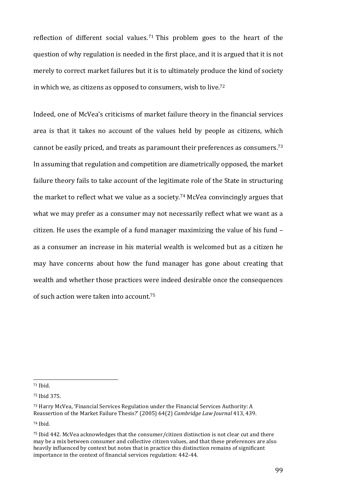reflection of different social values.<sup>71</sup> This problem goes to the heart of the question of why regulation is needed in the first place, and it is argued that it is not merely to correct market failures but it is to ultimately produce the kind of society in which we, as citizens as opposed to consumers, wish to live.<sup>72</sup>

Indeed, one of McVea's criticisms of market failure theory in the financial services area is that it takes no account of the values held by people as citizens, which cannot be easily priced, and treats as paramount their preferences as consumers.<sup>73</sup> In assuming that regulation and competition are diametrically opposed, the market failure theory fails to take account of the legitimate role of the State in structuring the market to reflect what we value as a society.<sup>74</sup> McVea convincingly argues that what we may prefer as a consumer may not necessarily reflect what we want as a citizen. He uses the example of a fund manager maximizing the value of his fund  $$ as a consumer an increase in his material wealth is welcomed but as a citizen he may have concerns about how the fund manager has gone about creating that wealth and whether those practices were indeed desirable once the consequences of such action were taken into account.<sup>75</sup>

 

74 Ibid.

<sup>71</sup> Ibid. 

<sup>72</sup> Ibid 375.

 $73$  Harry McVea, 'Financial Services Regulation under the Financial Services Authority: A Reassertion of the Market Failure Thesis?' (2005) 64(2) *Cambridge Law Journal* 413, 439.

 $75$  Ibid 442. McVea acknowledges that the consumer/citizen distinction is not clear cut and there may be a mix between consumer and collective citizen values, and that these preferences are also heavily influenced by context but notes that in practice this distinction remains of significant importance in the context of financial services regulation: 442-44.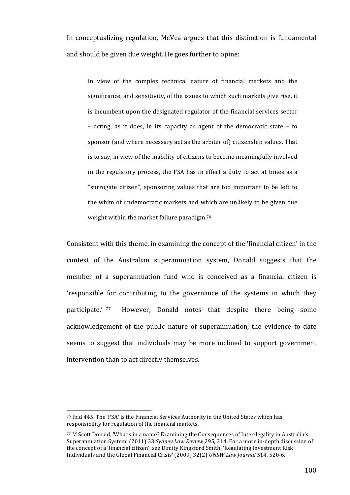In conceptualizing regulation, McVea argues that this distinction is fundamental and should be given due weight. He goes further to opine:

In view of the complex technical nature of financial markets and the significance, and sensitivity, of the issues to which such markets give rise, it is incumbent upon the designated regulator of the financial services sector  $-$  acting, as it does, in its capacity as agent of the democratic state  $-$  to sponsor (and where necessary act as the arbiter of) citizenship values. That is to say, in view of the inability of citizens to become meaningfully involved in the regulatory process, the FSA has in effect a duty to act at times as a "surrogate citizen", sponsoring values that are too important to be left to the whim of undemocratic markets and which are unlikely to be given due weight within the market failure paradigm.<sup>76</sup>

Consistent with this theme, in examining the concept of the 'financial citizen' in the context of the Australian superannuation system, Donald suggests that the member of a superannuation fund who is conceived as a financial citizen is 'responsible for contributing to the governance of the systems in which they participate.' <sup>77</sup> However, Donald notes that despite there being some acknowledgement of the public nature of superannuation, the evidence to date seems to suggest that individuals may be more inclined to support government intervention than to act directly themselves.

<sup>&</sup>lt;sup>76</sup> Ibid 445. The 'FSA' is the Financial Services Authority in the United States which has responsibility for regulation of the financial markets.

<sup>&</sup>lt;sup>77</sup> M Scott Donald, 'What's in a name? Examining the Consequences of Inter-legality in Australia's Superannuation System' (2011) 33 *Sydney Law Review* 295, 314. For a more in-depth discussion of the concept of a 'financial citizen', see Dimity Kingsford Smith, 'Regulating Investment Risk: Individuals and the Global Financial Crisis' (2009) 32(2) *UNSW Law Journal* 514, 520-6.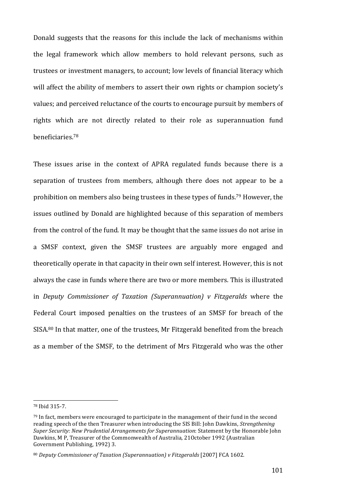Donald suggests that the reasons for this include the lack of mechanisms within the legal framework which allow members to hold relevant persons, such as trustees or investment managers, to account; low levels of financial literacy which will affect the ability of members to assert their own rights or champion society's values; and perceived reluctance of the courts to encourage pursuit by members of rights which are not directly related to their role as superannuation fund beneficiaries. 78

These issues arise in the context of APRA regulated funds because there is a separation of trustees from members, although there does not appear to be a prohibition on members also being trustees in these types of funds.<sup>79</sup> However, the issues outlined by Donald are highlighted because of this separation of members from the control of the fund. It may be thought that the same issues do not arise in a SMSF context, given the SMSF trustees are arguably more engaged and theoretically operate in that capacity in their own self interest. However, this is not always the case in funds where there are two or more members. This is illustrated in *Deputy Commissioner of Taxation (Superannuation) v* Fitzgeralds where the Federal Court imposed penalties on the trustees of an SMSF for breach of the SISA.<sup>80</sup> In that matter, one of the trustees, Mr Fitzgerald benefited from the breach as a member of the SMSF, to the detriment of Mrs Fitzgerald who was the other

<sup>78</sup> Ibid 315-7.

 $79$  In fact, members were encouraged to participate in the management of their fund in the second reading speech of the then Treasurer when introducing the SIS Bill: John Dawkins, *Strengthening Super Security:* New Prudential Arrangements for Superannuation: Statement by the Honorable John Dawkins, M P, Treasurer of the Commonwealth of Australia, 21October 1992 (Australian Government Publishing, 1992) 3.

<sup>80</sup> *Deputy Commissioner of Taxation (Superannuation) v* Fitzgeralds [2007] FCA 1602.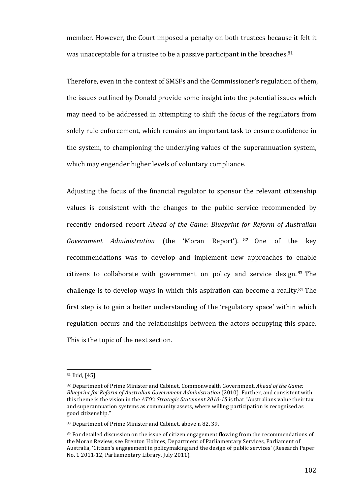member. However, the Court imposed a penalty on both trustees because it felt it was unacceptable for a trustee to be a passive participant in the breaches.<sup>81</sup>

Therefore, even in the context of SMSFs and the Commissioner's regulation of them, the issues outlined by Donald provide some insight into the potential issues which may need to be addressed in attempting to shift the focus of the regulators from solely rule enforcement, which remains an important task to ensure confidence in the system, to championing the underlying values of the superannuation system, which may engender higher levels of voluntary compliance.

Adjusting the focus of the financial regulator to sponsor the relevant citizenship values is consistent with the changes to the public service recommended by recently endorsed report *Ahead of the Game: Blueprint for Reform of Australian Government Administration* (the 'Moran Report'). <sup>82</sup> One of the key recommendations was to develop and implement new approaches to enable citizens to collaborate with government on policy and service design.  $83$  The challenge is to develop ways in which this aspiration can become a reality.<sup>84</sup> The first step is to gain a better understanding of the 'regulatory space' within which regulation occurs and the relationships between the actors occupying this space. This is the topic of the next section.

<sup>&</sup>lt;sup>81</sup> Ibid, [45].

<sup>82</sup> Department of Prime Minister and Cabinet, Commonwealth Government, *Ahead of the Game: Blueprint for Reform of Australian Government Administration* (2010). Further, and consistent with this theme is the vision in the *ATO's Strategic Statement 2010-15* is that "Australians value their tax and superannuation systems as community assets, where willing participation is recognised as good citizenship."

<sup>83</sup> Department of Prime Minister and Cabinet, above n 82, 39.

 $84$  For detailed discussion on the issue of citizen engagement flowing from the recommendations of the Moran Review, see Brenton Holmes, Department of Parliamentary Services, Parliament of Australia, 'Citizen's engagement in policymaking and the design of public services' (Research Paper No. 1 2011-12, Parliamentary Library, July 2011).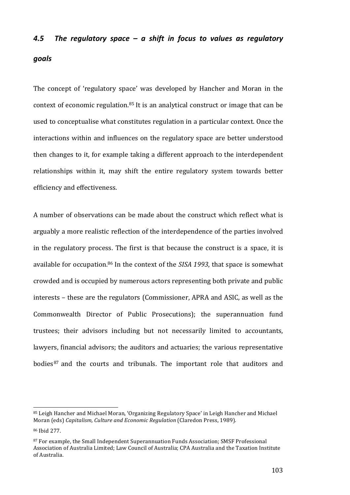# **4.5** The regulatory space – a shift in focus to values as regulatory *goals*

The concept of 'regulatory space' was developed by Hancher and Moran in the context of economic regulation.<sup>85</sup> It is an analytical construct or image that can be used to conceptualise what constitutes regulation in a particular context. Once the interactions within and influences on the regulatory space are better understood then changes to it, for example taking a different approach to the interdependent relationships within it, may shift the entire regulatory system towards better efficiency and effectiveness.

A number of observations can be made about the construct which reflect what is arguably a more realistic reflection of the interdependence of the parties involved in the regulatory process. The first is that because the construct is a space, it is available for occupation.<sup>86</sup> In the context of the *SISA 1993*, that space is somewhat crowded and is occupied by numerous actors representing both private and public interests – these are the regulators (Commissioner, APRA and ASIC, as well as the Commonwealth Director of Public Prosecutions); the superannuation fund trustees; their advisors including but not necessarily limited to accountants, lawyers, financial advisors; the auditors and actuaries; the various representative bodies<sup>87</sup> and the courts and tribunals. The important role that auditors and

<sup>85</sup> Leigh Hancher and Michael Moran, 'Organizing Regulatory Space' in Leigh Hancher and Michael Moran (eds) Capitalism, Culture and Economic Regulation (Claredon Press, 1989).

<sup>86</sup> Ibid 277.

<sup>87</sup> For example, the Small Independent Superannuation Funds Association; SMSF Professional Association of Australia Limited; Law Council of Australia; CPA Australia and the Taxation Institute of Australia.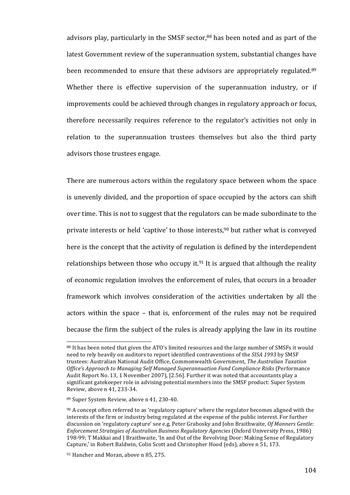advisors play, particularly in the SMSF sector, $88$  has been noted and as part of the latest Government review of the superannuation system, substantial changes have been recommended to ensure that these advisors are appropriately regulated.<sup>89</sup> Whether there is effective supervision of the superannuation industry, or if improvements could be achieved through changes in regulatory approach or focus, therefore necessarily requires reference to the regulator's activities not only in relation to the superannuation trustees themselves but also the third party advisors those trustees engage.

There are numerous actors within the regulatory space between whom the space is unevenly divided, and the proportion of space occupied by the actors can shift over time. This is not to suggest that the regulators can be made subordinate to the private interests or held 'captive' to those interests,<sup>90</sup> but rather what is conveyed here is the concept that the activity of regulation is defined by the interdependent relationships between those who occupy it.<sup>91</sup> It is argued that although the reality of economic regulation involves the enforcement of rules, that occurs in a broader framework which involves consideration of the activities undertaken by all the actors within the space  $-$  that is, enforcement of the rules may not be required because the firm the subject of the rules is already applying the law in its routine

<sup>88</sup> It has been noted that given the ATO's limited resources and the large number of SMSFs it would need to rely heavily on auditors to report identified contraventions of the *SISA 1993* by SMSF trustees: Australian National Audit Office, Commonwealth Government, *The Australian Taxation Office's Approach to Managing Self Managed Superannuation Fund Compliance Risks* (Performance Audit Report No. 13, 1 November 2007), [2.56]. Further it was noted that accountants play a significant gatekeeper role in advising potential members into the SMSF product: Super System Review, above n 41, 233-34.

<sup>89</sup> Super System Review, above n 41, 230-40.

 $90$  A concept often referred to as 'regulatory capture' where the regulator becomes aligned with the interests of the firm or industry being regulated at the expense of the public interest. For further discussion on 'regulatory capture' see e.g. Peter Grabosky and John Braithwaite, *Of Manners Gentle: Enforcement Strategies of Australian Business Regulatory Agencies* (Oxford University Press, 1986) 198-99; T Makkai and J Braithwaite, 'In and Out of the Revolving Door: Making Sense of Regulatory Capture,' in Robert Baldwin, Colin Scott and Christopher Hood (eds), above n 51, 173.

<sup>91</sup> Hancher and Moran, above n 85, 275.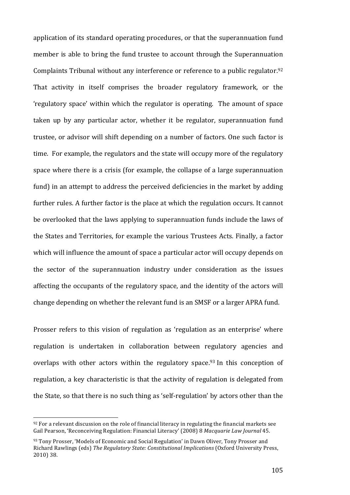application of its standard operating procedures, or that the superannuation fund member is able to bring the fund trustee to account through the Superannuation Complaints Tribunal without any interference or reference to a public regulator.<sup>92</sup> That activity in itself comprises the broader regulatory framework, or the 'regulatory space' within which the regulator is operating. The amount of space taken up by any particular actor, whether it be regulator, superannuation fund trustee, or advisor will shift depending on a number of factors. One such factor is time. For example, the regulators and the state will occupy more of the regulatory space where there is a crisis (for example, the collapse of a large superannuation fund) in an attempt to address the perceived deficiencies in the market by adding further rules. A further factor is the place at which the regulation occurs. It cannot be overlooked that the laws applying to superannuation funds include the laws of the States and Territories, for example the various Trustees Acts. Finally, a factor which will influence the amount of space a particular actor will occupy depends on the sector of the superannuation industry under consideration as the issues affecting the occupants of the regulatory space, and the identity of the actors will change depending on whether the relevant fund is an SMSF or a larger APRA fund.

Prosser refers to this vision of regulation as 'regulation as an enterprise' where regulation is undertaken in collaboration between regulatory agencies and overlaps with other actors within the regulatory space.<sup>93</sup> In this conception of regulation, a key characteristic is that the activity of regulation is delegated from the State, so that there is no such thing as 'self-regulation' by actors other than the

<u> 1989 - Johann Stein, marwolaethau a bh</u>

 $92$  For a relevant discussion on the role of financial literacy in regulating the financial markets see Gail Pearson, 'Reconceiving Regulation: Financial Literacy' (2008) 8 *Macquarie Law Journal* 45.

<sup>93</sup> Tony Prosser, 'Models of Economic and Social Regulation' in Dawn Oliver, Tony Prosser and Richard Rawlings (eds) The Regulatory State: Constitutional Implications (Oxford University Press, 2010) 38.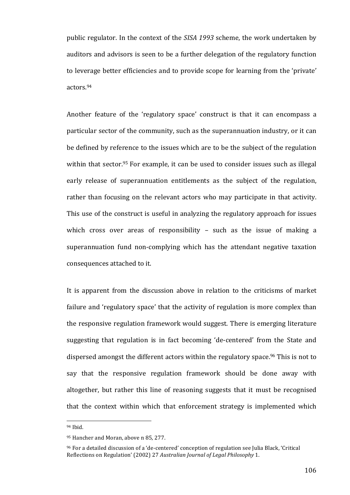public regulator. In the context of the *SISA 1993* scheme, the work undertaken by auditors and advisors is seen to be a further delegation of the regulatory function to leverage better efficiencies and to provide scope for learning from the 'private' actors. 94

Another feature of the 'regulatory space' construct is that it can encompass a particular sector of the community, such as the superannuation industry, or it can be defined by reference to the issues which are to be the subject of the regulation within that sector.<sup>95</sup> For example, it can be used to consider issues such as illegal early release of superannuation entitlements as the subject of the regulation, rather than focusing on the relevant actors who may participate in that activity. This use of the construct is useful in analyzing the regulatory approach for issues which cross over areas of responsibility  $-$  such as the issue of making a superannuation fund non-complying which has the attendant negative taxation consequences attached to it.

It is apparent from the discussion above in relation to the criticisms of market failure and 'regulatory space' that the activity of regulation is more complex than the responsive regulation framework would suggest. There is emerging literature suggesting that regulation is in fact becoming 'de-centered' from the State and dispersed amongst the different actors within the regulatory space.<sup>96</sup> This is not to say that the responsive regulation framework should be done away with altogether, but rather this line of reasoning suggests that it must be recognised that the context within which that enforcement strategy is implemented which

<sup>&</sup>lt;sup>94</sup> Ibid.

<sup>95</sup> Hancher and Moran, above n 85, 277.

<sup>&</sup>lt;sup>96</sup> For a detailed discussion of a 'de-centered' conception of regulation see Julia Black, 'Critical Reflections on Regulation' (2002) 27 *Australian Journal of Legal Philosophy* 1.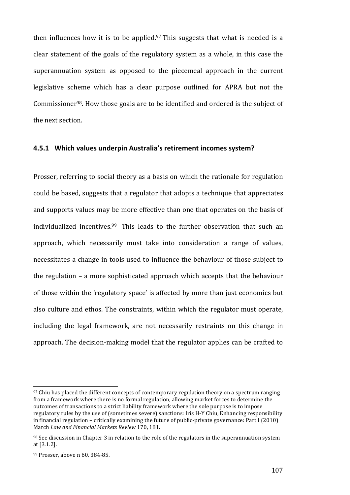then influences how it is to be applied. $97$  This suggests that what is needed is a clear statement of the goals of the regulatory system as a whole, in this case the superannuation system as opposed to the piecemeal approach in the current legislative scheme which has a clear purpose outlined for APRA but not the Commissioner<sup>98</sup>. How those goals are to be identified and ordered is the subject of the next section.

#### **4.5.1 Which values underpin Australia's retirement incomes system?**

Prosser, referring to social theory as a basis on which the rationale for regulation could be based, suggests that a regulator that adopts a technique that appreciates and supports values may be more effective than one that operates on the basis of individualized incentives.<sup>99</sup> This leads to the further observation that such an approach, which necessarily must take into consideration a range of values, necessitates a change in tools used to influence the behaviour of those subject to the regulation  $-$  a more sophisticated approach which accepts that the behaviour of those within the 'regulatory space' is affected by more than just economics but also culture and ethos. The constraints, within which the regulator must operate, including the legal framework, are not necessarily restraints on this change in approach. The decision-making model that the regulator applies can be crafted to

 $97$  Chiu has placed the different concepts of contemporary regulation theory on a spectrum ranging from a framework where there is no formal regulation, allowing market forces to determine the outcomes of transactions to a strict liability framework where the sole purpose is to impose regulatory rules by the use of (sometimes severe) sanctions: Iris H-Y Chiu, Enhancing responsibility in financial regulation – critically examining the future of public-private governance: Part I (2010) March *Law and Financial Markets Review* 170, 181.

 $98$  See discussion in Chapter 3 in relation to the role of the regulators in the superannuation system at [3.1.2].

<sup>99</sup> Prosser, above n 60, 384-85.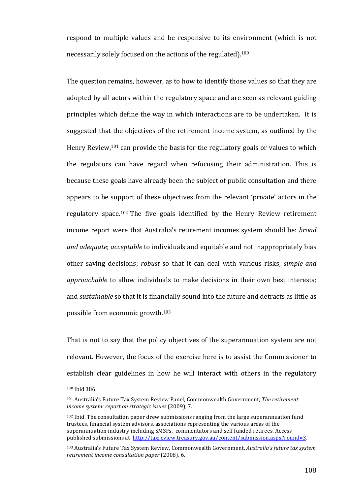respond to multiple values and be responsive to its environment (which is not necessarily solely focused on the actions of the regulated).<sup>100</sup>

The question remains, however, as to how to identify those values so that they are adopted by all actors within the regulatory space and are seen as relevant guiding principles which define the way in which interactions are to be undertaken. It is suggested that the objectives of the retirement income system, as outlined by the Henry Review,<sup>101</sup> can provide the basis for the regulatory goals or values to which the regulators can have regard when refocusing their administration. This is because these goals have already been the subject of public consultation and there appears to be support of these objectives from the relevant 'private' actors in the regulatory space.<sup>102</sup> The five goals identified by the Henry Review retirement income report were that Australia's retirement incomes system should be: *broad and adequate; acceptable* to individuals and equitable and not inappropriately bias other saving decisions; *robust* so that it can deal with various risks; *simple and approachable* to allow individuals to make decisions in their own best interests; and *sustainable* so that it is financially sound into the future and detracts as little as possible from economic growth.<sup>103</sup>

That is not to say that the policy objectives of the superannuation system are not relevant. However, the focus of the exercise here is to assist the Commissioner to establish clear guidelines in how he will interact with others in the regulatory

<sup>100</sup> Ibid 386.

<sup>&</sup>lt;sup>101</sup> Australia's Future Tax System Review Panel, Commonwealth Government, *The retirement* income system: report on strategic issues (2009), 7.

 $102$  Ibid. The consultation paper drew submissions ranging from the large superannuation fund trustees, financial system advisors, associations representing the various areas of the superannuation industry including SMSFs, commentators and self funded retirees. Access published submissions at http://taxreview.treasury.gov.au/content/submission.aspx?round=3.

<sup>&</sup>lt;sup>103</sup> Australia's Future Tax System Review, Commonwealth Government, Australia's future tax system retirement income consultation paper (2008), 6.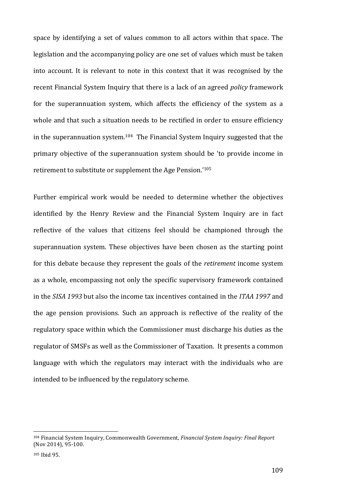space by identifying a set of values common to all actors within that space. The legislation and the accompanying policy are one set of values which must be taken into account. It is relevant to note in this context that it was recognised by the recent Financial System Inquiry that there is a lack of an agreed *policy* framework for the superannuation system, which affects the efficiency of the system as a whole and that such a situation needs to be rectified in order to ensure efficiency in the superannuation system. $104$  The Financial System Inquiry suggested that the primary objective of the superannuation system should be 'to provide income in retirement to substitute or supplement the Age Pension.'105

Further empirical work would be needed to determine whether the objectives identified by the Henry Review and the Financial System Inquiry are in fact reflective of the values that citizens feel should be championed through the superannuation system. These objectives have been chosen as the starting point for this debate because they represent the goals of the *retirement* income system as a whole, encompassing not only the specific supervisory framework contained in the *SISA* 1993 but also the income tax incentives contained in the *ITAA* 1997 and the age pension provisions. Such an approach is reflective of the reality of the regulatory space within which the Commissioner must discharge his duties as the regulator of SMSFs as well as the Commissioner of Taxation. It presents a common language with which the regulators may interact with the individuals who are intended to be influenced by the regulatory scheme.

<sup>&</sup>lt;sup>104</sup> Financial System Inquiry, Commonwealth Government, *Financial System Inquiry: Final Report* (Nov 2014), 95-100.

<sup>105</sup> Ibid 95.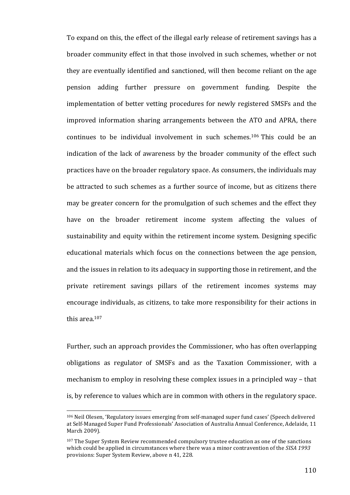To expand on this, the effect of the illegal early release of retirement savings has a broader community effect in that those involved in such schemes, whether or not they are eventually identified and sanctioned, will then become reliant on the age pension adding further pressure on government funding. Despite the implementation of better vetting procedures for newly registered SMSFs and the improved information sharing arrangements between the ATO and APRA, there continues to be individual involvement in such schemes.<sup>106</sup> This could be an indication of the lack of awareness by the broader community of the effect such practices have on the broader regulatory space. As consumers, the individuals may be attracted to such schemes as a further source of income, but as citizens there may be greater concern for the promulgation of such schemes and the effect they have on the broader retirement income system affecting the values of sustainability and equity within the retirement income system. Designing specific educational materials which focus on the connections between the age pension, and the issues in relation to its adequacy in supporting those in retirement, and the private retirement savings pillars of the retirement incomes systems may encourage individuals, as citizens, to take more responsibility for their actions in this area. 107

Further, such an approach provides the Commissioner, who has often overlapping obligations as regulator of SMSFs and as the Taxation Commissioner, with a mechanism to employ in resolving these complex issues in a principled way – that is, by reference to values which are in common with others in the regulatory space.

<sup>&</sup>lt;sup>106</sup> Neil Olesen, 'Regulatory issues emerging from self-managed super fund cases' (Speech delivered at Self-Managed Super Fund Professionals' Association of Australia Annual Conference, Adelaide, 11 March 2009).

 $107$  The Super System Review recommended compulsory trustee education as one of the sanctions which could be applied in circumstances where there was a minor contravention of the *SISA* 1993 provisions: Super System Review, above n 41, 228.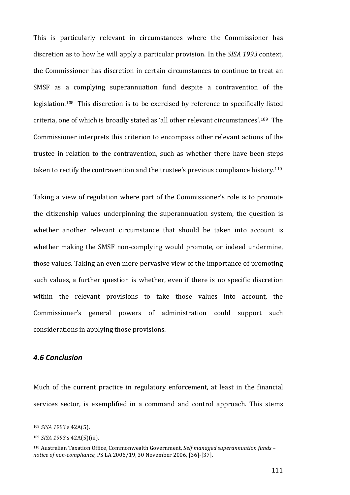This is particularly relevant in circumstances where the Commissioner has discretion as to how he will apply a particular provision. In the *SISA 1993* context, the Commissioner has discretion in certain circumstances to continue to treat an SMSF as a complying superannuation fund despite a contravention of the legislation.<sup>108</sup> This discretion is to be exercised by reference to specifically listed criteria, one of which is broadly stated as 'all other relevant circumstances'.<sup>109</sup> The Commissioner interprets this criterion to encompass other relevant actions of the trustee in relation to the contravention, such as whether there have been steps taken to rectify the contravention and the trustee's previous compliance history.<sup>110</sup>

Taking a view of regulation where part of the Commissioner's role is to promote the citizenship values underpinning the superannuation system, the question is whether another relevant circumstance that should be taken into account is whether making the SMSF non-complying would promote, or indeed undermine, those values. Taking an even more pervasive view of the importance of promoting such values, a further question is whether, even if there is no specific discretion within the relevant provisions to take those values into account, the Commissioner's general powers of administration could support such considerations in applying those provisions.

## *4.6 Conclusion*

Much of the current practice in regulatory enforcement, at least in the financial services sector, is exemplified in a command and control approach. This stems

<sup>&</sup>lt;sup>108</sup> *SISA* 1993 s 42A(5).

<sup>109</sup> *SISA 1993* s 42A(5)(iii).

<sup>110</sup> Australian Taxation Office, Commonwealth Government, *Self managed superannuation funds notice of non-compliance,* PS LA 2006/19, 30 November 2006, [36]-[37].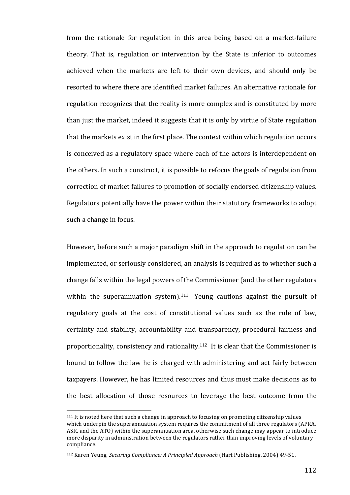from the rationale for regulation in this area being based on a market-failure theory. That is, regulation or intervention by the State is inferior to outcomes achieved when the markets are left to their own devices, and should only be resorted to where there are identified market failures. An alternative rationale for regulation recognizes that the reality is more complex and is constituted by more than just the market, indeed it suggests that it is only by virtue of State regulation that the markets exist in the first place. The context within which regulation occurs is conceived as a regulatory space where each of the actors is interdependent on the others. In such a construct, it is possible to refocus the goals of regulation from correction of market failures to promotion of socially endorsed citizenship values. Regulators potentially have the power within their statutory frameworks to adopt such a change in focus.

However, before such a major paradigm shift in the approach to regulation can be implemented, or seriously considered, an analysis is required as to whether such a change falls within the legal powers of the Commissioner (and the other regulators within the superannuation system).<sup>111</sup> Yeung cautions against the pursuit of regulatory goals at the cost of constitutional values such as the rule of law, certainty and stability, accountability and transparency, procedural fairness and proportionality, consistency and rationality.<sup>112</sup> It is clear that the Commissioner is bound to follow the law he is charged with administering and act fairly between taxpayers. However, he has limited resources and thus must make decisions as to the best allocation of those resources to leverage the best outcome from the

 $111$  It is noted here that such a change in approach to focusing on promoting citizenship values which underpin the superannuation system requires the commitment of all three regulators (APRA, ASIC and the ATO) within the superannuation area, otherwise such change may appear to introduce more disparity in administration between the regulators rather than improving levels of voluntary compliance. 

<sup>&</sup>lt;sup>112</sup> Karen Yeung, *Securing Compliance: A Principled Approach* (Hart Publishing, 2004) 49-51.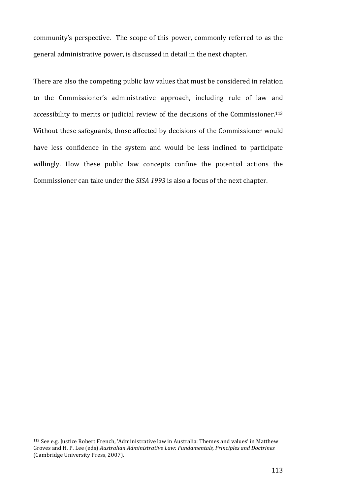community's perspective. The scope of this power, commonly referred to as the general administrative power, is discussed in detail in the next chapter.

There are also the competing public law values that must be considered in relation to the Commissioner's administrative approach, including rule of law and accessibility to merits or judicial review of the decisions of the Commissioner.<sup>113</sup> Without these safeguards, those affected by decisions of the Commissioner would have less confidence in the system and would be less inclined to participate willingly. How these public law concepts confine the potential actions the Commissioner can take under the *SISA 1993* is also a focus of the next chapter.

<sup>&</sup>lt;sup>113</sup> See e.g. Justice Robert French, 'Administrative law in Australia: Themes and values' in Matthew Groves and H. P. Lee (eds) Australian Administrative Law: Fundamentals, Principles and Doctrines (Cambridge University Press, 2007).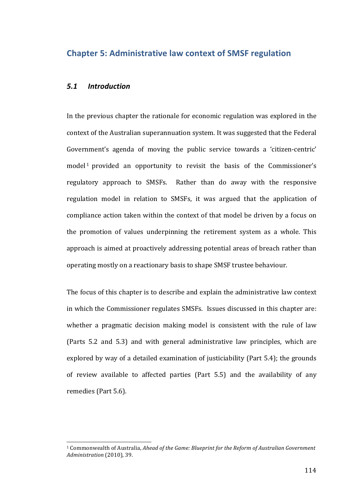## **Chapter 5: Administrative law context of SMSF regulation**

### *5.1 Introduction*

 

In the previous chapter the rationale for economic regulation was explored in the context of the Australian superannuation system. It was suggested that the Federal Government's agenda of moving the public service towards a 'citizen-centric' model<sup>1</sup> provided an opportunity to revisit the basis of the Commissioner's regulatory approach to SMSFs. Rather than do away with the responsive regulation model in relation to SMSFs, it was argued that the application of compliance action taken within the context of that model be driven by a focus on the promotion of values underpinning the retirement system as a whole. This approach is aimed at proactively addressing potential areas of breach rather than operating mostly on a reactionary basis to shape SMSF trustee behaviour.

The focus of this chapter is to describe and explain the administrative law context in which the Commissioner regulates SMSFs. Issues discussed in this chapter are: whether a pragmatic decision making model is consistent with the rule of law (Parts 5.2 and 5.3) and with general administrative law principles, which are explored by way of a detailed examination of justiciability (Part  $5.4$ ); the grounds of review available to affected parties (Part 5.5) and the availability of any remedies (Part 5.6).

<sup>&</sup>lt;sup>1</sup> Commonwealth of Australia, *Ahead of the Game: Blueprint for the Reform of Australian Government Administration* (2010), 39.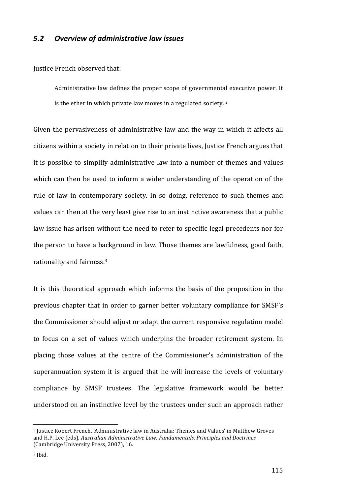## *5.2 Overview of administrative law issues*

#### Justice French observed that:

Administrative law defines the proper scope of governmental executive power. It is the ether in which private law moves in a regulated society.  $2^2$ 

Given the pervasiveness of administrative law and the way in which it affects all citizens within a society in relation to their private lives, Justice French argues that it is possible to simplify administrative law into a number of themes and values which can then be used to inform a wider understanding of the operation of the rule of law in contemporary society. In so doing, reference to such themes and values can then at the very least give rise to an instinctive awareness that a public law issue has arisen without the need to refer to specific legal precedents nor for the person to have a background in law. Those themes are lawfulness, good faith, rationality and fairness.<sup>3</sup>

It is this theoretical approach which informs the basis of the proposition in the previous chapter that in order to garner better voluntary compliance for SMSF's the Commissioner should adjust or adapt the current responsive regulation model to focus on a set of values which underpins the broader retirement system. In placing those values at the centre of the Commissioner's administration of the superannuation system it is argued that he will increase the levels of voluntary compliance by SMSF trustees. The legislative framework would be better understood on an instinctive level by the trustees under such an approach rather

<sup>&</sup>lt;sup>2</sup> Justice Robert French, 'Administrative law in Australia: Themes and Values' in Matthew Groves and H.P. Lee (eds), *Australian Administrative Law: Fundamentals, Principles and Doctrines* (Cambridge University Press, 2007), 16.

<sup>&</sup>lt;sup>3</sup> Ibid.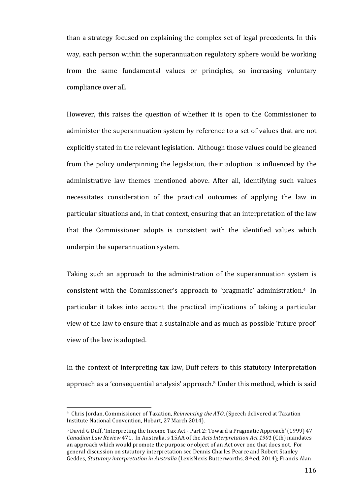than a strategy focused on explaining the complex set of legal precedents. In this way, each person within the superannuation regulatory sphere would be working from the same fundamental values or principles, so increasing voluntary compliance over all.

However, this raises the question of whether it is open to the Commissioner to administer the superannuation system by reference to a set of values that are not explicitly stated in the relevant legislation. Although those values could be gleaned from the policy underpinning the legislation, their adoption is influenced by the administrative law themes mentioned above. After all, identifying such values necessitates consideration of the practical outcomes of applying the law in particular situations and, in that context, ensuring that an interpretation of the law that the Commissioner adopts is consistent with the identified values which underpin the superannuation system.

Taking such an approach to the administration of the superannuation system is consistent with the Commissioner's approach to 'pragmatic' administration.<sup>4</sup> In particular it takes into account the practical implications of taking a particular view of the law to ensure that a sustainable and as much as possible 'future proof' view of the law is adopted.

In the context of interpreting tax law, Duff refers to this statutory interpretation approach as a 'consequential analysis' approach.<sup>5</sup> Under this method, which is said

<sup>&</sup>lt;sup>4</sup> Chris Jordan, Commissioner of Taxation, *Reinventing the ATO*, (Speech delivered at Taxation Institute National Convention, Hobart, 27 March 2014).

<sup>&</sup>lt;sup>5</sup> David G Duff, 'Interpreting the Income Tax Act - Part 2: Toward a Pragmatic Approach' (1999) 47 *Canadian Law Review* 471. In Australia, s 15AA of the *Acts Interpretation Act 1901* (Cth) mandates an approach which would promote the purpose or object of an Act over one that does not. For general discussion on statutory interpretation see Dennis Charles Pearce and Robert Stanley Geddes, *Statutory interpretation in Australia* (LexisNexis Butterworths, 8<sup>th</sup> ed, 2014); Francis Alan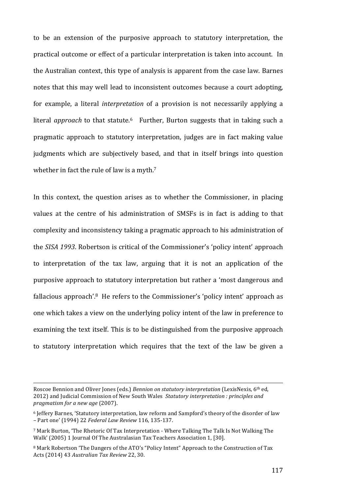to be an extension of the purposive approach to statutory interpretation, the practical outcome or effect of a particular interpretation is taken into account. In the Australian context, this type of analysis is apparent from the case law. Barnes notes that this may well lead to inconsistent outcomes because a court adopting. for example, a literal *interpretation* of a provision is not necessarily applying a literal *approach* to that statute.<sup>6</sup> Further, Burton suggests that in taking such a pragmatic approach to statutory interpretation, judges are in fact making value judgments which are subjectively based, and that in itself brings into question whether in fact the rule of law is a myth. $7$ 

In this context, the question arises as to whether the Commissioner, in placing values at the centre of his administration of SMSFs is in fact is adding to that complexity and inconsistency taking a pragmatic approach to his administration of the *SISA 1993*. Robertson is critical of the Commissioner's 'policy intent' approach to interpretation of the tax law, arguing that it is not an application of the purposive approach to statutory interpretation but rather a 'most dangerous and fallacious approach'.<sup>8</sup> He refers to the Commissioner's 'policy intent' approach as one which takes a view on the underlying policy intent of the law in preference to examining the text itself. This is to be distinguished from the purposive approach to statutory interpretation which requires that the text of the law be given a

<u> 1989 - Johann Stoff, deutscher Stoffen und der Stoffen und der Stoffen und der Stoffen und der Stoffen und d</u>

Roscoe Bennion and Oliver Jones (eds.) *Bennion on statutory interpretation* (LexisNexis, 6<sup>th</sup> ed, 2012) and Judicial Commission of New South Wales Statutory interpretation : principles and *pragmatism for a new age* (2007).

<sup>&</sup>lt;sup>6</sup> Jeffery Barnes, 'Statutory interpretation, law reform and Sampford's theory of the disorder of law – Part one' (1994) 22 *Federal Law Review* 116, 135-137.

 $\frac{7}{1}$  Mark Burton, 'The Rhetoric Of Tax Interpretation - Where Talking The Talk Is Not Walking The Walk' (2005) 1 Journal Of The Australasian Tax Teachers Association 1, [30].

<sup>&</sup>lt;sup>8</sup> Mark Robertson 'The Dangers of the ATO's "Policy Intent" Approach to the Construction of Tax Acts (2014) 43 *Australian Tax Review* 22, 30.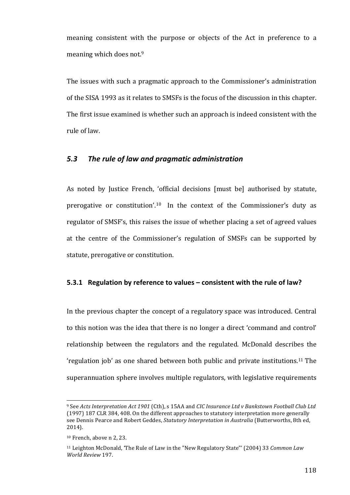meaning consistent with the purpose or objects of the Act in preference to a meaning which does not.<sup>9</sup>

The issues with such a pragmatic approach to the Commissioner's administration of the SISA 1993 as it relates to SMSFs is the focus of the discussion in this chapter. The first issue examined is whether such an approach is indeed consistent with the rule of law. 

## 5.3 The rule of law and pragmatic administration

As noted by Justice French, 'official decisions [must be] authorised by statute, prerogative or constitution'.<sup>10</sup> In the context of the Commissioner's duty as regulator of SMSF's, this raises the issue of whether placing a set of agreed values at the centre of the Commissioner's regulation of SMSFs can be supported by statute, prerogative or constitution.

## **5.3.1** Regulation by reference to values – consistent with the rule of law?

In the previous chapter the concept of a regulatory space was introduced. Central to this notion was the idea that there is no longer a direct 'command and control' relationship between the regulators and the regulated. McDonald describes the 'regulation job' as one shared between both public and private institutions.<sup>11</sup> The superannuation sphere involves multiple regulators, with legislative requirements

<sup>&</sup>lt;sup>9</sup> See Acts Interpretation Act 1901 (Cth), s 15AA and *CIC Insurance Ltd v Bankstown Football Club Ltd* (1997) 187 CLR 384, 408. On the different approaches to statutory interpretation more generally see Dennis Pearce and Robert Geddes, *Statutory Interpretation in Australia* (Butterworths, 8th ed, 2014).

 $10$  French, above n 2, 23.

<sup>&</sup>lt;sup>11</sup> Leighton McDonald, 'The Rule of Law in the "New Regulatory State"' (2004) 33 *Common Law World Review* 197.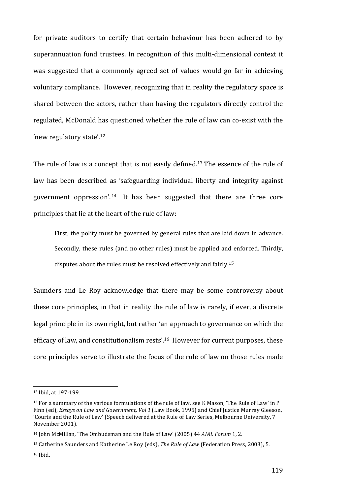for private auditors to certify that certain behaviour has been adhered to by superannuation fund trustees. In recognition of this multi-dimensional context it was suggested that a commonly agreed set of values would go far in achieving voluntary compliance. However, recognizing that in reality the regulatory space is shared between the actors, rather than having the regulators directly control the regulated, McDonald has questioned whether the rule of law can co-exist with the 'new regulatory state'.<sup>12</sup>

The rule of law is a concept that is not easily defined.<sup>13</sup> The essence of the rule of law has been described as 'safeguarding individual liberty and integrity against government oppression'.<sup>14</sup> It has been suggested that there are three core principles that lie at the heart of the rule of law:

First, the polity must be governed by general rules that are laid down in advance. Secondly, these rules (and no other rules) must be applied and enforced. Thirdly, disputes about the rules must be resolved effectively and fairly.<sup>15</sup>

Saunders and Le Roy acknowledge that there may be some controversy about these core principles, in that in reality the rule of law is rarely, if ever, a discrete legal principle in its own right, but rather 'an approach to governance on which the efficacy of law, and constitutionalism rests'.<sup>16</sup> However for current purposes, these core principles serve to illustrate the focus of the rule of law on those rules made

<sup>12</sup> Ibid, at 197-199.

 $13$  For a summary of the various formulations of the rule of law, see K Mason, 'The Rule of Law' in P Finn (ed), *Essays on Law and Government, Vol 1* (Law Book, 1995) and Chief Justice Murray Gleeson, 'Courts and the Rule of Law' (Speech delivered at the Rule of Law Series, Melbourne University, 7 November 2001).

<sup>&</sup>lt;sup>14</sup> John McMillan, 'The Ombudsman and the Rule of Law' (2005) 44 *AIAL Forum* 1, 2.

<sup>&</sup>lt;sup>15</sup> Catherine Saunders and Katherine Le Roy (eds), *The Rule of Law* (Federation Press, 2003), 5.

<sup>16</sup> Ibid.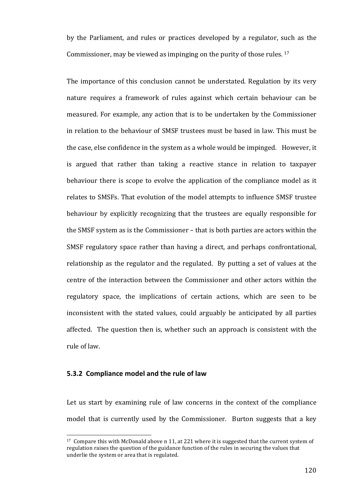by the Parliament, and rules or practices developed by a regulator, such as the Commissioner, may be viewed as impinging on the purity of those rules.  $17$ 

The importance of this conclusion cannot be understated. Regulation by its very nature requires a framework of rules against which certain behaviour can be measured. For example, any action that is to be undertaken by the Commissioner in relation to the behaviour of SMSF trustees must be based in law. This must be the case, else confidence in the system as a whole would be impinged. However, it is argued that rather than taking a reactive stance in relation to taxpayer behaviour there is scope to evolve the application of the compliance model as it relates to SMSFs. That evolution of the model attempts to influence SMSF trustee behaviour by explicitly recognizing that the trustees are equally responsible for the SMSF system as is the Commissioner – that is both parties are actors within the SMSF regulatory space rather than having a direct, and perhaps confrontational, relationship as the regulator and the regulated. By putting a set of values at the centre of the interaction between the Commissioner and other actors within the regulatory space, the implications of certain actions, which are seen to be inconsistent with the stated values, could arguably be anticipated by all parties affected. The question then is, whether such an approach is consistent with the rule of law.

## **5.3.2 Compliance model and the rule of law**

 

Let us start by examining rule of law concerns in the context of the compliance model that is currently used by the Commissioner. Burton suggests that a key

 $17$  Compare this with McDonald above n 11, at 221 where it is suggested that the current system of regulation raises the question of the guidance function of the rules in securing the values that underlie the system or area that is regulated.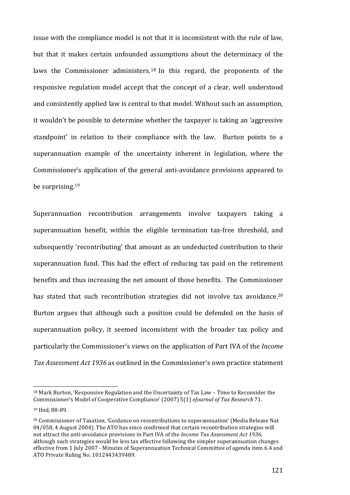issue with the compliance model is not that it is inconsistent with the rule of law, but that it makes certain unfounded assumptions about the determinacy of the laws the Commissioner administers.<sup>18</sup> In this regard, the proponents of the responsive regulation model accept that the concept of a clear, well understood and consistently applied law is central to that model. Without such an assumption, it wouldn't be possible to determine whether the taxpayer is taking an 'aggressive standpoint' in relation to their compliance with the law. Burton points to a superannuation example of the uncertainty inherent in legislation, where the Commissioner's application of the general anti-avoidance provisions appeared to be surprising. 19 

Superannuation recontribution arrangements involve taxpayers taking a superannuation benefit, within the eligible termination tax-free threshold, and subsequently 'recontributing' that amount as an undeducted contribution to their superannuation fund. This had the effect of reducing tax paid on the retirement benefits and thus increasing the net amount of those benefits. The Commissioner has stated that such recontribution strategies did not involve tax avoidance.<sup>20</sup> Burton argues that although such a position could be defended on the basis of superannuation policy, it seemed inconsistent with the broader tax policy and particularly the Commissioner's views on the application of Part IVA of the *Income* Tax Assessment Act 1936 as outlined in the Commissioner's own practice statement

 $18$  Mark Burton, 'Responsive Regulation and the Uncertainty of Tax Law – Time to Reconsider the Commissioner's Model of Cooperative Compliance' (2007) 5(1) *eJournal of Tax Research* 71.

<sup>&</sup>lt;sup>19</sup> Ibid, 88-89.

<sup>&</sup>lt;sup>20</sup> Commissioner of Taxation, 'Guidance on recontributions to superannuation' (Media Release Nat 04/058, 4 August 2004). The ATO has since confirmed that certain recontribution strategies will not attract the anti-avoidance provisions in Part IVA of the *Income Tax Assessment Act 1936*, although such strategies would be less tax effective following the simpler superannuation changes effective from 1 July 2007 - Minutes of Superannuation Technical Committee of agenda item 6.4 and ATO Private Ruling No. 1012443439489.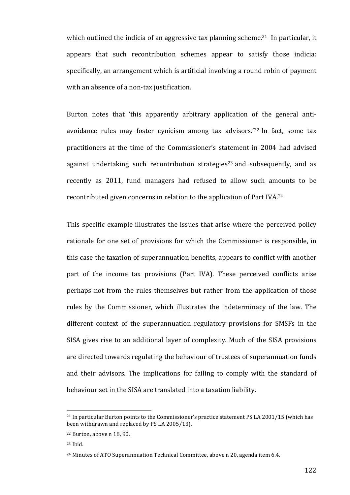which outlined the indicia of an aggressive tax planning scheme.<sup>21</sup> In particular, it appears that such recontribution schemes appear to satisfy those indicia: specifically, an arrangement which is artificial involving a round robin of payment with an absence of a non-tax justification.

Burton notes that 'this apparently arbitrary application of the general antiavoidance rules may foster cynicism among tax advisors.<sup>'22</sup> In fact, some tax practitioners at the time of the Commissioner's statement in 2004 had advised against undertaking such recontribution strategies<sup>23</sup> and subsequently, and as recently as 2011, fund managers had refused to allow such amounts to be recontributed given concerns in relation to the application of Part IVA.<sup>24</sup>

This specific example illustrates the issues that arise where the perceived policy rationale for one set of provisions for which the Commissioner is responsible, in this case the taxation of superannuation benefits, appears to conflict with another part of the income tax provisions (Part IVA). These perceived conflicts arise perhaps not from the rules themselves but rather from the application of those rules by the Commissioner, which illustrates the indeterminacy of the law. The different context of the superannuation regulatory provisions for SMSFs in the SISA gives rise to an additional layer of complexity. Much of the SISA provisions are directed towards regulating the behaviour of trustees of superannuation funds and their advisors. The implications for failing to comply with the standard of behaviour set in the SISA are translated into a taxation liability.

 $21$  In particular Burton points to the Commissioner's practice statement PS LA 2001/15 (which has been withdrawn and replaced by PS LA 2005/13).

 $22$  Burton, above n 18, 90.

 $23$  Ibid.

<sup>&</sup>lt;sup>24</sup> Minutes of ATO Superannuation Technical Committee, above n 20, agenda item 6.4.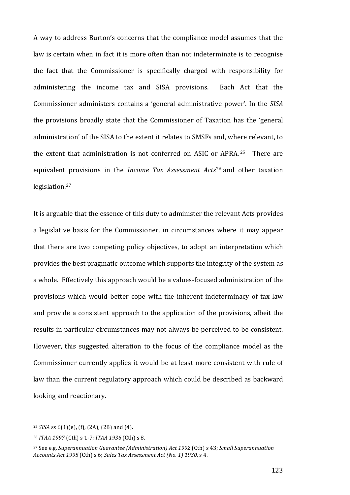A way to address Burton's concerns that the compliance model assumes that the law is certain when in fact it is more often than not indeterminate is to recognise the fact that the Commissioner is specifically charged with responsibility for administering the income tax and SISA provisions. Each Act that the Commissioner administers contains a 'general administrative power'. In the *SISA* the provisions broadly state that the Commissioner of Taxation has the 'general administration' of the SISA to the extent it relates to SMSFs and, where relevant, to the extent that administration is not conferred on ASIC or APRA.<sup>25</sup> There are equivalent provisions in the *Income Tax Assessment Acts*<sup>26</sup> and other taxation legislation.27 

It is arguable that the essence of this duty to administer the relevant Acts provides a legislative basis for the Commissioner, in circumstances where it may appear that there are two competing policy objectives, to adopt an interpretation which provides the best pragmatic outcome which supports the integrity of the system as a whole. Effectively this approach would be a values-focused administration of the provisions which would better cope with the inherent indeterminacy of tax law and provide a consistent approach to the application of the provisions, albeit the results in particular circumstances may not always be perceived to be consistent. However, this suggested alteration to the focus of the compliance model as the Commissioner currently applies it would be at least more consistent with rule of law than the current regulatory approach which could be described as backward looking and reactionary.

<sup>&</sup>lt;sup>25</sup> *SISA* ss 6(1)(e), (f), (2A), (2B) and (4).

<sup>26</sup> *ITAA 1997* (Cth) s 1-7; *ITAA 1936* (Cth) s 8.

<sup>&</sup>lt;sup>27</sup> See e.g. *Superannuation Guarantee (Administration) Act 1992* (Cth) s 43; *Small Superannuation Accounts Act 1995* (Cth) s 6; *Sales Tax Assessment Act (No. 1) 1930*, s 4.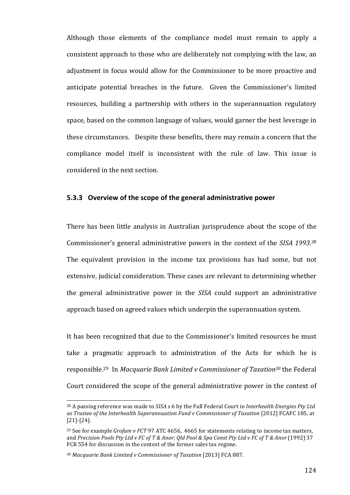Although those elements of the compliance model must remain to apply a consistent approach to those who are deliberately not complying with the law, an adjustment in focus would allow for the Commissioner to be more proactive and anticipate potential breaches in the future. Given the Commissioner's limited resources, building a partnership with others in the superannuation regulatory space, based on the common language of values, would garner the best leverage in these circumstances. Despite these benefits, there may remain a concern that the compliance model itself is inconsistent with the rule of law. This issue is considered in the next section.

## **5.3.3** Overview of the scope of the general administrative power

There has been little analysis in Australian jurisprudence about the scope of the Commissioner's general administrative powers in the context of the *SISA* 1993.<sup>28</sup> The equivalent provision in the income tax provisions has had some, but not extensive, judicial consideration. These cases are relevant to determining whether the general administrative power in the *SISA* could support an administrative approach based on agreed values which underpin the superannuation system.

It has been recognized that due to the Commissioner's limited resources he must take a pragmatic approach to administration of the Acts for which he is responsible.<sup>29</sup> In *Macquarie Bank Limited v Commissioner of Taxation<sup>30</sup> the Federal* Court considered the scope of the general administrative power in the context of

<sup>&</sup>lt;sup>28</sup> A passing reference was made to *SISA* s 6 by the Full Federal Court in *Interhealth Energies Pty Ltd* as Trustee of the Interhealth Superannuation Fund v Commissioner of Taxation [2012] FCAFC 185, at [21]-[24].

<sup>&</sup>lt;sup>29</sup> See for example *Grofam v FCT* 97 ATC 4656, 4665 for statements relating to income tax matters, and *Precision Pools Pty Ltd v FC of T & Anor; Old Pool & Spa Const Pty Ltd v FC of T & Anor* (1992) 37 FCR 554 for discussion in the context of the former sales tax regime.

<sup>&</sup>lt;sup>30</sup> Macquarie Bank Limited v Commissioner of Taxation [2013] FCA 887.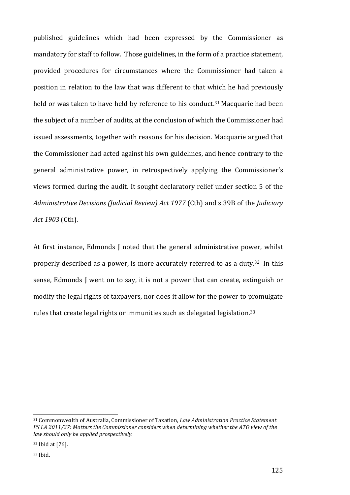published guidelines which had been expressed by the Commissioner as mandatory for staff to follow. Those guidelines, in the form of a practice statement, provided procedures for circumstances where the Commissioner had taken a position in relation to the law that was different to that which he had previously held or was taken to have held by reference to his conduct.<sup>31</sup> Macquarie had been the subject of a number of audits, at the conclusion of which the Commissioner had issued assessments, together with reasons for his decision. Macquarie argued that the Commissioner had acted against his own guidelines, and hence contrary to the general administrative power, in retrospectively applying the Commissioner's views formed during the audit. It sought declaratory relief under section 5 of the *Administrative Decisions (Judicial Review) Act 1977* (Cth) and s 39B of the *Judiciary Act 1903* (Cth). 

At first instance, Edmonds J noted that the general administrative power, whilst properly described as a power, is more accurately referred to as a duty. $32$  In this sense, Edmonds I went on to say, it is not a power that can create, extinguish or modify the legal rights of taxpayers, nor does it allow for the power to promulgate rules that create legal rights or immunities such as delegated legislation.<sup>33</sup>

<u> 1989 - Johann Stein, marwolaethau a bh</u>

<sup>&</sup>lt;sup>31</sup> Commonwealth of Australia, Commissioner of Taxation, *Law Administration Practice Statement PS LA 2011/27: Matters the Commissioner considers when determining whether the ATO view of the law should only be applied prospectively*.

<sup>&</sup>lt;sup>32</sup> Ibid at [76].

<sup>33</sup> Ibid.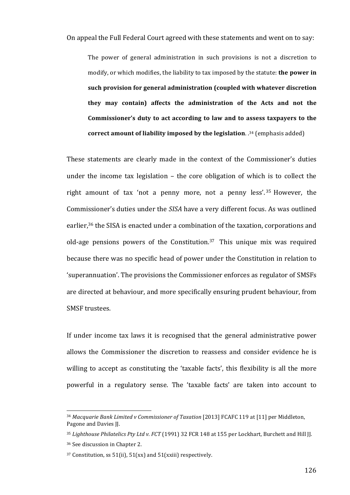On appeal the Full Federal Court agreed with these statements and went on to say:

The power of general administration in such provisions is not a discretion to modify, or which modifies, the liability to tax imposed by the statute: **the power in** such provision for general administration (coupled with whatever discretion they may contain) affects the administration of the Acts and not the Commissioner's duty to act according to law and to assess taxpayers to the **correct amount of liability imposed by the legislation**. .<sup>34</sup> (emphasis added)

These statements are clearly made in the context of the Commissioner's duties under the income tax legislation  $-$  the core obligation of which is to collect the right amount of tax 'not a penny more, not a penny less'.  $35$  However, the Commissioner's duties under the *SISA* have a very different focus. As was outlined earlier,<sup>36</sup> the SISA is enacted under a combination of the taxation, corporations and old-age pensions powers of the Constitution.<sup>37</sup> This unique mix was required because there was no specific head of power under the Constitution in relation to 'superannuation'. The provisions the Commissioner enforces as regulator of SMSFs are directed at behaviour, and more specifically ensuring prudent behaviour, from SMSF trustees.

If under income tax laws it is recognised that the general administrative power allows the Commissioner the discretion to reassess and consider evidence he is willing to accept as constituting the 'taxable facts', this flexibility is all the more powerful in a regulatory sense. The 'taxable facts' are taken into account to

<sup>&</sup>lt;sup>34</sup> Macquarie Bank Limited v Commissioner of Taxation [2013] FCAFC 119 at [11] per Middleton, Pagone and Davies II.

<sup>&</sup>lt;sup>35</sup> Lighthouse Philatelics Pty Ltd v. FCT (1991) 32 FCR 148 at 155 per Lockhart, Burchett and Hill JJ.

<sup>&</sup>lt;sup>36</sup> See discussion in Chapter 2.

 $37$  Constitution, ss  $51(ii)$ ,  $51(xx)$  and  $51(xxiii)$  respectively.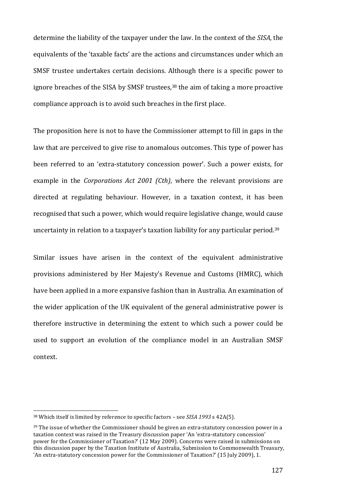determine the liability of the taxpayer under the law. In the context of the *SISA*, the equivalents of the 'taxable facts' are the actions and circumstances under which an SMSF trustee undertakes certain decisions. Although there is a specific power to ignore breaches of the SISA by SMSF trustees,<sup>38</sup> the aim of taking a more proactive compliance approach is to avoid such breaches in the first place.

The proposition here is not to have the Commissioner attempt to fill in gaps in the law that are perceived to give rise to anomalous outcomes. This type of power has been referred to an 'extra-statutory concession power'. Such a power exists, for example in the *Corporations Act 2001 (Cth)*, where the relevant provisions are directed at regulating behaviour. However, in a taxation context, it has been recognised that such a power, which would require legislative change, would cause uncertainty in relation to a taxpayer's taxation liability for any particular period.<sup>39</sup>

Similar issues have arisen in the context of the equivalent administrative provisions administered by Her Majesty's Revenue and Customs (HMRC), which have been applied in a more expansive fashion than in Australia. An examination of the wider application of the UK equivalent of the general administrative power is therefore instructive in determining the extent to which such a power could be used to support an evolution of the compliance model in an Australian SMSF context. 

<sup>&</sup>lt;sup>38</sup> Which itself is limited by reference to specific factors - see *SISA* 1993 s 42A(5).

 $39$  The issue of whether the Commissioner should be given an extra-statutory concession power in a taxation context was raised in the Treasury discussion paper 'An 'extra-statutory concession' power for the Commissioner of Taxation?' (12 May 2009). Concerns were raised in submissions on this discussion paper by the Taxation Institute of Australia, Submission to Commonwealth Treasury, 'An extra-statutory concession power for the Commissioner of Taxation?' (15 July 2009), 1.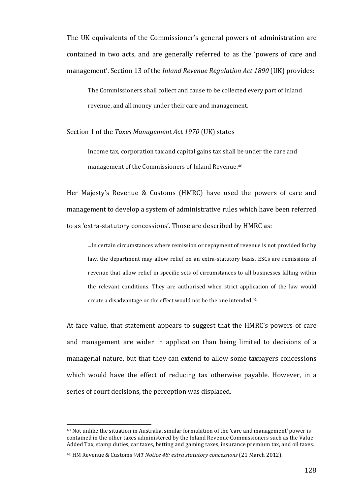The UK equivalents of the Commissioner's general powers of administration are contained in two acts, and are generally referred to as the 'powers of care and management'. Section 13 of the *Inland Revenue Regulation Act 1890* (UK) provides:

The Commissioners shall collect and cause to be collected every part of inland revenue, and all money under their care and management.

#### Section 1 of the *Taxes Management Act 1970* (UK) states

Income tax, corporation tax and capital gains tax shall be under the care and management of the Commissioners of Inland Revenue.<sup>40</sup>

Her Majesty's Revenue & Customs (HMRC) have used the powers of care and management to develop a system of administrative rules which have been referred to as 'extra-statutory concessions'. Those are described by HMRC as:

...In certain circumstances where remission or repayment of revenue is not provided for by law, the department may allow relief on an extra-statutory basis. ESCs are remissions of revenue that allow relief in specific sets of circumstances to all businesses falling within the relevant conditions. They are authorised when strict application of the law would create a disadvantage or the effect would not be the one intended.<sup>41</sup>

At face value, that statement appears to suggest that the HMRC's powers of care and management are wider in application than being limited to decisions of a managerial nature, but that they can extend to allow some taxpayers concessions which would have the effect of reducing tax otherwise payable. However, in a series of court decisions, the perception was displaced.

 $40$  Not unlike the situation in Australia, similar formulation of the 'care and management' power is contained in the other taxes administered by the Inland Revenue Commissioners such as the Value Added Tax, stamp duties, car taxes, betting and gaming taxes, insurance premium tax, and oil taxes.

<sup>&</sup>lt;sup>41</sup> HM Revenue & Customs *VAT Notice 48: extra statutory concessions* (21 March 2012).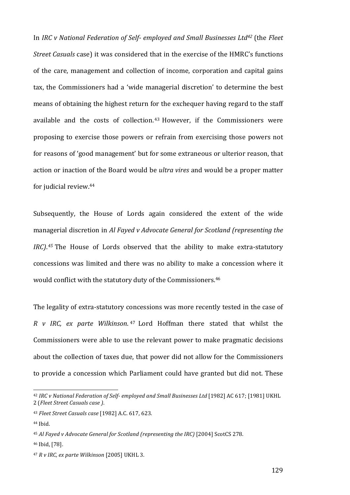In *IRC* v National Federation of Self- employed and Small Businesses Ltd<sup>42</sup> (the *Fleet Street Casuals* case) it was considered that in the exercise of the HMRC's functions of the care, management and collection of income, corporation and capital gains tax, the Commissioners had a 'wide managerial discretion' to determine the best means of obtaining the highest return for the exchequer having regard to the staff available and the costs of collection.  $43$  However, if the Commissioners were proposing to exercise those powers or refrain from exercising those powers not for reasons of 'good management' but for some extraneous or ulterior reason, that action or inaction of the Board would be *ultra vires* and would be a proper matter for judicial review.<sup>44</sup>

Subsequently, the House of Lords again considered the extent of the wide managerial discretion in *Al Fayed v Advocate General for Scotland (representing the IRC*).<sup>45</sup> The House of Lords observed that the ability to make extra-statutory concessions was limited and there was no ability to make a concession where it would conflict with the statutory duty of the Commissioners.<sup>46</sup>

The legality of extra-statutory concessions was more recently tested in the case of *R v IRC, ex parte Wilkinson.* <sup>47</sup> Lord Hoffman there stated that whilst the Commissioners were able to use the relevant power to make pragmatic decisions about the collection of taxes due, that power did not allow for the Commissioners to provide a concession which Parliament could have granted but did not. These

 

46 Ibid, [78].

<sup>&</sup>lt;sup>42</sup> IRC v National Federation of Self- employed and Small Businesses Ltd [1982] AC 617; [1981] UKHL 2 (*Fleet Street Casuals case )*.

<sup>43</sup> *Fleet Street Casuals case* [1982] A.C. 617, 623.

 $44$  Ibid.

<sup>&</sup>lt;sup>45</sup> Al Fayed v Advocate General for Scotland (representing the IRC) [2004] ScotCS 278.

<sup>&</sup>lt;sup>47</sup> *R v IRC, ex parte Wilkinson* [2005] UKHL 3.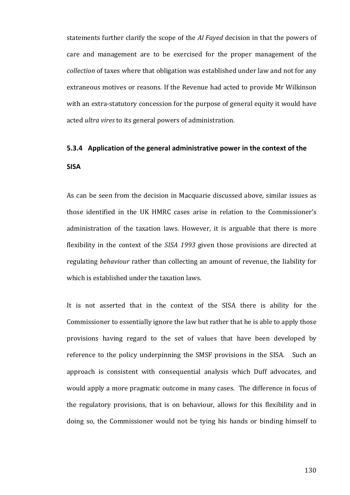statements further clarify the scope of the *Al Fayed* decision in that the powers of care and management are to be exercised for the proper management of the *collection* of taxes where that obligation was established under law and not for any extraneous motives or reasons. If the Revenue had acted to provide Mr Wilkinson with an extra-statutory concession for the purpose of general equity it would have acted *ultra vires* to its general powers of administration.

## **5.3.4** Application of the general administrative power in the context of the **SISA**

As can be seen from the decision in Macquarie discussed above, similar issues as those identified in the UK HMRC cases arise in relation to the Commissioner's administration of the taxation laws. However, it is arguable that there is more flexibility in the context of the *SISA* 1993 given those provisions are directed at regulating *behaviour* rather than collecting an amount of revenue, the liability for which is established under the taxation laws.

It is not asserted that in the context of the SISA there is ability for the Commissioner to essentially ignore the law but rather that he is able to apply those provisions having regard to the set of values that have been developed by reference to the policy underpinning the SMSF provisions in the SISA. Such an approach is consistent with consequential analysis which Duff advocates, and would apply a more pragmatic outcome in many cases. The difference in focus of the regulatory provisions, that is on behaviour, allows for this flexibility and in doing so, the Commissioner would not be tying his hands or binding himself to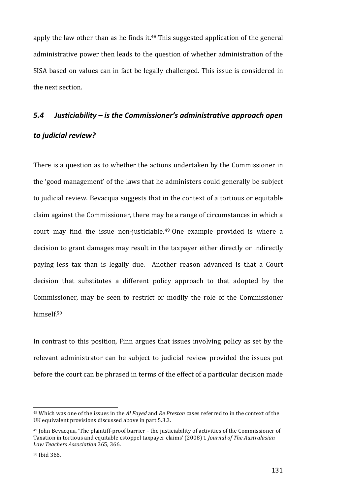apply the law other than as he finds it. $48$  This suggested application of the general administrative power then leads to the question of whether administration of the SISA based on values can in fact be legally challenged. This issue is considered in the next section.

## 5.4 Justiciability – is the Commissioner's administrative approach open

## *to judicial review?*

There is a question as to whether the actions undertaken by the Commissioner in the 'good management' of the laws that he administers could generally be subject to judicial review. Bevacqua suggests that in the context of a tortious or equitable claim against the Commissioner, there may be a range of circumstances in which a court may find the issue non-justiciable.<sup>49</sup> One example provided is where a decision to grant damages may result in the taxpayer either directly or indirectly paying less tax than is legally due. Another reason advanced is that a Court decision that substitutes a different policy approach to that adopted by the Commissioner, may be seen to restrict or modify the role of the Commissioner himself. 50

In contrast to this position, Finn argues that issues involving policy as set by the relevant administrator can be subject to judicial review provided the issues put before the court can be phrased in terms of the effect of a particular decision made

<sup>&</sup>lt;sup>48</sup> Which was one of the issues in the *Al Fayed* and *Re Preston* cases referred to in the context of the UK equivalent provisions discussed above in part 5.3.3.

 $49$  John Bevacqua, 'The plaintiff-proof barrier – the justiciability of activities of the Commissioner of Taxation in tortious and equitable estoppel taxpayer claims' (2008) 1 *Journal of The Australasian Law Teachers Association* 365, 366. 

<sup>50</sup> Ibid 366.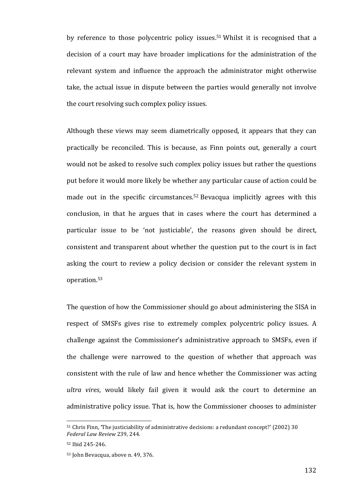by reference to those polycentric policy issues.<sup>51</sup> Whilst it is recognised that a decision of a court may have broader implications for the administration of the relevant system and influence the approach the administrator might otherwise take, the actual issue in dispute between the parties would generally not involve the court resolving such complex policy issues.

Although these views may seem diametrically opposed, it appears that they can practically be reconciled. This is because, as Finn points out, generally a court would not be asked to resolve such complex policy issues but rather the questions put before it would more likely be whether any particular cause of action could be made out in the specific circumstances.<sup>52</sup> Bevacqua implicitly agrees with this conclusion, in that he argues that in cases where the court has determined a particular issue to be 'not justiciable', the reasons given should be direct, consistent and transparent about whether the question put to the court is in fact asking the court to review a policy decision or consider the relevant system in operation. 53

The question of how the Commissioner should go about administering the SISA in respect of SMSFs gives rise to extremely complex polycentric policy issues. A challenge against the Commissioner's administrative approach to SMSFs, even if the challenge were narrowed to the question of whether that approach was consistent with the rule of law and hence whether the Commissioner was acting *ultra* vires, would likely fail given it would ask the court to determine an administrative policy issue. That is, how the Commissioner chooses to administer

<sup>&</sup>lt;sup>51</sup> Chris Finn, 'The justiciability of administrative decisions: a redundant concept?' (2002) 30 *Federal Law Review* 239, 244.

<sup>52</sup> Ibid 245-246.

<sup>53</sup> John Bevacqua, above n. 49, 376.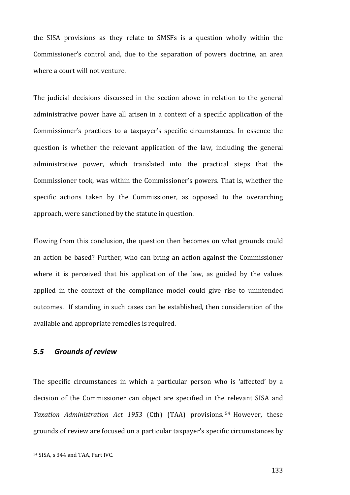the SISA provisions as they relate to SMSFs is a question wholly within the Commissioner's control and, due to the separation of powers doctrine, an area where a court will not venture.

The judicial decisions discussed in the section above in relation to the general administrative power have all arisen in a context of a specific application of the Commissioner's practices to a taxpayer's specific circumstances. In essence the question is whether the relevant application of the law, including the general administrative power, which translated into the practical steps that the Commissioner took, was within the Commissioner's powers. That is, whether the specific actions taken by the Commissioner, as opposed to the overarching approach, were sanctioned by the statute in question.

Flowing from this conclusion, the question then becomes on what grounds could an action be based? Further, who can bring an action against the Commissioner where it is perceived that his application of the law, as guided by the values applied in the context of the compliance model could give rise to unintended outcomes. If standing in such cases can be established, then consideration of the available and appropriate remedies is required.

### *5.5 Grounds of review*

The specific circumstances in which a particular person who is 'affected' by a decision of the Commissioner can object are specified in the relevant SISA and *Taxation Administration Act 1953*  (Cth) (TAA) provisions. <sup>54</sup> However, these grounds of review are focused on a particular taxpayer's specific circumstances by

 54 SISA, s 344 and TAA, Part IVC.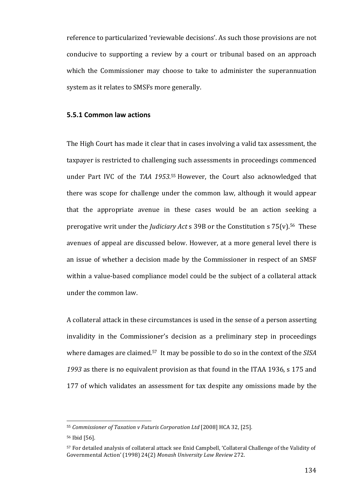reference to particularized 'reviewable decisions'. As such those provisions are not conducive to supporting a review by a court or tribunal based on an approach which the Commissioner may choose to take to administer the superannuation system as it relates to SMSFs more generally.

#### **5.5.1 Common law actions**

The High Court has made it clear that in cases involving a valid tax assessment, the taxpayer is restricted to challenging such assessments in proceedings commenced under Part IVC of the *TAA* 1953.<sup>55</sup> However, the Court also acknowledged that there was scope for challenge under the common law, although it would appear that the appropriate avenue in these cases would be an action seeking a prerogative writ under the *Judiciary Act* s 39B or the Constitution s  $75(v)$ .<sup>56</sup> These avenues of appeal are discussed below. However, at a more general level there is an issue of whether a decision made by the Commissioner in respect of an SMSF within a value-based compliance model could be the subject of a collateral attack under the common law.

A collateral attack in these circumstances is used in the sense of a person asserting invalidity in the Commissioner's decision as a preliminary step in proceedings where damages are claimed.<sup>57</sup> It may be possible to do so in the context of the SISA 1993 as there is no equivalent provision as that found in the ITAA 1936, s 175 and 177 of which validates an assessment for tax despite any omissions made by the

<sup>&</sup>lt;sup>55</sup> Commissioner of Taxation v Futuris Corporation Ltd [2008] HCA 32, [25].

<sup>56</sup> Ibid [56].

<sup>57</sup> For detailed analysis of collateral attack see Enid Campbell, 'Collateral Challenge of the Validity of Governmental Action' (1998) 24(2) Monash University Law Review 272.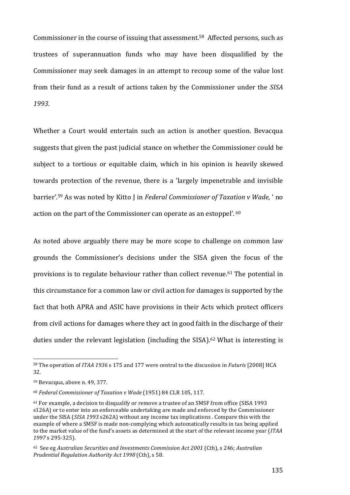Commissioner in the course of issuing that assessment.<sup>58</sup> Affected persons, such as trustees of superannuation funds who may have been disqualified by the Commissioner may seek damages in an attempt to recoup some of the value lost from their fund as a result of actions taken by the Commissioner under the *SISA 1993*.

Whether a Court would entertain such an action is another question. Bevacqua suggests that given the past judicial stance on whether the Commissioner could be subject to a tortious or equitable claim, which in his opinion is heavily skewed towards protection of the revenue, there is a 'largely impenetrable and invisible barrier'.<sup>59</sup> As was noted by Kitto J in *Federal Commissioner of Taxation v Wade*, ' no action on the part of the Commissioner can operate as an estoppel'. 60

As noted above arguably there may be more scope to challenge on common law grounds the Commissioner's decisions under the SISA given the focus of the provisions is to regulate behaviour rather than collect revenue.<sup>61</sup> The potential in this circumstance for a common law or civil action for damages is supported by the fact that both APRA and ASIC have provisions in their Acts which protect officers from civil actions for damages where they act in good faith in the discharge of their duties under the relevant legislation (including the SISA).<sup>62</sup> What is interesting is

<u> 1989 - Johann Stein, marwolaethau a bh</u>

<sup>58</sup> The operation of *ITAA 1936* s 175 and 177 were central to the discussion in *Futuris* [2008] HCA 32.

<sup>59</sup> Bevacqua, above n. 49, 377.

<sup>60</sup> *Federal Commissioner of Taxation v Wade* (1951) 84 CLR 105, 117.

 $61$  For example, a decision to disqualify or remove a trustee of an SMSF from office (SISA 1993) s126A) or to enter into an enforceable undertaking are made and enforced by the Commissioner under the SISA (*SISA* 1993 s262A) without any income tax implications . Compare this with the example of where a SMSF is made non-complying which automatically results in tax being applied to the market value of the fund's assets as determined at the start of the relevant income year (*ITAA 1997* s 295-325). 

<sup>&</sup>lt;sup>62</sup> See eg Australian Securities and Investments Commission Act 2001 (Cth), s 246; Australian *Prudential Regulation Authority Act 1998* (Cth), s 58.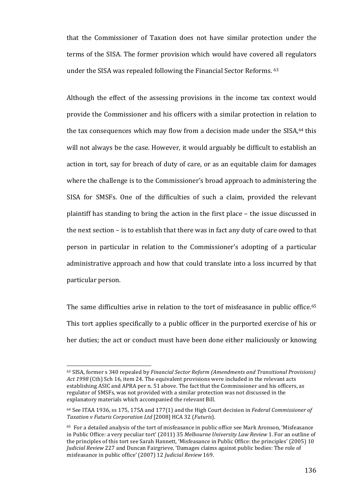that the Commissioner of Taxation does not have similar protection under the terms of the SISA. The former provision which would have covered all regulators under the SISA was repealed following the Financial Sector Reforms.  $63$ 

Although the effect of the assessing provisions in the income tax context would provide the Commissioner and his officers with a similar protection in relation to the tax consequences which may flow from a decision made under the SISA, <sup>64</sup> this will not always be the case. However, it would arguably be difficult to establish an action in tort, say for breach of duty of care, or as an equitable claim for damages where the challenge is to the Commissioner's broad approach to administering the SISA for SMSFs. One of the difficulties of such a claim, provided the relevant plaintiff has standing to bring the action in the first place  $-$  the issue discussed in the next section  $-$  is to establish that there was in fact any duty of care owed to that person in particular in relation to the Commissioner's adopting of a particular administrative approach and how that could translate into a loss incurred by that particular person.

The same difficulties arise in relation to the tort of misfeasance in public office.<sup>65</sup> This tort applies specifically to a public officer in the purported exercise of his or her duties; the act or conduct must have been done either maliciously or knowing

<sup>&</sup>lt;sup>63</sup> SISA, former s 340 repealed by *Financial Sector Reform (Amendments and Transitional Provisions)* Act 1998 (Cth) Sch 16, item 24. The equivalent provisions were included in the relevant acts establishing ASIC and APRA per n. 51 above. The fact that the Commissioner and his officers, as regulator of SMSFs, was not provided with a similar protection was not discussed in the explanatory materials which accompanied the relevant Bill.

 $64$  See ITAA 1936, ss 175, 175A and 177(1) and the High Court decision in *Federal Commissioner of Taxation v Futuris Corporation Ltd* [2008] HCA 32 (*Futuris*). 

<sup>&</sup>lt;sup>65</sup> For a detailed analysis of the tort of misfeasance in public office see Mark Aronson, 'Misfeasance in Public Office: a very peculiar tort' (2011) 35 Melbourne University Law Review 1. For an outline of the principles of this tort see Sarah Hannett, 'Misfeasance in Public Office: the principles' (2005) 10 *Judicial Review* 227 and Duncan Fairgrieve, 'Damages claims against public bodies: The role of misfeasance in public office' (2007) 12 *Judicial Review* 169.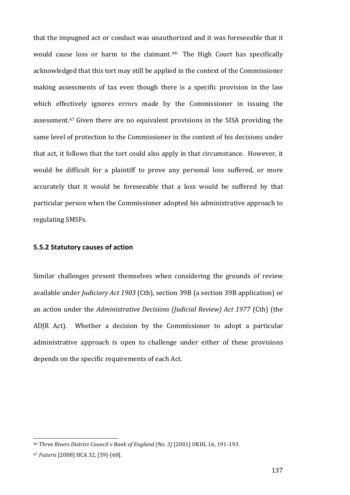that the impugned act or conduct was unauthorized and it was foreseeable that it would cause loss or harm to the claimant. <sup>66</sup> The High Court has specifically acknowledged that this tort may still be applied in the context of the Commissioner making assessments of tax even though there is a specific provision in the law which effectively ignores errors made by the Commissioner in issuing the assessment.<sup>67</sup> Given there are no equivalent provisions in the SISA providing the same level of protection to the Commissioner in the context of his decisions under that act, it follows that the tort could also apply in that circumstance. However, it would be difficult for a plaintiff to prove any personal loss suffered, or more accurately that it would be foreseeable that a loss would be suffered by that particular person when the Commissioner adopted his administrative approach to regulating SMSFs.

#### **5.5.2 Statutory causes of action**

Similar challenges present themselves when considering the grounds of review available under *Judiciary Act 1903* (Cth), section 39B (a section 39B application) or an action under the *Administrative Decisions (Judicial Review)* Act 1977 (Cth) (the ADJR Act). Whether a decision by the Commissioner to adopt a particular administrative approach is open to challenge under either of these provisions depends on the specific requirements of each Act.

<u> 1989 - Johann Stein, marwolaethau a bh</u>

<sup>&</sup>lt;sup>66</sup> Three Rivers District Council v Bank of England (No. 3) [2001] UKHL 16, 191-193.

<sup>67</sup> *Futuris* [2008] HCA 32, [59]-[60].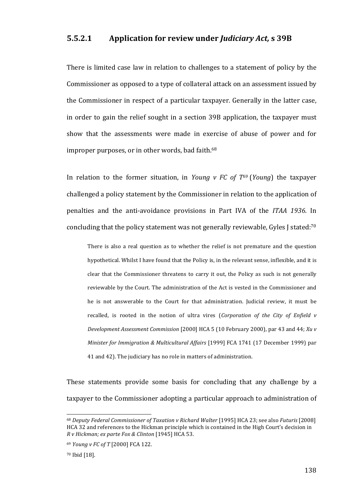#### **5.5.2.1 Application for review under** *Judiciary Act***, <b>s** 39B

There is limited case law in relation to challenges to a statement of policy by the Commissioner as opposed to a type of collateral attack on an assessment issued by the Commissioner in respect of a particular taxpayer. Generally in the latter case, in order to gain the relief sought in a section 39B application, the taxpayer must show that the assessments were made in exercise of abuse of power and for improper purposes, or in other words, bad faith.<sup>68</sup>

In relation to the former situation, in *Young*  $v$  *FC* of  $T^{69}$  (*Young*) the taxpayer challenged a policy statement by the Commissioner in relation to the application of penalties and the anti-avoidance provisions in Part IVA of the *ITAA 1936*. In concluding that the policy statement was not generally reviewable, Gyles J stated:<sup>70</sup>

There is also a real question as to whether the relief is not premature and the question hypothetical. Whilst I have found that the Policy is, in the relevant sense, inflexible, and it is clear that the Commissioner threatens to carry it out, the Policy as such is not generally reviewable by the Court. The administration of the Act is vested in the Commissioner and he is not answerable to the Court for that administration. Judicial review, it must be recalled, is rooted in the notion of ultra vires (*Corporation of the City of Enfield v Development Assessment Commission* [2000] HCA 5 (10 February 2000), par 43 and 44; *Xuv Minister for Immigration & Multicultural Affairs* [1999] FCA 1741 (17 December 1999) par 41 and 42). The judiciary has no role in matters of administration.

These statements provide some basis for concluding that any challenge by a taxpayer to the Commissioner adopting a particular approach to administration of

<sup>68</sup> *Deputy Federal Commissioner of Taxation v Richard Walter* [1995] HCA 23; see also *Futuris* [2008] HCA 32 and references to the Hickman principle which is contained in the High Court's decision in *R v Hickman; ex parte Fox & Clinton* [1945] HCA 53.

<sup>&</sup>lt;sup>69</sup> *Young v FC of T* [2000] FCA 122.

<sup>70</sup> Ibid [18].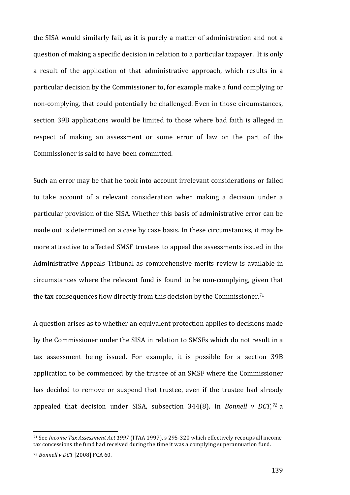the SISA would similarly fail, as it is purely a matter of administration and not a question of making a specific decision in relation to a particular taxpayer. It is only a result of the application of that administrative approach, which results in a particular decision by the Commissioner to, for example make a fund complying or non-complying, that could potentially be challenged. Even in those circumstances, section 39B applications would be limited to those where bad faith is alleged in respect of making an assessment or some error of law on the part of the Commissioner is said to have been committed.

Such an error may be that he took into account irrelevant considerations or failed to take account of a relevant consideration when making a decision under a particular provision of the SISA. Whether this basis of administrative error can be made out is determined on a case by case basis. In these circumstances, it may be more attractive to affected SMSF trustees to appeal the assessments issued in the Administrative Appeals Tribunal as comprehensive merits review is available in circumstances where the relevant fund is found to be non-complying, given that the tax consequences flow directly from this decision by the Commissioner.<sup>71</sup>

A question arises as to whether an equivalent protection applies to decisions made by the Commissioner under the SISA in relation to SMSFs which do not result in a tax assessment being issued. For example, it is possible for a section 39B application to be commenced by the trustee of an SMSF where the Commissioner has decided to remove or suspend that trustee, even if the trustee had already appealed that decision under SISA, subsection 344(8). In *Bonnell v DCT*, <sup>72</sup> a

<sup>&</sup>lt;sup>71</sup> See *Income Tax Assessment Act 1997* (ITAA 1997), s 295-320 which effectively recoups all income tax concessions the fund had received during the time it was a complying superannuation fund.

<sup>72</sup> *Bonnell v DCT* [2008] FCA 60.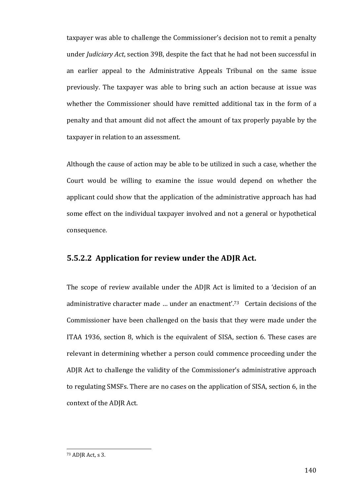taxpayer was able to challenge the Commissioner's decision not to remit a penalty under *Judiciary Act*, section 39B, despite the fact that he had not been successful in an earlier appeal to the Administrative Appeals Tribunal on the same issue previously. The taxpayer was able to bring such an action because at issue was whether the Commissioner should have remitted additional tax in the form of a penalty and that amount did not affect the amount of tax properly payable by the taxpayer in relation to an assessment.

Although the cause of action may be able to be utilized in such a case, whether the Court would be willing to examine the issue would depend on whether the applicant could show that the application of the administrative approach has had some effect on the individual taxpayer involved and not a general or hypothetical consequence. 

### **5.5.2.2** Application for review under the ADJR Act.

The scope of review available under the ADJR Act is limited to a 'decision of an administrative character made ... under an enactment'.<sup>73</sup> Certain decisions of the Commissioner have been challenged on the basis that they were made under the ITAA 1936, section 8, which is the equivalent of SISA, section 6. These cases are relevant in determining whether a person could commence proceeding under the ADJR Act to challenge the validity of the Commissioner's administrative approach to regulating SMSFs. There are no cases on the application of SISA, section 6, in the context of the ADJR Act.

 $73$  ADJR Act, s 3.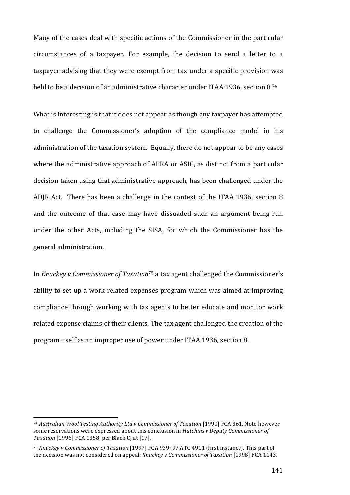Many of the cases deal with specific actions of the Commissioner in the particular circumstances of a taxpayer. For example, the decision to send a letter to a taxpayer advising that they were exempt from tax under a specific provision was held to be a decision of an administrative character under ITAA 1936, section 8.<sup>74</sup>

What is interesting is that it does not appear as though any taxpayer has attempted to challenge the Commissioner's adoption of the compliance model in his administration of the taxation system. Equally, there do not appear to be any cases where the administrative approach of APRA or ASIC, as distinct from a particular decision taken using that administrative approach, has been challenged under the ADJR Act. There has been a challenge in the context of the ITAA 1936, section 8 and the outcome of that case may have dissuaded such an argument being run under the other Acts, including the SISA, for which the Commissioner has the general administration. 

In *Knuckey v Commissioner of Taxation*<sup>75</sup> a tax agent challenged the Commissioner's ability to set up a work related expenses program which was aimed at improving compliance through working with tax agents to better educate and monitor work related expense claims of their clients. The tax agent challenged the creation of the program itself as an improper use of power under ITAA 1936, section 8.

<u> 1989 - Johann Stein, marwolaethau a bh</u>

<sup>&</sup>lt;sup>74</sup> Australian Wool Testing Authority Ltd v Commissioner of Taxation [1990] FCA 361. Note however some reservations were expressed about this conclusion in *Hutchins v Deputy Commissioner of Taxation* [1996] FCA 1358, per Black CJ at [17].

<sup>&</sup>lt;sup>75</sup> Knuckey v Commissioner of Taxation [1997] FCA 939; 97 ATC 4911 (first instance). This part of the decision was not considered on appeal: *Knuckey v Commissioner of Taxation* [1998] FCA 1143.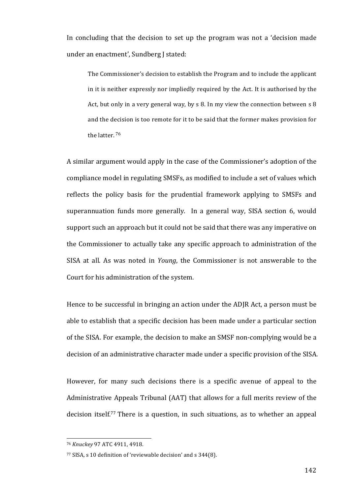In concluding that the decision to set up the program was not a 'decision made under an enactment', Sundberg J stated:

The Commissioner's decision to establish the Program and to include the applicant in it is neither expressly nor impliedly required by the Act. It is authorised by the Act, but only in a very general way, by  $s$  8. In my view the connection between  $s$  8 and the decision is too remote for it to be said that the former makes provision for the latter.<sup>76</sup>

A similar argument would apply in the case of the Commissioner's adoption of the compliance model in regulating SMSFs, as modified to include a set of values which reflects the policy basis for the prudential framework applying to SMSFs and superannuation funds more generally. In a general way, SISA section 6, would support such an approach but it could not be said that there was any imperative on the Commissioner to actually take any specific approach to administration of the SISA at all. As was noted in *Young*, the Commissioner is not answerable to the Court for his administration of the system.

Hence to be successful in bringing an action under the ADJR Act, a person must be able to establish that a specific decision has been made under a particular section of the SISA. For example, the decision to make an SMSF non-complying would be a decision of an administrative character made under a specific provision of the SISA.

However, for many such decisions there is a specific avenue of appeal to the Administrative Appeals Tribunal (AAT) that allows for a full merits review of the decision itself.<sup>77</sup> There is a question, in such situations, as to whether an appeal

 <sup>76</sup> *Knuckey* 97 ATC 4911, 4918.

<sup>77</sup> SISA, s 10 definition of 'reviewable decision' and s 344(8).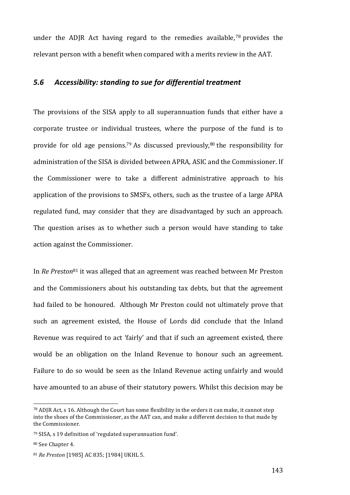under the ADJR Act having regard to the remedies available,<sup>78</sup> provides the relevant person with a benefit when compared with a merits review in the AAT.

### *5.6 Accessibility: standing to sue for differential treatment*

The provisions of the SISA apply to all superannuation funds that either have a corporate trustee or individual trustees, where the purpose of the fund is to provide for old age pensions.<sup>79</sup> As discussed previously,<sup>80</sup> the responsibility for administration of the SISA is divided between APRA, ASIC and the Commissioner. If the Commissioner were to take a different administrative approach to his application of the provisions to SMSFs, others, such as the trustee of a large APRA regulated fund, may consider that they are disadvantaged by such an approach. The question arises as to whether such a person would have standing to take action against the Commissioner.

In *Re Preston*<sup>81</sup> it was alleged that an agreement was reached between Mr Preston and the Commissioners about his outstanding tax debts, but that the agreement had failed to be honoured. Although Mr Preston could not ultimately prove that such an agreement existed, the House of Lords did conclude that the Inland Revenue was required to act 'fairly' and that if such an agreement existed, there would be an obligation on the Inland Revenue to honour such an agreement. Failure to do so would be seen as the Inland Revenue acting unfairly and would have amounted to an abuse of their statutory powers. Whilst this decision may be

 $78$  ADJR Act, s 16. Although the Court has some flexibility in the orders it can make, it cannot step into the shoes of the Commissioner, as the AAT can, and make a different decision to that made by the Commissioner.

<sup>79</sup> SISA, s 19 definition of 'regulated superannuation fund'.

<sup>&</sup>lt;sup>80</sup> See Chapter 4.

<sup>81</sup> *Re Preston* [1985] AC 835; [1984] UKHL 5.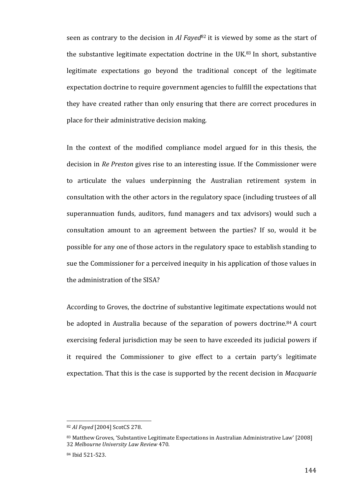seen as contrary to the decision in *Al Fayed*<sup>82</sup> it is viewed by some as the start of the substantive legitimate expectation doctrine in the UK. $83$  In short, substantive legitimate expectations go beyond the traditional concept of the legitimate expectation doctrine to require government agencies to fulfill the expectations that they have created rather than only ensuring that there are correct procedures in place for their administrative decision making.

In the context of the modified compliance model argued for in this thesis, the decision in *Re Preston* gives rise to an interesting issue. If the Commissioner were to articulate the values underpinning the Australian retirement system in consultation with the other actors in the regulatory space (including trustees of all superannuation funds, auditors, fund managers and tax advisors) would such a consultation amount to an agreement between the parties? If so, would it be possible for any one of those actors in the regulatory space to establish standing to sue the Commissioner for a perceived inequity in his application of those values in the administration of the SISA?

According to Groves, the doctrine of substantive legitimate expectations would not be adopted in Australia because of the separation of powers doctrine.<sup>84</sup> A court exercising federal jurisdiction may be seen to have exceeded its judicial powers if it required the Commissioner to give effect to a certain party's legitimate expectation. That this is the case is supported by the recent decision in *Macquarie* 

<sup>82</sup> Al Fayed [2004] ScotCS 278.

<sup>83</sup> Matthew Groves, 'Substantive Legitimate Expectations in Australian Administrative Law' [2008] 32 *Melbourne University Law Review* 470.

<sup>84</sup> Ibid 521-523.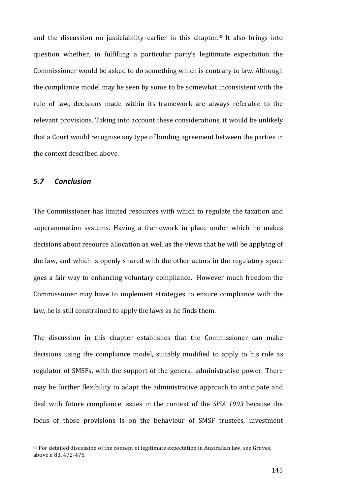and the discussion on justiciability earlier in this chapter.<sup>85</sup> It also brings into question whether, in fulfilling a particular party's legitimate expectation the Commissioner would be asked to do something which is contrary to law. Although the compliance model may be seen by some to be somewhat inconsistent with the rule of law, decisions made within its framework are always referable to the relevant provisions. Taking into account these considerations, it would be unlikely that a Court would recognise any type of binding agreement between the parties in the context described above.

#### *5.7 Conclusion*

<u> 1989 - Johann Stein, marwolaethau a bh</u>

The Commissioner has limited resources with which to regulate the taxation and superannuation systems. Having a framework in place under which he makes decisions about resource allocation as well as the views that he will be applying of the law, and which is openly shared with the other actors in the regulatory space goes a fair way to enhancing voluntary compliance. However much freedom the Commissioner may have to implement strategies to ensure compliance with the law, he is still constrained to apply the laws as he finds them.

The discussion in this chapter establishes that the Commissioner can make decisions using the compliance model, suitably modified to apply to his role as regulator of SMSFs, with the support of the general administrative power. There may be further flexibility to adapt the administrative approach to anticipate and deal with future compliance issues in the context of the *SISA 1993* because the focus of those provisions is on the behaviour of SMSF trustees, investment

<sup>85</sup> For detailed discussion of the concept of legitimate expectation in Australian law, see Groves, above n 83, 472-475.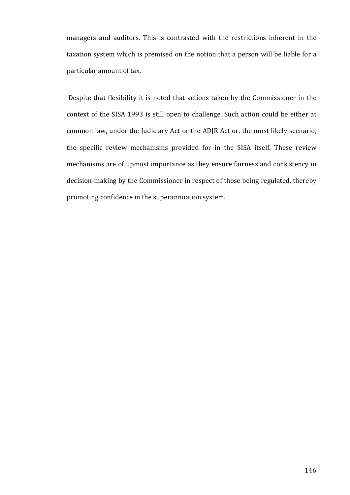managers and auditors. This is contrasted with the restrictions inherent in the taxation system which is premised on the notion that a person will be liable for a particular amount of tax.

Despite that flexibility it is noted that actions taken by the Commissioner in the context of the SISA 1993 is still open to challenge. Such action could be either at common law, under the Judiciary Act or the ADJR Act or, the most likely scenario, the specific review mechanisms provided for in the SISA itself. These review mechanisms are of upmost importance as they ensure fairness and consistency in decision-making by the Commissioner in respect of those being regulated, thereby promoting confidence in the superannuation system.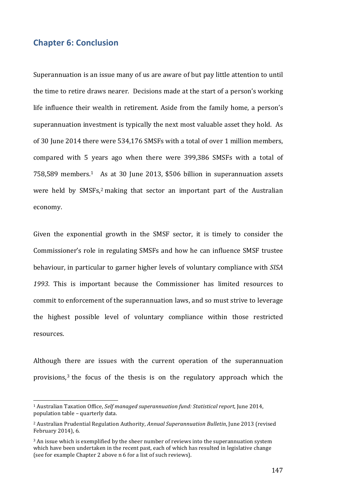# **Chapter 6: Conclusion**

 

Superannuation is an issue many of us are aware of but pay little attention to until the time to retire draws nearer. Decisions made at the start of a person's working life influence their wealth in retirement. Aside from the family home, a person's superannuation investment is typically the next most valuable asset they hold. As of 30 June 2014 there were 534,176 SMSFs with a total of over 1 million members, compared with 5 years ago when there were 399,386 SMSFs with a total of  $758,589$  members.<sup>1</sup> As at 30 June 2013, \$506 billion in superannuation assets were held by SMSFs,<sup>2</sup> making that sector an important part of the Australian economy. 

Given the exponential growth in the SMSF sector, it is timely to consider the Commissioner's role in regulating SMSFs and how he can influence SMSF trustee behaviour, in particular to garner higher levels of voluntary compliance with *SISA* 1993. This is important because the Commissioner has limited resources to commit to enforcement of the superannuation laws, and so must strive to leverage the highest possible level of voluntary compliance within those restricted resources. 

Although there are issues with the current operation of the superannuation provisions, $3$  the focus of the thesis is on the regulatory approach which the

<sup>&</sup>lt;sup>1</sup> Australian Taxation Office, *Self managed superannuation fund: Statistical report*, June 2014, population table - quarterly data.

<sup>&</sup>lt;sup>2</sup> Australian Prudential Regulation Authority, *Annual Superannuation Bulletin*, June 2013 (revised February 2014), 6.

<sup>&</sup>lt;sup>3</sup> An issue which is exemplified by the sheer number of reviews into the superannuation system which have been undertaken in the recent past, each of which has resulted in legislative change (see for example Chapter 2 above n 6 for a list of such reviews).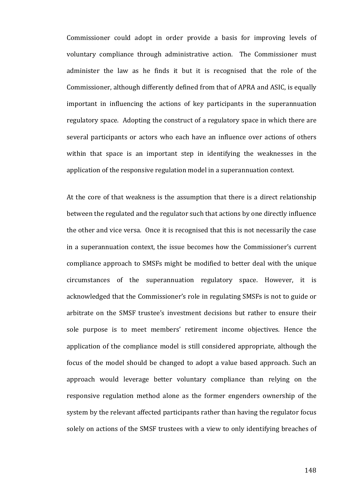Commissioner could adopt in order provide a basis for improving levels of voluntary compliance through administrative action. The Commissioner must administer the law as he finds it but it is recognised that the role of the Commissioner, although differently defined from that of APRA and ASIC, is equally important in influencing the actions of key participants in the superannuation regulatory space. Adopting the construct of a regulatory space in which there are several participants or actors who each have an influence over actions of others within that space is an important step in identifying the weaknesses in the application of the responsive regulation model in a superannuation context.

At the core of that weakness is the assumption that there is a direct relationship between the regulated and the regulator such that actions by one directly influence the other and vice versa. Once it is recognised that this is not necessarily the case in a superannuation context, the issue becomes how the Commissioner's current compliance approach to SMSFs might be modified to better deal with the unique circumstances of the superannuation regulatory space. However, it is acknowledged that the Commissioner's role in regulating SMSFs is not to guide or arbitrate on the SMSF trustee's investment decisions but rather to ensure their sole purpose is to meet members' retirement income objectives. Hence the application of the compliance model is still considered appropriate, although the focus of the model should be changed to adopt a value based approach. Such an approach would leverage better voluntary compliance than relying on the responsive regulation method alone as the former engenders ownership of the system by the relevant affected participants rather than having the regulator focus solely on actions of the SMSF trustees with a view to only identifying breaches of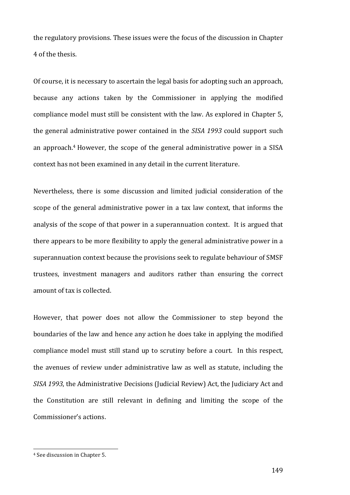the regulatory provisions. These issues were the focus of the discussion in Chapter 4 of the thesis.

Of course, it is necessary to ascertain the legal basis for adopting such an approach, because any actions taken by the Commissioner in applying the modified compliance model must still be consistent with the law. As explored in Chapter 5, the general administrative power contained in the *SISA 1993* could support such an approach.<sup>4</sup> However, the scope of the general administrative power in a SISA context has not been examined in any detail in the current literature.

Nevertheless, there is some discussion and limited judicial consideration of the scope of the general administrative power in a tax law context, that informs the analysis of the scope of that power in a superannuation context. It is argued that there appears to be more flexibility to apply the general administrative power in a superannuation context because the provisions seek to regulate behaviour of SMSF trustees, investment managers and auditors rather than ensuring the correct amount of tax is collected.

However, that power does not allow the Commissioner to step beyond the boundaries of the law and hence any action he does take in applying the modified compliance model must still stand up to scrutiny before a court. In this respect, the avenues of review under administrative law as well as statute, including the *SISA 1993*, the Administrative Decisions (Judicial Review) Act, the Judiciary Act and the Constitution are still relevant in defining and limiting the scope of the Commissioner's actions.

<sup>&</sup>lt;sup>4</sup> See discussion in Chapter 5.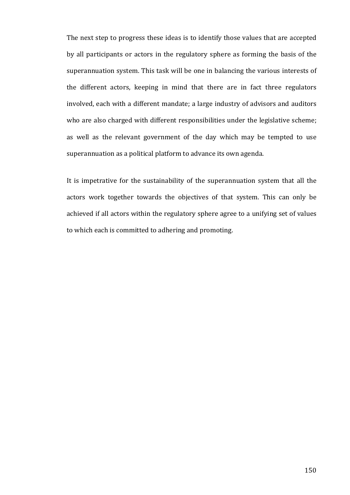The next step to progress these ideas is to identify those values that are accepted by all participants or actors in the regulatory sphere as forming the basis of the superannuation system. This task will be one in balancing the various interests of the different actors, keeping in mind that there are in fact three regulators involved, each with a different mandate; a large industry of advisors and auditors who are also charged with different responsibilities under the legislative scheme; as well as the relevant government of the day which may be tempted to use superannuation as a political platform to advance its own agenda.

It is impetrative for the sustainability of the superannuation system that all the actors work together towards the objectives of that system. This can only be achieved if all actors within the regulatory sphere agree to a unifying set of values to which each is committed to adhering and promoting.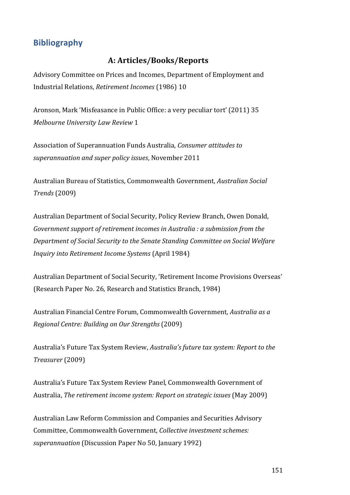# **Bibliography**

# **A: Articles/Books/Reports**

Advisory Committee on Prices and Incomes, Department of Employment and Industrial Relations, *Retirement Incomes* (1986) 10

Aronson, Mark 'Misfeasance in Public Office: a very peculiar tort' (2011) 35 *Melbourne University Law Review* 1

Association of Superannuation Funds Australia, *Consumer attitudes to superannuation and super policy issues*, November 2011

Australian Bureau of Statistics*,* Commonwealth Government, *Australian Social Trends* (2009)

Australian Department of Social Security, Policy Review Branch, Owen Donald, *Government support of retirement incomes in Australia : a submission from the Department of Social Security to the Senate Standing Committee on Social Welfare Inquiry into Retirement Income Systems* (April 1984)

Australian Department of Social Security, 'Retirement Income Provisions Overseas' (Research Paper No. 26, Research and Statistics Branch, 1984)

Australian Financial Centre Forum, Commonwealth Government, *Australia as a Regional Centre: Building on Our Strengths* (2009)

Australia's Future Tax System Review, *Australia's future tax system: Report to the Treasurer* (2009) 

Australia's Future Tax System Review Panel, Commonwealth Government of Australia, *The retirement income system: Report on strategic issues* (May 2009)

Australian Law Reform Commission and Companies and Securities Advisory Committee, Commonwealth Government, *Collective investment schemes: superannuation* (Discussion Paper No 50, January 1992)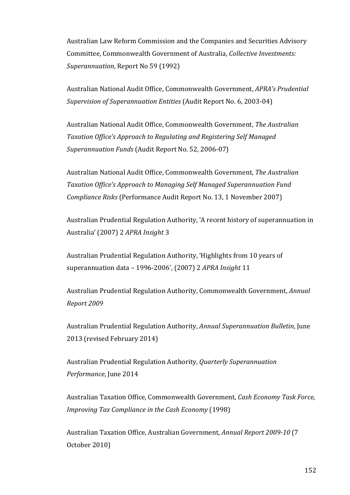Australian Law Reform Commission and the Companies and Securities Advisory Committee, Commonwealth Government of Australia, *Collective Investments: Superannuation*, Report No 59 (1992)

Australian National Audit Office, Commonwealth Government, *APRA's Prudential Supervision of Superannuation Entities* (Audit Report No. 6, 2003-04)

Australian National Audit Office, Commonwealth Government, The Australian *Taxation Office's Approach to Regulating and Registering Self Managed Superannuation Funds* (Audit Report No. 52, 2006-07)

Australian National Audit Office, Commonwealth Government, *The Australian Taxation Office's Approach to Managing Self Managed Superannuation Fund Compliance Risks* (Performance Audit Report No. 13, 1 November 2007)

Australian Prudential Regulation Authority, 'A recent history of superannuation in Australia' (2007) 2 APRA Insight 3

Australian Prudential Regulation Authority, 'Highlights from 10 years of superannuation data - 1996-2006', (2007) 2 *APRA Insight* 11

Australian Prudential Regulation Authority, Commonwealth Government, *Annual Report 2009* 

Australian Prudential Regulation Authority, *Annual Superannuation Bulletin*, June 2013 (revised February 2014)

Australian Prudential Regulation Authority, *Quarterly Superannuation* Performance, June 2014

Australian Taxation Office, Commonwealth Government, *Cash Economy Task Force*, *Improving Tax Compliance in the Cash Economy* (1998)

Australian Taxation Office, Australian Government, *Annual Report 2009-10* (7 October 2010)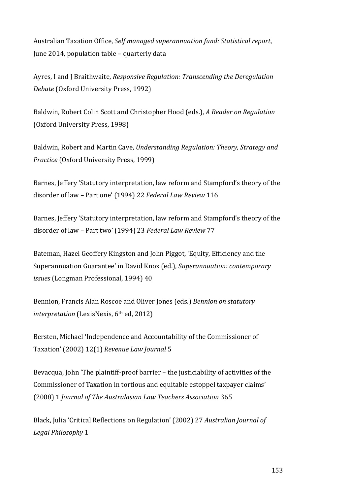Australian Taxation Office, *Self managed superannuation fund: Statistical report*, June 2014, population table – quarterly data

Ayres, I and J Braithwaite, *Responsive Regulation: Transcending the Deregulation Debate* (Oxford University Press, 1992)

Baldwin, Robert Colin Scott and Christopher Hood (eds.), *A Reader on Regulation* (Oxford University Press, 1998)

Baldwin, Robert and Martin Cave, *Understanding Regulation: Theory, Strategy and Practice* (Oxford University Press, 1999)

Barnes, Jeffery 'Statutory interpretation, law reform and Stampford's theory of the disorder of law - Part one' (1994) 22 Federal Law Review 116

Barnes, Jeffery 'Statutory interpretation, law reform and Stampford's theory of the disorder of law - Part two' (1994) 23 Federal Law Review 77

Bateman, Hazel Geoffery Kingston and John Piggot, 'Equity, Efficiency and the Superannuation Guarantee' in David Knox (ed.), Superannuation: *contemporary issues* (Longman Professional, 1994) 40

Bennion, Francis Alan Roscoe and Oliver Jones (eds.) *Bennion on statutory interpretation* (LexisNexis, 6<sup>th</sup> ed, 2012)

Bersten, Michael 'Independence and Accountability of the Commissioner of Taxation' (2002) 12(1) Revenue Law Journal 5

Bevacqua, John 'The plaintiff-proof barrier – the justiciability of activities of the Commissioner of Taxation in tortious and equitable estoppel taxpayer claims' (2008) 1 Journal of The Australasian Law Teachers Association 365

Black, Julia 'Critical Reflections on Regulation' (2002) 27 *Australian Journal of* Legal Philosophy 1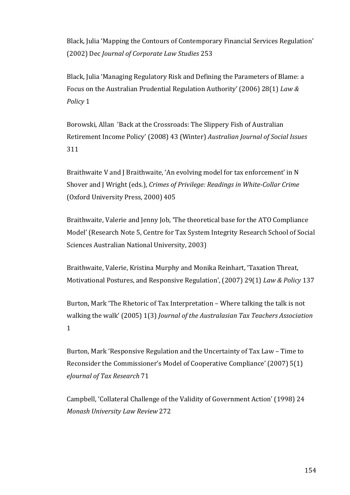Black, Julia 'Mapping the Contours of Contemporary Financial Services Regulation' (2002) Dec *Journal of Corporate Law Studies* 253

Black, Julia 'Managing Regulatory Risk and Defining the Parameters of Blame: a Focus on the Australian Prudential Regulation Authority' (2006) 28(1) Law & *Policy* 1

Borowski, Allan 'Back at the Crossroads: The Slippery Fish of Australian Retirement Income Policy' (2008) 43 (Winter) *Australian Journal of Social Issues* 311 

Braithwaite V and J Braithwaite, 'An evolving model for tax enforcement' in N Shover and J Wright (eds.), *Crimes of Privilege: Readings in White-Collar Crime* (Oxford University Press, 2000) 405

Braithwaite, Valerie and Jenny Job, 'The theoretical base for the ATO Compliance Model' (Research Note 5, Centre for Tax System Integrity Research School of Social Sciences Australian National University, 2003)

Braithwaite, Valerie, Kristina Murphy and Monika Reinhart, 'Taxation Threat, Motivational Postures, and Responsive Regulation', (2007) 29(1) *Law & Policy* 137

Burton, Mark 'The Rhetoric of Tax Interpretation – Where talking the talk is not walking the walk' (2005) 1(3) *Journal of the Australasian Tax Teachers Association* 1

Burton, Mark 'Responsive Regulation and the Uncertainty of Tax Law – Time to Reconsider the Commissioner's Model of Cooperative Compliance' (2007) 5(1) *eJournal of Tax Research* 71

Campbell, 'Collateral Challenge of the Validity of Government Action' (1998) 24 *Monash University Law Review* 272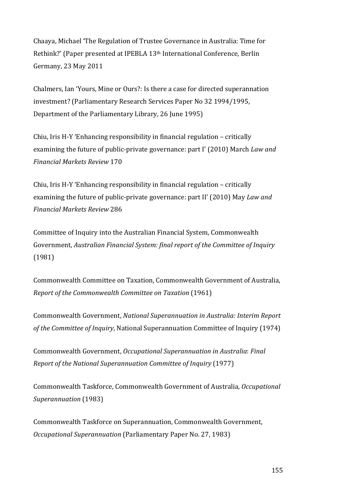Chaaya, Michael 'The Regulation of Trustee Governance in Australia: Time for Rethink?' (Paper presented at IPEBLA 13<sup>th</sup> International Conference, Berlin Germany, 23 May 2011

Chalmers, Ian 'Yours, Mine or Ours?: Is there a case for directed superannation investment? (Parliamentary Research Services Paper No 32 1994/1995, Department of the Parliamentary Library, 26 June 1995)

Chiu, Iris H-Y 'Enhancing responsibility in financial regulation – critically examining the future of public-private governance: part I' (2010) March *Law and Financial Markets Review* 170

Chiu, Iris  $H-Y'$  Enhancing responsibility in financial regulation – critically examining the future of public-private governance: part II' (2010) May *Law and Financial Markets Review* 286

Committee of Inquiry into the Australian Financial System, Commonwealth Government, *Australian Financial System: final report of the Committee of Inquiry* (1981)

Commonwealth Committee on Taxation, Commonwealth Government of Australia. *Report of the Commonwealth Committee on Taxation* (1961)

Commonwealth Government, *National Superannuation in Australia: Interim Report of the Committee of Inquiry*, National Superannuation Committee of Inquiry (1974)

Commonwealth Government, *Occupational Superannuation in Australia*: *Final Report of the National Superannuation Committee of Inquiry* (1977)

Commonwealth Taskforce, Commonwealth Government of Australia, *Occupational Superannuation* (1983)

Commonwealth Taskforce on Superannuation, Commonwealth Government, *Occupational Superannuation* (Parliamentary Paper No. 27, 1983)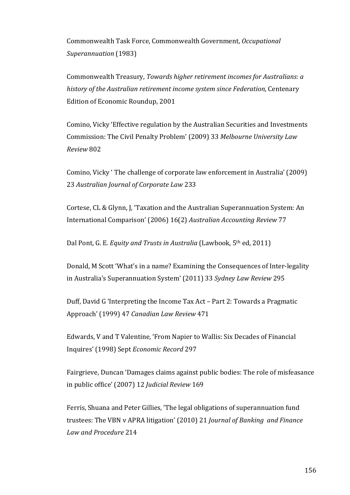Commonwealth Task Force, Commonwealth Government, Occupational *Superannuation* (1983)

Commonwealth Treasury, *Towards higher retirement incomes for Australians: a history of the Australian retirement income system since Federation*, Centenary Edition of Economic Roundup, 2001

Comino, Vicky 'Effective regulation by the Australian Securities and Investments Commission: The Civil Penalty Problem' (2009) 33 Melbourne University Law *Review* 802

Comino, Vicky ' The challenge of corporate law enforcement in Australia' (2009) 23 *Australian Journal of Corporate Law* 233

Cortese, CL & Glynn, J, 'Taxation and the Australian Superannuation System: An International Comparison' (2006) 16(2) *Australian Accounting Review* 77

Dal Pont, G. E. *Equity and Trusts in Australia* (Lawbook, 5<sup>th</sup> ed, 2011)

Donald, M Scott 'What's in a name? Examining the Consequences of Inter-legality in Australia's Superannuation System' (2011) 33 Sydney Law Review 295

Duff, David G 'Interpreting the Income Tax Act – Part 2: Towards a Pragmatic Approach' (1999) 47 *Canadian Law Review* 471

Edwards, V and T Valentine, 'From Napier to Wallis: Six Decades of Financial Inquires' (1998) Sept *Economic Record* 297

Fairgrieve, Duncan 'Damages claims against public bodies: The role of misfeasance in public office' (2007) 12 *Judicial Review* 169

Ferris, Shuana and Peter Gillies, 'The legal obligations of superannuation fund trustees: The VBN v APRA litigation' (2010) 21 *Journal of Banking and Finance Law and Procedure* 214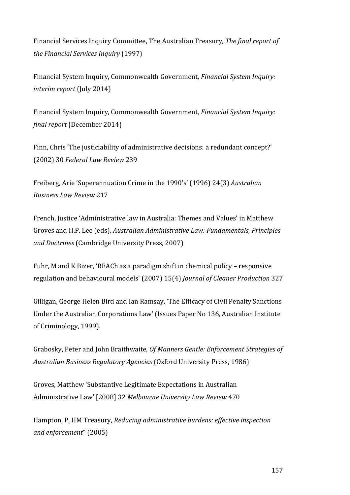Financial Services Inquiry Committee, The Australian Treasury, The final report of *the Financial Services Inquiry* (1997) 

Financial System Inquiry, Commonwealth Government, *Financial System Inquiry: interim report* (July 2014)

Financial System Inquiry, Commonwealth Government, *Financial System Inquiry: final report* (December 2014)

Finn, Chris 'The justiciability of administrative decisions: a redundant concept?' (2002) 30 *Federal Law Review* 239

Freiberg, Arie 'Superannuation Crime in the 1990's' (1996) 24(3) Australian *Business Law Review* 217 

French, Justice 'Administrative law in Australia: Themes and Values' in Matthew Groves and H.P. Lee (eds), *Australian Administrative Law: Fundamentals, Principles* and Doctrines (Cambridge University Press, 2007)

Fuhr, M and K Bizer, 'REACh as a paradigm shift in chemical policy – responsive regulation and behavioural models' (2007) 15(4) *Journal of Cleaner Production* 327

Gilligan, George Helen Bird and Ian Ramsay, 'The Efficacy of Civil Penalty Sanctions Under the Australian Corporations Law' (Issues Paper No 136, Australian Institute of Criminology, 1999).

Grabosky, Peter and John Braithwaite, Of Manners Gentle: Enforcement Strategies of Australian Business Regulatory Agencies (Oxford University Press, 1986)

Groves, Matthew 'Substantive Legitimate Expectations in Australian Administrative Law' [2008] 32 *Melbourne University Law Review* 470

Hampton, P, HM Treasury, *Reducing administrative burdens: effective inspection and enforcement*" (2005)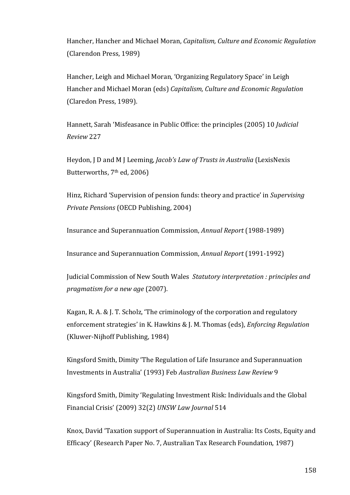Hancher, Hancher and Michael Moran, *Capitalism*, *Culture and Economic Regulation* (Clarendon Press, 1989)

Hancher, Leigh and Michael Moran, 'Organizing Regulatory Space' in Leigh Hancher and Michael Moran (eds) *Capitalism, Culture and Economic Regulation* (Claredon Press, 1989).

Hannett, Sarah 'Misfeasance in Public Office: the principles (2005) 10 *Judicial Review* 227

Heydon, J D and M J Leeming, *Jacob's Law of Trusts in Australia* (LexisNexis) Butterworths, 7<sup>th</sup> ed, 2006)

Hinz, Richard 'Supervision of pension funds: theory and practice' in *Supervising Private Pensions* (OECD Publishing, 2004)

Insurance and Superannuation Commission, *Annual Report* (1988-1989)

Insurance and Superannuation Commission, *Annual Report* (1991-1992)

Judicial Commission of New South Wales Statutory interpretation : principles and *pragmatism for a new age* (2007).

Kagan, R. A. & J. T. Scholz, 'The criminology of the corporation and regulatory enforcement strategies' in K. Hawkins & J. M. Thomas (eds), *Enforcing Regulation* (Kluwer-Nijhoff Publishing, 1984)

Kingsford Smith, Dimity 'The Regulation of Life Insurance and Superannuation Investments in Australia' (1993) Feb *Australian Business Law Review* 9

Kingsford Smith, Dimity 'Regulating Investment Risk: Individuals and the Global Financial Crisis' (2009) 32(2) *UNSW Law Journal* 514

Knox, David 'Taxation support of Superannuation in Australia: Its Costs, Equity and Efficacy' (Research Paper No. 7, Australian Tax Research Foundation, 1987)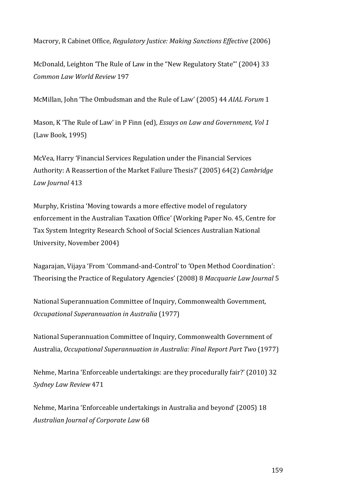Macrory, R Cabinet Office, *Regulatory Justice: Making Sanctions Effective* (2006)

McDonald, Leighton 'The Rule of Law in the "New Regulatory State"' (2004) 33 *Common Law World Review* 197

McMillan, John 'The Ombudsman and the Rule of Law' (2005) 44 *AIAL Forum* 1

Mason, K 'The Rule of Law' in P Finn (ed), *Essays on Law and Government, Vol 1* (Law Book, 1995)

McVea, Harry 'Financial Services Regulation under the Financial Services Authority: A Reassertion of the Market Failure Thesis?' (2005) 64(2) *Cambridge Law Journal* 413

Murphy, Kristina 'Moving towards a more effective model of regulatory enforcement in the Australian Taxation Office' (Working Paper No. 45, Centre for Tax System Integrity Research School of Social Sciences Australian National University, November 2004)

Nagarajan, Vijaya 'From 'Command-and-Control' to 'Open Method Coordination': Theorising the Practice of Regulatory Agencies' (2008) 8 *Macquarie Law Journal* 5

National Superannuation Committee of Inquiry, Commonwealth Government, *Occupational Superannuation in Australia* (1977) 

National Superannuation Committee of Inquiry, Commonwealth Government of Australia, Occupational Superannuation in Australia: Final Report Part Two (1977)

Nehme, Marina 'Enforceable undertakings: are they procedurally fair?' (2010) 32 *Sydney Law Review* 471

Nehme, Marina 'Enforceable undertakings in Australia and beyond' (2005) 18 *Australian Journal of Corporate Law* 68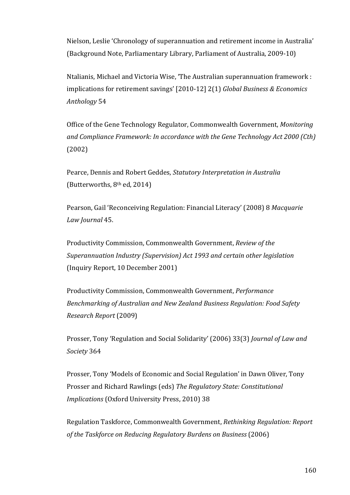Nielson, Leslie 'Chronology of superannuation and retirement income in Australia' (Background Note, Parliamentary Library, Parliament of Australia, 2009-10)

Ntalianis, Michael and Victoria Wise, 'The Australian superannuation framework : implications for retirement savings' [2010-12] 2(1) *Global Business & Economics Anthology* 54

Office of the Gene Technology Regulator, Commonwealth Government, *Monitoring* and Compliance Framework: In accordance with the Gene Technology Act 2000 (Cth) (2002)

Pearce, Dennis and Robert Geddes, *Statutory Interpretation in Australia* (Butterworths,  $8<sup>th</sup>$  ed, 2014)

Pearson, Gail 'Reconceiving Regulation: Financial Literacy' (2008) 8 Macquarie *Law Journal* 45. 

Productivity Commission, Commonwealth Government, *Review of the Superannuation Industry (Supervision) Act 1993 and certain other legislation* (Inquiry Report, 10 December 2001)

Productivity Commission, Commonwealth Government, *Performance Benchmarking of Australian and New Zealand Business Regulation: Food Safety Research Report* (2009)

Prosser, Tony 'Regulation and Social Solidarity' (2006) 33(3) *Journal of Law and Society* 364

Prosser, Tony 'Models of Economic and Social Regulation' in Dawn Oliver, Tony Prosser and Richard Rawlings (eds) The Regulatory State: Constitutional *Implications* (Oxford University Press, 2010) 38

Regulation Taskforce, Commonwealth Government, *Rethinking Regulation: Report*  of the Taskforce on Reducing Regulatory Burdens on Business (2006)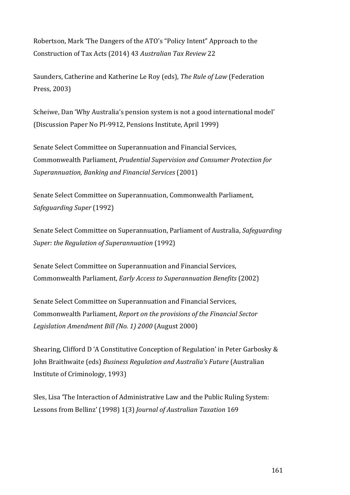Robertson, Mark 'The Dangers of the ATO's "Policy Intent" Approach to the Construction of Tax Acts (2014) 43 *Australian Tax Review* 22

Saunders, Catherine and Katherine Le Roy (eds), *The Rule of Law* (Federation Press, 2003)

Scheiwe, Dan 'Why Australia's pension system is not a good international model' (Discussion Paper No PI-9912, Pensions Institute, April 1999)

Senate Select Committee on Superannuation and Financial Services, Commonwealth Parliament, *Prudential Supervision and Consumer Protection for Superannuation, Banking and Financial Services* (2001)

Senate Select Committee on Superannuation, Commonwealth Parliament, *Safeguarding Super* (1992)

Senate Select Committee on Superannuation, Parliament of Australia, *Safeguarding Super: the Regulation of Superannuation* (1992)

Senate Select Committee on Superannuation and Financial Services, Commonwealth Parliament, *Early Access to Superannuation Benefits* (2002)

Senate Select Committee on Superannuation and Financial Services, Commonwealth Parliament, *Report on the provisions of the Financial Sector* Legislation Amendment Bill (No. 1) 2000 (August 2000)

Shearing, Clifford D 'A Constitutive Conception of Regulation' in Peter Garbosky & John Braithwaite (eds) *Business Regulation and Australia's Future* (Australian Institute of Criminology, 1993)

Sles, Lisa 'The Interaction of Administrative Law and the Public Ruling System: Lessons from Bellinz' (1998) 1(3) *Journal of Australian Taxation* 169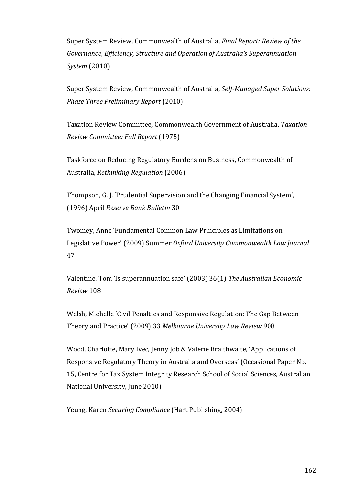Super System Review, Commonwealth of Australia, *Final Report: Review of the* Governance, *Efficiency*, *Structure* and *Operation of Australia's Superannuation System* (2010)

Super System Review, Commonwealth of Australia, *Self-Managed Super Solutions: Phase Three Preliminary Report* (2010) 

Taxation Review Committee, Commonwealth Government of Australia, *Taxation Review Committee: Full Report* (1975) 

Taskforce on Reducing Regulatory Burdens on Business, Commonwealth of Australia, *Rethinking Regulation* (2006)

Thompson, G. J. 'Prudential Supervision and the Changing Financial System', (1996) April *Reserve Bank Bulletin* 30

Twomey, Anne 'Fundamental Common Law Principles as Limitations on Legislative Power' (2009) Summer Oxford University Commonwealth Law Journal 47

Valentine, Tom 'Is superannuation safe' (2003) 36(1) *The Australian Economic Review* 108

Welsh, Michelle 'Civil Penalties and Responsive Regulation: The Gap Between Theory and Practice' (2009) 33 *Melbourne University Law Review* 908 

Wood, Charlotte, Mary Ivec, Jenny Job & Valerie Braithwaite, 'Applications of Responsive Regulatory Theory in Australia and Overseas' (Occasional Paper No. 15, Centre for Tax System Integrity Research School of Social Sciences, Australian National University, June 2010)

Yeung, Karen *Securing Compliance* (Hart Publishing, 2004)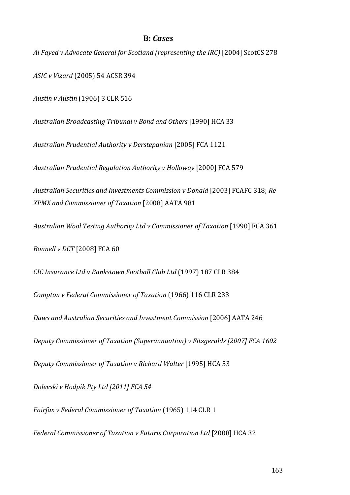#### **B:** *Cases*

Al Fayed v Advocate General for Scotland (representing the IRC)<sup>[2004]</sup> ScotCS 278

*ASIC v Vizard* (2005) 54 ACSR 394

*Austin v Austin* (1906) 3 CLR 516

*Australian Broadcasting Tribunal v Bond and Others* [1990] HCA 33 

*Australian Prudential Authority v Derstepanian* [2005] FCA 1121

*Australian Prudential Regulation Authority v Holloway* [2000] FCA 579

*Australian Securities and Investments Commission v Donald* [2003] FCAFC 318; *Re XPMX and Commissioner of Taxation* [2008] AATA 981

Australian Wool Testing Authority Ltd v Commissioner of Taxation [1990] FCA 361

*Bonnell v DCT* [2008] FCA 60

*CIC Insurance Ltd v Bankstown Football Club Ltd* (1997) 187 CLR 384

*Compton v Federal Commissioner of Taxation* (1966) 116 CLR 233

*Daws and Australian Securities and Investment Commission* [2006] AATA 246

*Deputy Commissioner of Taxation (Superannuation)* v Fitzgeralds [2007] FCA 1602

*Deputy Commissioner of Taxation v Richard Walter* [1995] HCA 53

*Dolevski v Hodpik Pty Ltd [2011] FCA 54*

Fairfax v Federal Commissioner of Taxation (1965) 114 CLR 1

*Federal Commissioner of Taxation v Futuris Corporation Ltd* [2008] HCA 32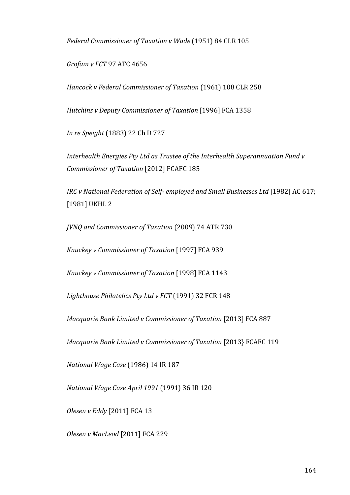Federal Commissioner of Taxation v Wade (1951) 84 CLR 105

*Grofam v FCT* 97 ATC 4656

*Hancock v Federal Commissioner of Taxation* (1961) 108 CLR 258

*Hutchins v Deputy Commissioner of Taxation* [1996] FCA 1358

*In re Speight* (1883) 22 Ch D 727

*Interhealth Energies Pty Ltd as Trustee of the Interhealth Superannuation Fund v Commissioner of Taxation* [2012] FCAFC 185

*IRC* v National Federation of Self- employed and Small Businesses Ltd [1982] AC 617; [1981] UKHL 2

*JVNQ* and *Commissioner of Taxation* (2009) 74 ATR 730

*Knuckey v Commissioner of Taxation* [1997] FCA 939

*Knuckey v Commissioner of Taxation* [1998] FCA 1143

Lighthouse Philatelics Pty Ltd v FCT (1991) 32 FCR 148

*Macquarie Bank Limited v Commissioner of Taxation* [2013] FCA 887

*Macquarie Bank Limited v Commissioner of Taxation* [2013] FCAFC 119

*National Wage Case* (1986) 14 IR 187

*National Wage Case April 1991* (1991) 36 IR 120

*Olesen v Eddy* [2011] FCA 13

*Olesen v MacLeod* [2011] FCA 229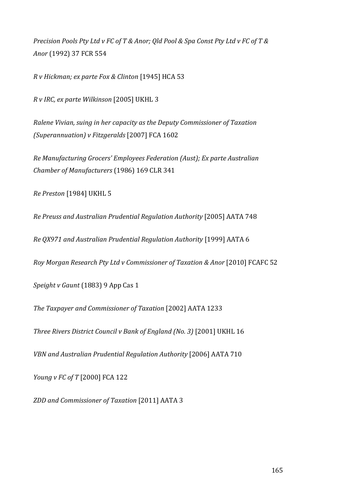*Precision Pools Pty Ltd v FC of T & Anor; Qld Pool & Spa Const Pty Ltd v FC of T & Anor* (1992) 37 FCR 554

*R v Hickman; ex parte Fox & Clinton* [1945] HCA 53

*R v IRC, ex parte Wilkinson* [2005] UKHL 3

*Ralene Vivian, suing in her capacity as the Deputy Commissioner of Taxation (Superannuation) v Fitzgeralds* [2007] FCA 1602

*Re Manufacturing Grocers' Employees Federation (Aust); Ex parte Australian Chamber of Manufacturers* (1986) 169 CLR 341

*Re Preston* [1984] UKHL 5

*Re Preuss and Australian Prudential Regulation Authority* [2005] AATA 748

*Re QX971 and Australian Prudential Regulation Authority* [1999] AATA 6

*Roy Morgan Research Pty Ltd v Commissioner of Taxation & Anor* [2010] FCAFC 52

*Speight* v Gaunt (1883) 9 App Cas 1

*The Taxpayer and Commissioner of Taxation* [2002] AATA 1233

*Three Rivers District Council v Bank of England (No. 3)* [2001] UKHL 16

*VBN and Australian Prudential Regulation Authority* [2006] AATA 710

*Young v FC of T* [2000] FCA 122

*ZDD and Commissioner of Taxation* [2011] AATA 3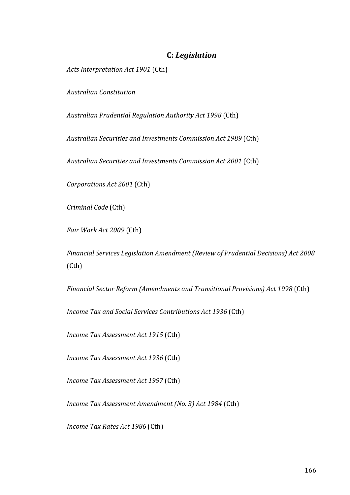# **C:** *Legislation*

Acts Interpretation Act 1901 (Cth)

*Australian Constitution*

*Australian Prudential Regulation Authority Act 1998* (Cth)

*Australian Securities and Investments Commission Act 1989* (Cth)

*Australian Securities and Investments Commission Act 2001* (Cth)

*Corporations Act 2001* (Cth)

*Criminal Code* (Cth)

*Fair Work Act 2009* (Cth)

Financial Services Legislation Amendment (Review of Prudential Decisions) Act 2008 (Cth)

*Financial Sector Reform (Amendments and Transitional Provisions) Act 1998* (Cth)

*Income Tax and Social Services Contributions Act 1936* (Cth)

*Income Tax Assessment Act 1915* (Cth)

*Income Tax Assessment Act 1936* (Cth)

*Income Tax Assessment Act 1997* (Cth)

*Income Tax Assessment Amendment (No. 3) Act 1984* (Cth)

*Income Tax Rates Act 1986* (Cth)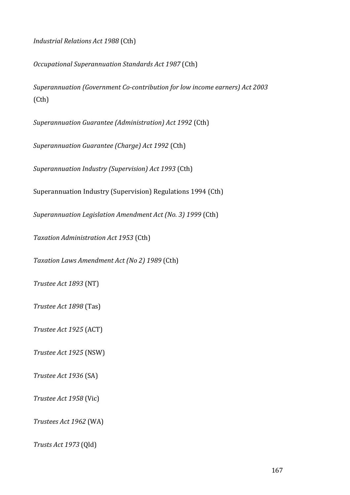*Industrial Relations Act 1988* (Cth)

*Occupational Superannuation Standards Act 1987* (Cth)

Superannuation (Government Co-contribution for low income earners) Act 2003 (Cth) 

*Superannuation Guarantee (Administration) Act 1992* (Cth) 

*Superannuation Guarantee (Charge) Act 1992* (Cth) 

Superannuation Industry (Supervision) Act 1993 (Cth)

Superannuation Industry (Supervision) Regulations 1994 (Cth)

*Superannuation Legislation Amendment Act (No. 3) 1999* (Cth)

*Taxation Administration Act 1953* (Cth)

*Taxation Laws Amendment Act (No 2) 1989* (Cth) 

*Trustee Act 1893* (NT)

*Trustee Act 1898* (Tas)

*Trustee Act 1925* (ACT)

*Trustee Act 1925* (NSW)

*Trustee Act 1936* (SA)

*Trustee Act 1958* (Vic)

*Trustees Act 1962* (WA)

*Trusts Act 1973* (Qld)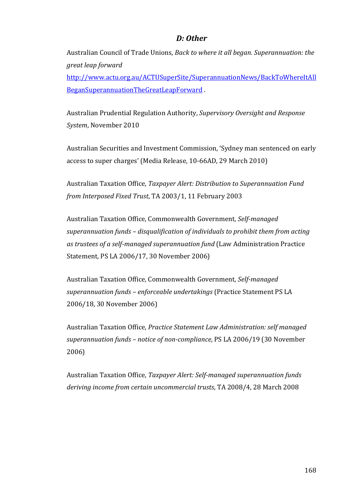# *D: Other*

Australian Council of Trade Unions, *Back to where it all began. Superannuation: the great leap forward* 

http://www.actu.org.au/ACTUSuperSite/SuperannuationNews/BackToWhereItAll BeganSuperannuationTheGreatLeapForward.

Australian Prudential Regulation Authority, Supervisory Oversight and Response System, November 2010

Australian Securities and Investment Commission, 'Sydney man sentenced on early access to super charges' (Media Release, 10-66AD, 29 March 2010)

Australian Taxation Office, *Taxpayer Alert: Distribution to Superannuation Fund from Interposed Fixed Trust, TA 2003/1, 11 February 2003* 

Australian Taxation Office, Commonwealth Government, Self-managed superannuation funds – disqualification of individuals to prohibit them from acting *as* trustees of a self-managed superannuation fund (Law Administration Practice Statement, PS LA 2006/17, 30 November 2006)

Australian Taxation Office, Commonwealth Government, Self-managed *superannuation funds – enforceable undertakings* (Practice Statement PS LA 2006/18, 30 November 2006)

Australian Taxation Office, *Practice Statement Law Administration: self managed superannuation funds* – *notice of non-compliance*, PS LA 2006/19 (30 November 2006)

Australian Taxation Office, *Taxpayer Alert: Self-managed superannuation funds* deriving income from certain uncommercial trusts, TA 2008/4, 28 March 2008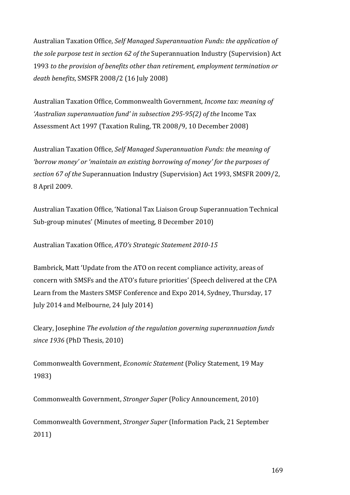Australian Taxation Office, Self Managed Superannuation Funds: the application of *the sole purpose test in section 62 of the Superannuation Industry (Supervision)* Act 1993 to the provision of benefits other than retirement, employment termination or *death benefits*, SMSFR 2008/2 (16 July 2008)

Australian Taxation Office, Commonwealth Government, *Income tax: meaning of* 'Australian superannuation fund' in subsection 295-95(2) of the Income Tax Assessment Act 1997 (Taxation Ruling, TR 2008/9, 10 December 2008)

Australian Taxation Office, *Self Managed Superannuation Funds: the meaning of 'borrow* money' or 'maintain an existing borrowing of money' for the purposes of *section* 67 of the Superannuation Industry (Supervision) Act 1993, SMSFR 2009/2, 8 April 2009.

Australian Taxation Office, 'National Tax Liaison Group Superannuation Technical Sub-group minutes' (Minutes of meeting, 8 December 2010)

Australian Taxation Office, *ATO's Strategic Statement 2010-15*

Bambrick, Matt 'Update from the ATO on recent compliance activity, areas of concern with SMSFs and the ATO's future priorities' (Speech delivered at the CPA Learn from the Masters SMSF Conference and Expo 2014, Sydney, Thursday, 17 July 2014 and Melbourne, 24 July 2014)

Cleary, Josephine *The evolution of the regulation governing superannuation funds since* 1936 (PhD Thesis, 2010)

Commonwealth Government, *Economic Statement* (Policy Statement, 19 May 1983)

Commonwealth Government, *Stronger Super* (Policy Announcement, 2010)

Commonwealth Government, *Stronger Super* (Information Pack, 21 September 2011)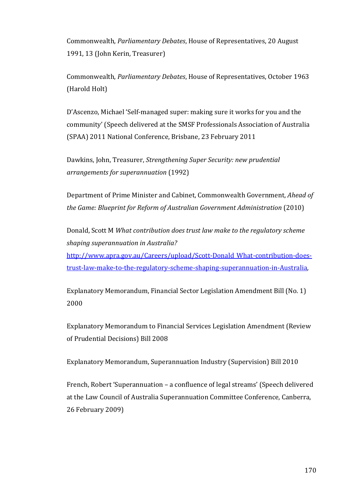Commonwealth, *Parliamentary Debates*, House of Representatives, 20 August 1991, 13 (John Kerin, Treasurer)

Commonwealth, *Parliamentary Debates*, House of Representatives, October 1963 (Harold Holt)

D'Ascenzo, Michael 'Self-managed super: making sure it works for you and the community' (Speech delivered at the SMSF Professionals Association of Australia (SPAA) 2011 National Conference, Brisbane, 23 February 2011

Dawkins, John, Treasurer, *Strengthening Super Security: new prudential arrangements for superannuation* (1992)

Department of Prime Minister and Cabinet, Commonwealth Government, *Ahead of the Game: Blueprint for Reform of Australian Government Administration* (2010)

Donald, Scott M *What contribution does trust law make to the regulatory scheme shaping superannuation in Australia?* http://www.apra.gov.au/Careers/upload/Scott-Donald\_What-contribution-doestrust-law-make-to-the-regulatory-scheme-shaping-superannuation-in-Australia, 

Explanatory Memorandum, Financial Sector Legislation Amendment Bill (No. 1) 2000

Explanatory Memorandum to Financial Services Legislation Amendment (Review of Prudential Decisions) Bill 2008

Explanatory Memorandum, Superannuation Industry (Supervision) Bill 2010

French, Robert 'Superannuation – a confluence of legal streams' (Speech delivered at the Law Council of Australia Superannuation Committee Conference, Canberra, 26 February 2009)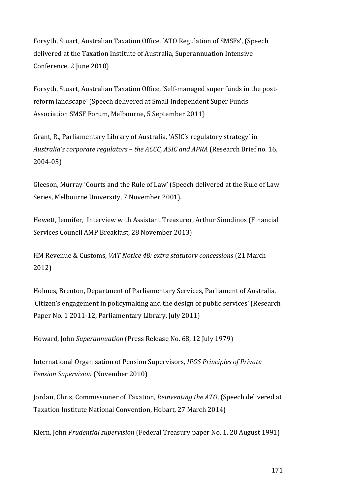Forsyth, Stuart, Australian Taxation Office, 'ATO Regulation of SMSFs', (Speech delivered at the Taxation Institute of Australia, Superannuation Intensive Conference, 2 June 2010)

Forsyth, Stuart, Australian Taxation Office, 'Self-managed super funds in the postreform landscape' (Speech delivered at Small Independent Super Funds Association SMSF Forum, Melbourne, 5 September 2011)

Grant, R., Parliamentary Library of Australia, 'ASIC's regulatory strategy' in Australia's corporate regulators - the ACCC, ASIC and APRA (Research Brief no. 16, 2004-05)

Gleeson, Murray 'Courts and the Rule of Law' (Speech delivered at the Rule of Law Series, Melbourne University, 7 November 2001).

Hewett, Jennifer, Interview with Assistant Treasurer, Arthur Sinodinos (Financial Services Council AMP Breakfast, 28 November 2013)

HM Revenue & Customs, *VAT Notice 48: extra statutory concessions* (21 March 2012)

Holmes, Brenton, Department of Parliamentary Services, Parliament of Australia, 'Citizen's engagement in policymaking and the design of public services' (Research Paper No. 1 2011-12, Parliamentary Library, July 2011)

Howard, John *Superannuation* (Press Release No. 68, 12 July 1979)

International Organisation of Pension Supervisors, *IPOS Principles of Private Pension Supervision* (November 2010)

Jordan, Chris, Commissioner of Taxation, *Reinventing the ATO*, (Speech delivered at Taxation Institute National Convention, Hobart, 27 March 2014)

Kiern, John *Prudential supervision* (Federal Treasury paper No. 1, 20 August 1991)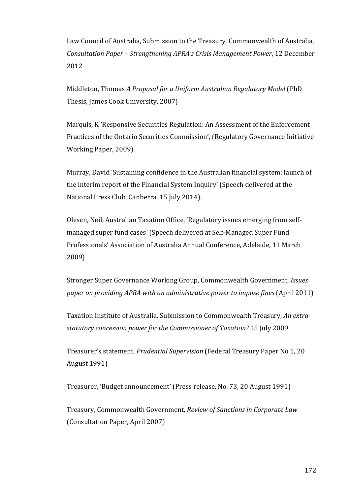Law Council of Australia, Submission to the Treasury, Commonwealth of Australia, *Consultation Paper – Strengthening APRA's Crisis Management Power*, 12 December 2012

Middleton, Thomas *A Proposal for a Uniform Australian Regulatory Model* (PhD Thesis, James Cook University, 2007)

Marquis, K 'Responsive Securities Regulation: An Assessment of the Enforcement Practices of the Ontario Securities Commission', (Regulatory Governance Initiative Working Paper, 2009)

Murray, David 'Sustaining confidence in the Australian financial system: launch of the interim report of the Financial System Inquiry' (Speech delivered at the National Press Club, Canberra, 15 July 2014).

Olesen, Neil, Australian Taxation Office, 'Regulatory issues emerging from selfmanaged super fund cases' (Speech delivered at Self-Managed Super Fund Professionals' Association of Australia Annual Conference, Adelaide, 11 March 2009)

Stronger Super Governance Working Group, Commonwealth Government, *Issues paper* on providing APRA with an administrative power to impose fines (April 2011)

Taxation Institute of Australia, Submission to Commonwealth Treasury, An extrastatutory concession power for the Commissioner of Taxation? 15 July 2009

Treasurer's statement, *Prudential Supervision* (Federal Treasury Paper No 1, 20 August 1991)

Treasurer, 'Budget announcement' (Press release, No. 73, 20 August 1991)

Treasury, Commonwealth Government, *Review of Sanctions in Corporate Law* (Consultation Paper, April 2007)